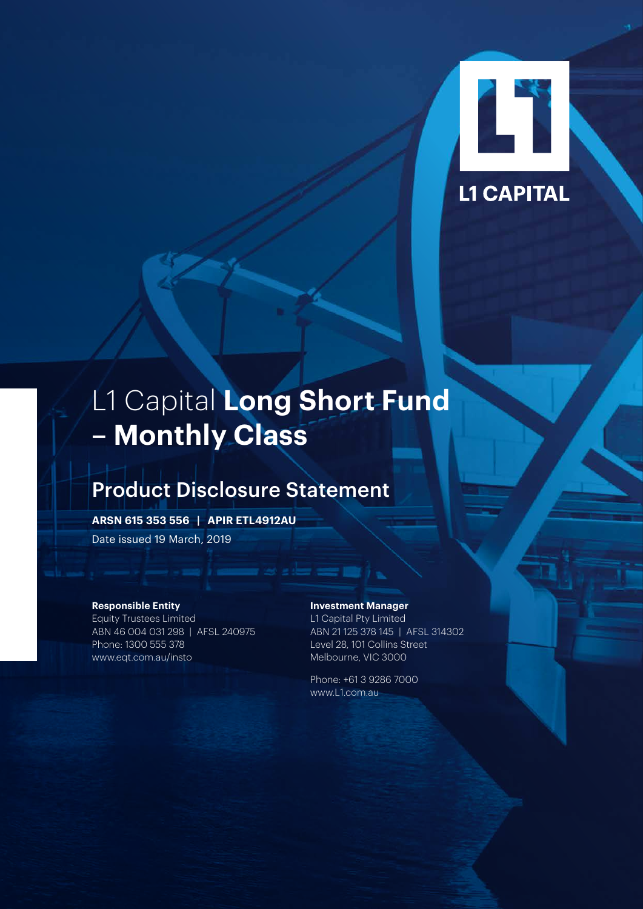

# L1 Capital **Long Short Fund – Monthly Class**

# Product Disclosure Statement

**ARSN 615 353 556 | APIR ETL4912AU**

Date issued 19 March, 2019

#### **Responsible Entity**

Equity Trustees Limited ABN 46 004 031 298 | AFSL 240975 Phone: 1300 555 378 [www.eqt.com.au/insto](http://www.eqt.com.au/insto)

#### **Investment Manager**

L1 Capital Pty Limited ABN 21 125 378 145 | AFSL 314302 Level 28, 101 Collins Street Melbourne, VIC 3000

Phone: +61 3 9286 7000 [www.L1.com.au](http://www.L1.com.au)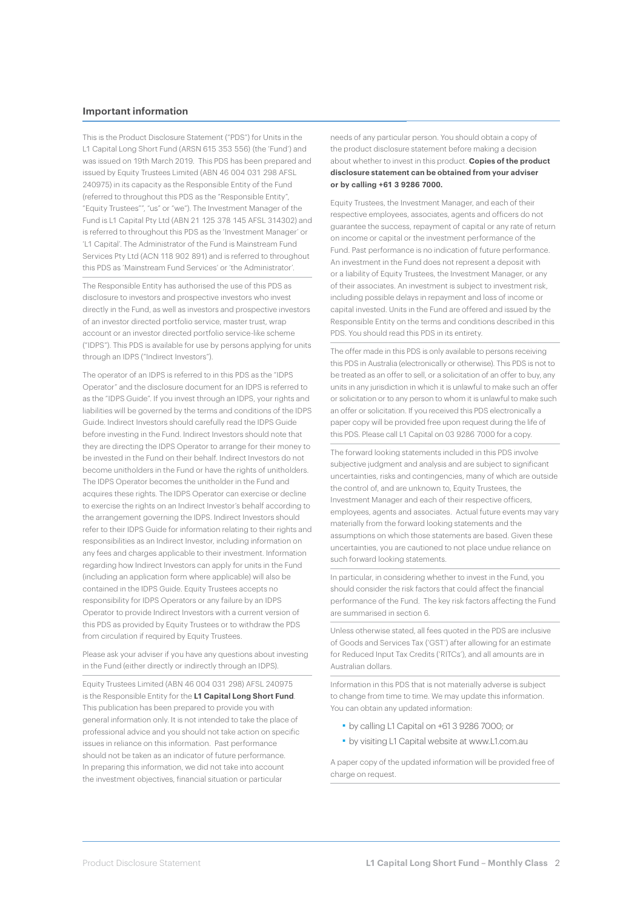#### **Important information**

This is the Product Disclosure Statement ("PDS") for Units in the L1 Capital Long Short Fund (ARSN 615 353 556) (the 'Fund') and was issued on 19th March 2019. This PDS has been prepared and issued by Equity Trustees Limited (ABN 46 004 031 298 AFSL 240975) in its capacity as the Responsible Entity of the Fund (referred to throughout this PDS as the "Responsible Entity", "Equity Trustees"", "us" or "we"). The Investment Manager of the Fund is L1 Capital Pty Ltd (ABN 21 125 378 145 AFSL 314302) and is referred to throughout this PDS as the 'Investment Manager' or 'L1 Capital'. The Administrator of the Fund is Mainstream Fund Services Pty Ltd (ACN 118 902 891) and is referred to throughout this PDS as 'Mainstream Fund Services' or 'the Administrator'.

The Responsible Entity has authorised the use of this PDS as disclosure to investors and prospective investors who invest directly in the Fund, as well as investors and prospective investors of an investor directed portfolio service, master trust, wrap account or an investor directed portfolio service-like scheme ("IDPS"). This PDS is available for use by persons applying for units through an IDPS ("Indirect Investors").

The operator of an IDPS is referred to in this PDS as the "IDPS Operator" and the disclosure document for an IDPS is referred to as the "IDPS Guide". If you invest through an IDPS, your rights and liabilities will be governed by the terms and conditions of the IDPS Guide. Indirect Investors should carefully read the IDPS Guide before investing in the Fund. Indirect Investors should note that they are directing the IDPS Operator to arrange for their money to be invested in the Fund on their behalf. Indirect Investors do not become unitholders in the Fund or have the rights of unitholders. The IDPS Operator becomes the unitholder in the Fund and acquires these rights. The IDPS Operator can exercise or decline to exercise the rights on an Indirect Investor's behalf according to the arrangement governing the IDPS. Indirect Investors should refer to their IDPS Guide for information relating to their rights and responsibilities as an Indirect Investor, including information on any fees and charges applicable to their investment. Information regarding how Indirect Investors can apply for units in the Fund (including an application form where applicable) will also be contained in the IDPS Guide. Equity Trustees accepts no responsibility for IDPS Operators or any failure by an IDPS Operator to provide Indirect Investors with a current version of this PDS as provided by Equity Trustees or to withdraw the PDS from circulation if required by Equity Trustees.

Please ask your adviser if you have any questions about investing in the Fund (either directly or indirectly through an IDPS).

Equity Trustees Limited (ABN 46 004 031 298) AFSL 240975 is the Responsible Entity for the **L1 Capital Long Short Fund**. This publication has been prepared to provide you with general information only. It is not intended to take the place of professional advice and you should not take action on specific issues in reliance on this information. Past performance should not be taken as an indicator of future performance. In preparing this information, we did not take into account the investment objectives, financial situation or particular

needs of any particular person. You should obtain a copy of the product disclosure statement before making a decision about whether to invest in this product. **Copies of the product disclosure statement can be obtained from your adviser or by calling +61 3 9286 7000.**

Equity Trustees, the Investment Manager, and each of their respective employees, associates, agents and officers do not guarantee the success, repayment of capital or any rate of return on income or capital or the investment performance of the Fund. Past performance is no indication of future performance. An investment in the Fund does not represent a deposit with or a liability of Equity Trustees, the Investment Manager, or any of their associates. An investment is subject to investment risk, including possible delays in repayment and loss of income or capital invested. Units in the Fund are offered and issued by the Responsible Entity on the terms and conditions described in this PDS. You should read this PDS in its entirety.

The offer made in this PDS is only available to persons receiving this PDS in Australia (electronically or otherwise). This PDS is not to be treated as an offer to sell, or a solicitation of an offer to buy, any units in any jurisdiction in which it is unlawful to make such an offer or solicitation or to any person to whom it is unlawful to make such an offer or solicitation. If you received this PDS electronically a paper copy will be provided free upon request during the life of this PDS. Please call L1 Capital on 03 9286 7000 for a copy.

The forward looking statements included in this PDS involve subjective judgment and analysis and are subject to significant uncertainties, risks and contingencies, many of which are outside the control of, and are unknown to, Equity Trustees, the Investment Manager and each of their respective officers, employees, agents and associates. Actual future events may vary materially from the forward looking statements and the assumptions on which those statements are based. Given these uncertainties, you are cautioned to not place undue reliance on such forward looking statements.

In particular, in considering whether to invest in the Fund, you should consider the risk factors that could affect the financial performance of the Fund. The key risk factors affecting the Fund are summarised in section 6.

Unless otherwise stated, all fees quoted in the PDS are inclusive of Goods and Services Tax ('GST') after allowing for an estimate for Reduced Input Tax Credits ('RITCs'), and all amounts are in Australian dollars.

Information in this PDS that is not materially adverse is subject to change from time to time. We may update this information. You can obtain any updated information:

- ■ by calling L1 Capital on +61 3 9286 7000; or
- ■ by visiting L1 Capital website at [www.L1.com.au](http://www.L1.com.au)

A paper copy of the updated information will be provided free of charge on request.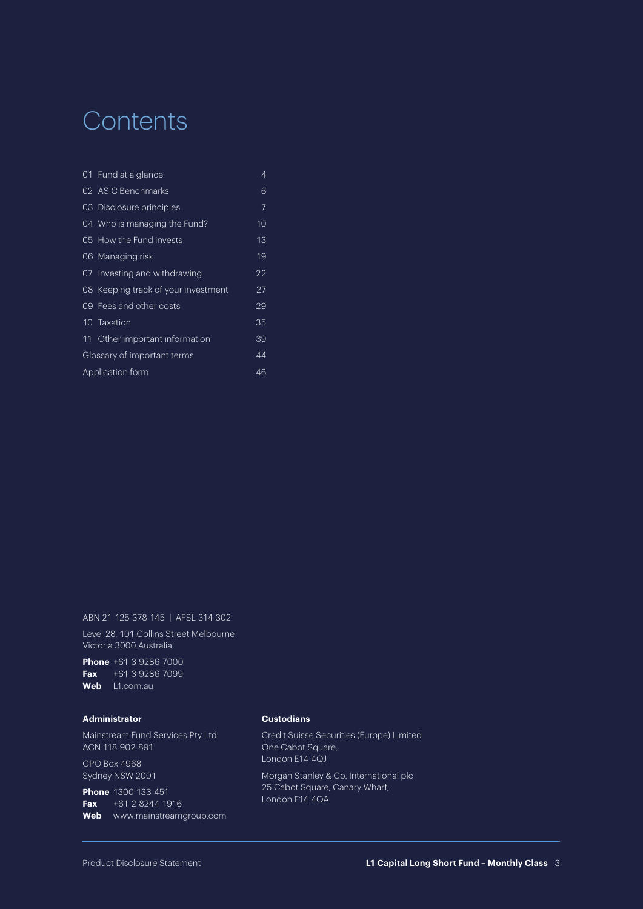# **Contents**

|                        | 01 Fund at a glance                 | 4  |
|------------------------|-------------------------------------|----|
|                        | 02 ASIC Benchmarks                  | 6  |
|                        | 03 Disclosure principles            | 7  |
|                        | 04 Who is managing the Fund?        | 10 |
|                        | 05 How the Fund invests             | 13 |
|                        | 06 Managing risk                    | 19 |
|                        | 07 Investing and withdrawing        | 22 |
|                        | 08 Keeping track of your investment | 27 |
|                        | 09 Fees and other costs             | 29 |
|                        | 10 Taxation                         | 35 |
|                        | 11 Other important information      | 39 |
|                        | Glossary of important terms         | 44 |
| Application form<br>46 |                                     |    |

ABN 21 125 378 145 | AFSL 314 302

Level 28, 101 Collins Street Melbourne Victoria 3000 Australia

**Phone** +61 3 9286 7000 **Fax** +61 3 9286 7099 **Web** [L1.com.au](http://www.L1.com.au)

#### **Administrator**

Mainstream Fund Services Pty Ltd ACN 118 902 891 GPO Box 4968 Sydney NSW 2001

**Phone** 1300 133 451 **Fax** +61 2 8244 1916 **Web** [www.mainstreamgroup.com](http://www.mainstreamgroup.com)

#### **Custodians**

Credit Suisse Securities (Europe) Limited One Cabot Square, London E14 4QJ

Morgan Stanley & Co. International plc 25 Cabot Square, Canary Wharf, London E14 4QA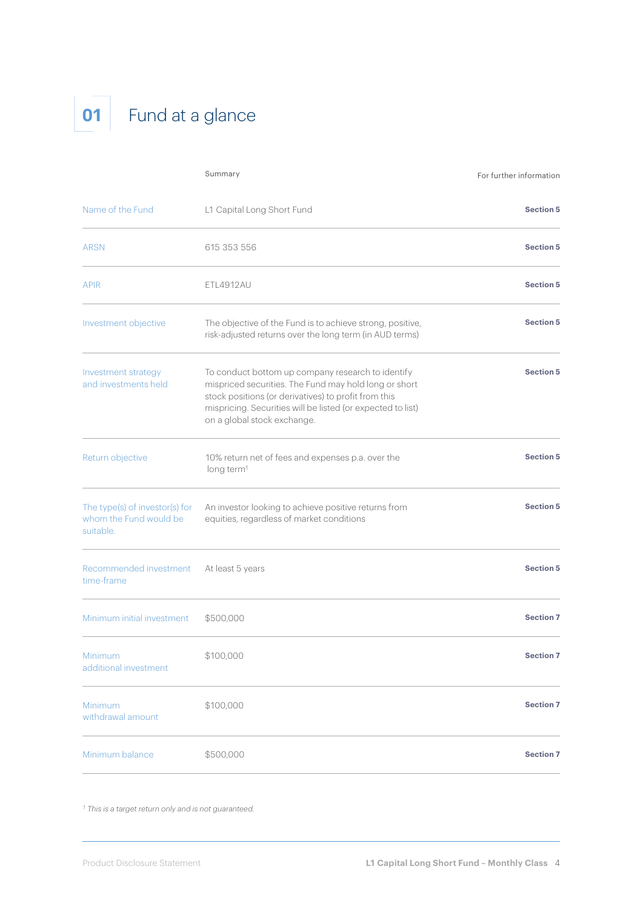# **01** Fund at a glance

|                                                                       | Summary                                                                                                                                                                                                                                                          | For further information |
|-----------------------------------------------------------------------|------------------------------------------------------------------------------------------------------------------------------------------------------------------------------------------------------------------------------------------------------------------|-------------------------|
| Name of the Fund                                                      | L1 Capital Long Short Fund                                                                                                                                                                                                                                       | <b>Section 5</b>        |
| <b>ARSN</b>                                                           | 615 353 556                                                                                                                                                                                                                                                      | <b>Section 5</b>        |
| <b>APIR</b>                                                           | <b>ETL4912AU</b>                                                                                                                                                                                                                                                 | <b>Section 5</b>        |
| Investment objective                                                  | The objective of the Fund is to achieve strong, positive,<br>risk-adjusted returns over the long term (in AUD terms)                                                                                                                                             | <b>Section 5</b>        |
| Investment strategy<br>and investments held                           | To conduct bottom up company research to identify<br>mispriced securities. The Fund may hold long or short<br>stock positions (or derivatives) to profit from this<br>mispricing. Securities will be listed (or expected to list)<br>on a global stock exchange. | <b>Section 5</b>        |
| Return objective                                                      | 10% return net of fees and expenses p.a. over the<br>long term <sup>1</sup>                                                                                                                                                                                      | <b>Section 5</b>        |
| The type(s) of investor(s) for<br>whom the Fund would be<br>suitable. | An investor looking to achieve positive returns from<br>equities, regardless of market conditions                                                                                                                                                                | <b>Section 5</b>        |
| Recommended investment<br>time-frame                                  | At least 5 years                                                                                                                                                                                                                                                 | <b>Section 5</b>        |
| Minimum initial investment                                            | \$500,000                                                                                                                                                                                                                                                        | <b>Section 7</b>        |
| Minimum<br>additional investment                                      | \$100,000                                                                                                                                                                                                                                                        | <b>Section 7</b>        |
| Minimum<br>withdrawal amount                                          | \$100,000                                                                                                                                                                                                                                                        | <b>Section 7</b>        |
| Minimum balance                                                       | \$500,000                                                                                                                                                                                                                                                        | <b>Section 7</b>        |

*1 This is a target return only and is not guaranteed.*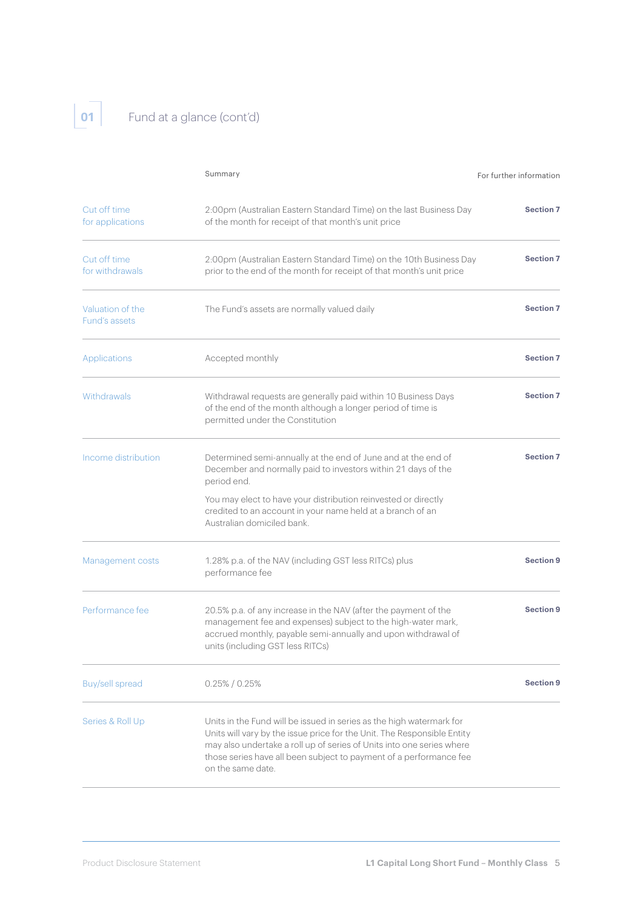# **01** Fund at a glance (cont'd)

|                                                                                                                                                                                                                                                                                                                                         | Summary                                                                                                                                                                                                                              | For further information |
|-----------------------------------------------------------------------------------------------------------------------------------------------------------------------------------------------------------------------------------------------------------------------------------------------------------------------------------------|--------------------------------------------------------------------------------------------------------------------------------------------------------------------------------------------------------------------------------------|-------------------------|
| Cut off time<br>for applications                                                                                                                                                                                                                                                                                                        | 2:00pm (Australian Eastern Standard Time) on the last Business Day<br>of the month for receipt of that month's unit price                                                                                                            | <b>Section 7</b>        |
| Cut off time<br>for withdrawals                                                                                                                                                                                                                                                                                                         | 2:00pm (Australian Eastern Standard Time) on the 10th Business Day<br>prior to the end of the month for receipt of that month's unit price                                                                                           | <b>Section 7</b>        |
| Valuation of the<br>Fund's assets                                                                                                                                                                                                                                                                                                       | The Fund's assets are normally valued daily                                                                                                                                                                                          | <b>Section 7</b>        |
| Applications                                                                                                                                                                                                                                                                                                                            | Accepted monthly                                                                                                                                                                                                                     | <b>Section 7</b>        |
| <b>Withdrawals</b>                                                                                                                                                                                                                                                                                                                      | Withdrawal requests are generally paid within 10 Business Days<br>of the end of the month although a longer period of time is<br>permitted under the Constitution                                                                    | <b>Section 7</b>        |
| Income distribution                                                                                                                                                                                                                                                                                                                     | Determined semi-annually at the end of June and at the end of<br>December and normally paid to investors within 21 days of the<br>period end.                                                                                        | <b>Section 7</b>        |
|                                                                                                                                                                                                                                                                                                                                         | You may elect to have your distribution reinvested or directly<br>credited to an account in your name held at a branch of an<br>Australian domiciled bank.                                                                           |                         |
| Management costs                                                                                                                                                                                                                                                                                                                        | 1.28% p.a. of the NAV (including GST less RITCs) plus<br>performance fee                                                                                                                                                             | <b>Section 9</b>        |
| Performance fee                                                                                                                                                                                                                                                                                                                         | 20.5% p.a. of any increase in the NAV (after the payment of the<br>management fee and expenses) subject to the high-water mark,<br>accrued monthly, payable semi-annually and upon withdrawal of<br>units (including GST less RITCs) | <b>Section 9</b>        |
| <b>Buy/sell spread</b>                                                                                                                                                                                                                                                                                                                  | $0.25\%$ / 0.25%                                                                                                                                                                                                                     | <b>Section 9</b>        |
| Series & Roll Up<br>Units in the Fund will be issued in series as the high watermark for<br>Units will vary by the issue price for the Unit. The Responsible Entity<br>may also undertake a roll up of series of Units into one series where<br>those series have all been subject to payment of a performance fee<br>on the same date. |                                                                                                                                                                                                                                      |                         |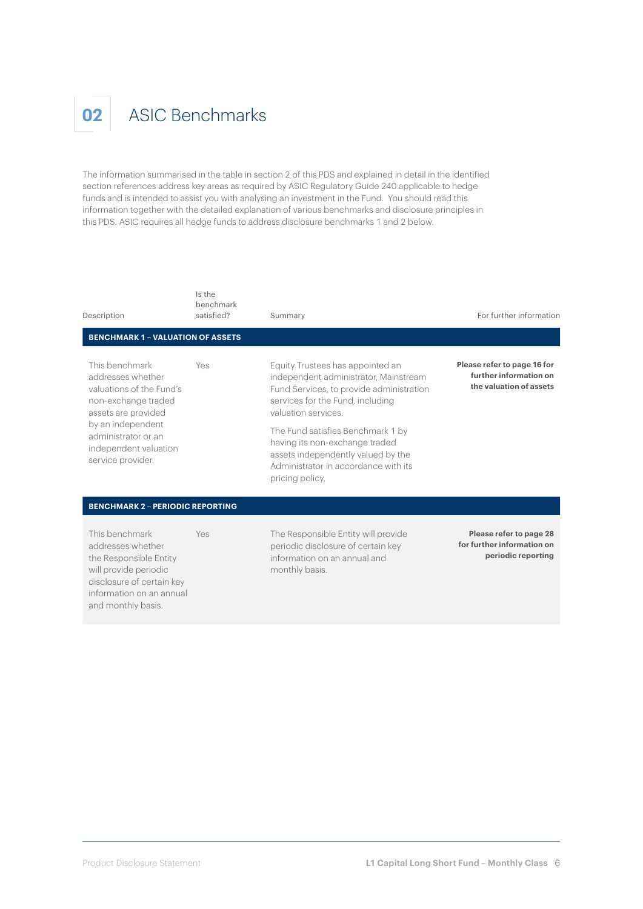#### **02** ASIC Benchmarks

The information summarised in the table in section 2 of this PDS and explained in detail in the identified section references address key areas as required by ASIC Regulatory Guide 240 applicable to hedge funds and is intended to assist you with analysing an investment in the Fund. You should read this information together with the detailed explanation of various benchmarks and disclosure principles in this PDS. ASIC requires all hedge funds to address disclosure benchmarks 1 and 2 below.

| Description                                                                                                                                                                                             | Is the<br>benchmark<br>satisfied? | Summary                                                                                                                                                                                                                                                                                                                                                 | For further information                                                          |
|---------------------------------------------------------------------------------------------------------------------------------------------------------------------------------------------------------|-----------------------------------|---------------------------------------------------------------------------------------------------------------------------------------------------------------------------------------------------------------------------------------------------------------------------------------------------------------------------------------------------------|----------------------------------------------------------------------------------|
| <b>BENCHMARK 1 - VALUATION OF ASSETS</b>                                                                                                                                                                |                                   |                                                                                                                                                                                                                                                                                                                                                         |                                                                                  |
| This benchmark<br>addresses whether<br>valuations of the Fund's<br>non-exchange traded<br>assets are provided<br>by an independent<br>administrator or an<br>independent valuation<br>service provider. | Yes                               | Equity Trustees has appointed an<br>independent administrator, Mainstream<br>Fund Services, to provide administration<br>services for the Fund, including<br>valuation services<br>The Fund satisfies Benchmark 1 by<br>having its non-exchange traded<br>assets independently valued by the<br>Administrator in accordance with its<br>pricing policy. | Please refer to page 16 for<br>further information on<br>the valuation of assets |
| <b>BENCHMARK 2 - PERIODIC REPORTING</b>                                                                                                                                                                 |                                   |                                                                                                                                                                                                                                                                                                                                                         |                                                                                  |
| This benchmark<br>addresses whether<br>the Responsible Entity<br>will provide periodic<br>disclosure of certain key<br>information on an annual<br>and monthly basis.                                   | Yes                               | The Responsible Entity will provide<br>periodic disclosure of certain key<br>information on an annual and<br>monthly basis.                                                                                                                                                                                                                             | Please refer to page 28<br>for further information on<br>periodic reporting      |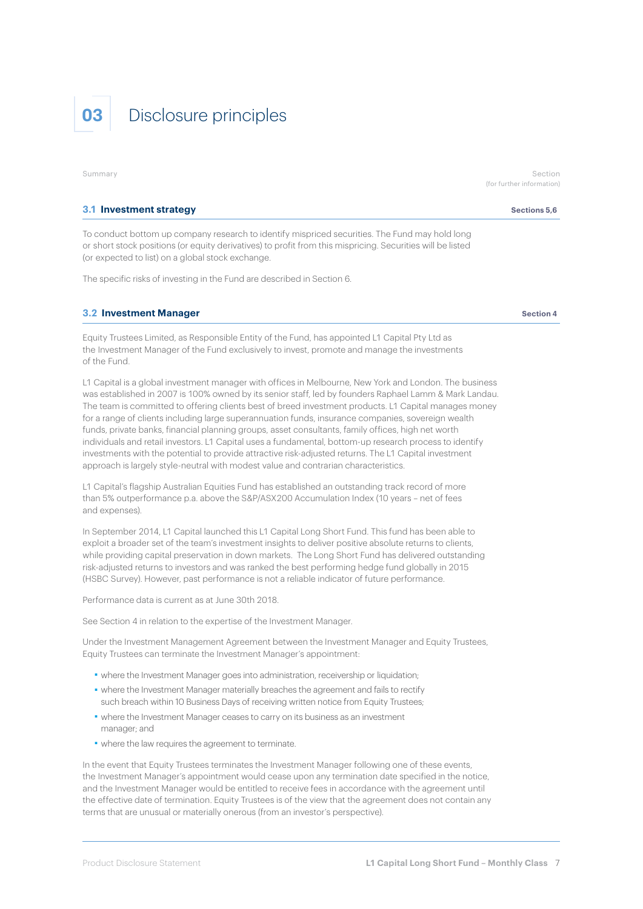

Summary Section and Section of the Section of the Section of the Section of the Section of the Section of the Section

#### (for further information)

#### **3.1 Investment strategy Sections 5,6** and **Sections 5,6** and **Sections 5,6** and **Sections 5,6**

To conduct bottom up company research to identify mispriced securities. The Fund may hold long or short stock positions (or equity derivatives) to profit from this mispricing. Securities will be listed (or expected to list) on a global stock exchange.

The specific risks of investing in the Fund are described in Section 6.

#### **3.2 Investment Manager Section 4** Section 4

Equity Trustees Limited, as Responsible Entity of the Fund, has appointed L1 Capital Pty Ltd as the Investment Manager of the Fund exclusively to invest, promote and manage the investments of the Fund.

L1 Capital is a global investment manager with offices in Melbourne, New York and London. The business was established in 2007 is 100% owned by its senior staff, led by founders Raphael Lamm & Mark Landau. The team is committed to offering clients best of breed investment products. L1 Capital manages money for a range of clients including large superannuation funds, insurance companies, sovereign wealth funds, private banks, financial planning groups, asset consultants, family offices, high net worth individuals and retail investors. L1 Capital uses a fundamental, bottom-up research process to identify investments with the potential to provide attractive risk-adjusted returns. The L1 Capital investment approach is largely style-neutral with modest value and contrarian characteristics.

L1 Capital's flagship Australian Equities Fund has established an outstanding track record of more than 5% outperformance p.a. above the S&P/ASX200 Accumulation Index (10 years – net of fees and expenses).

In September 2014, L1 Capital launched this L1 Capital Long Short Fund. This fund has been able to exploit a broader set of the team's investment insights to deliver positive absolute returns to clients, while providing capital preservation in down markets. The Long Short Fund has delivered outstanding risk-adjusted returns to investors and was ranked the best performing hedge fund globally in 2015 (HSBC Survey). However, past performance is not a reliable indicator of future performance.

Performance data is current as at June 30th 2018.

See Section 4 in relation to the expertise of the Investment Manager.

Under the Investment Management Agreement between the Investment Manager and Equity Trustees, Equity Trustees can terminate the Investment Manager's appointment:

- where the Investment Manager goes into administration, receivership or liquidation;
- ■ where the Investment Manager materially breaches the agreement and fails to rectify such breach within 10 Business Days of receiving written notice from Equity Trustees;
- ■ where the Investment Manager ceases to carry on its business as an investment manager; and
- where the law requires the agreement to terminate.

In the event that Equity Trustees terminates the Investment Manager following one of these events, the Investment Manager's appointment would cease upon any termination date specified in the notice, and the Investment Manager would be entitled to receive fees in accordance with the agreement until the effective date of termination. Equity Trustees is of the view that the agreement does not contain any terms that are unusual or materially onerous (from an investor's perspective).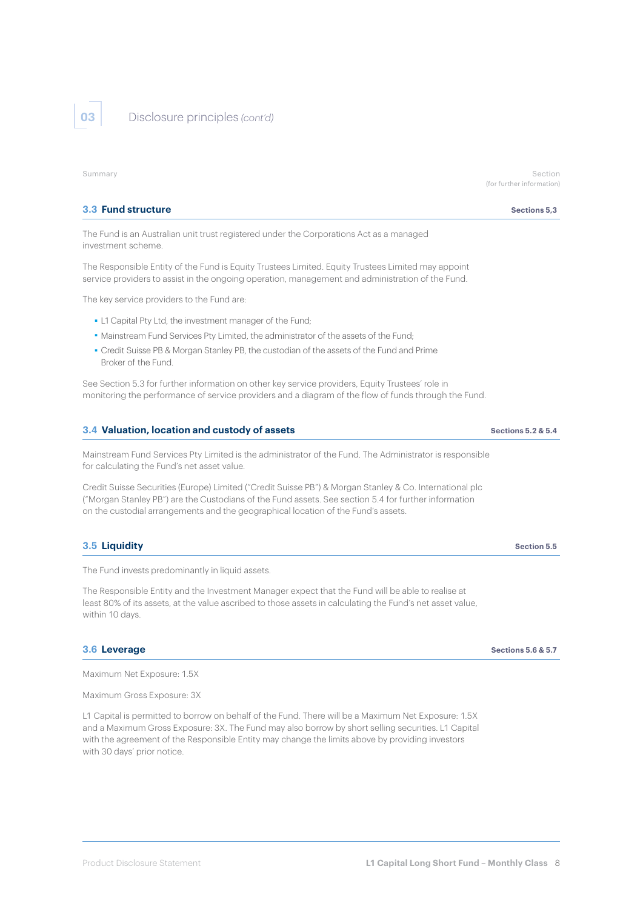**03** Disclosure principles *(cont'd)*

#### **3.3 Fund structure** Sections 5.3

The Fund is an Australian unit trust registered under the Corporations Act as a managed investment scheme.

The Responsible Entity of the Fund is Equity Trustees Limited. Equity Trustees Limited may appoint service providers to assist in the ongoing operation, management and administration of the Fund.

The key service providers to the Fund are:

- ■ L1 Capital Pty Ltd, the investment manager of the Fund;
- Mainstream Fund Services Pty Limited, the administrator of the assets of the Fund;
- ■ Credit Suisse PB & Morgan Stanley PB, the custodian of the assets of the Fund and Prime Broker of the Fund.

See Section 5.3 for further information on other key service providers, Equity Trustees' role in monitoring the performance of service providers and a diagram of the flow of funds through the Fund.

#### **3.4 Valuation, location and custody of assets Sections 5.2 & 5.4** Sections 5.2 & 5.4

Mainstream Fund Services Pty Limited is the administrator of the Fund. The Administrator is responsible for calculating the Fund's net asset value.

Credit Suisse Securities (Europe) Limited ("Credit Suisse PB") & Morgan Stanley & Co. International plc ("Morgan Stanley PB") are the Custodians of the Fund assets. See section 5.4 for further information on the custodial arrangements and the geographical location of the Fund's assets.

#### **3.5 Liquidity Section 5.5**

The Fund invests predominantly in liquid assets.

The Responsible Entity and the Investment Manager expect that the Fund will be able to realise at least 80% of its assets, at the value ascribed to those assets in calculating the Fund's net asset value, within 10 days.

#### **3.6 Leverage Sections 5.6 & 5.7**

Maximum Net Exposure: 1.5X

Maximum Gross Exposure: 3X

L1 Capital is permitted to borrow on behalf of the Fund. There will be a Maximum Net Exposure: 1.5X and a Maximum Gross Exposure: 3X. The Fund may also borrow by short selling securities. L1 Capital with the agreement of the Responsible Entity may change the limits above by providing investors with 30 days' prior notice.

Summary Section and Section of the Section of the Section of the Section of the Section of the Section of the Section (for further information)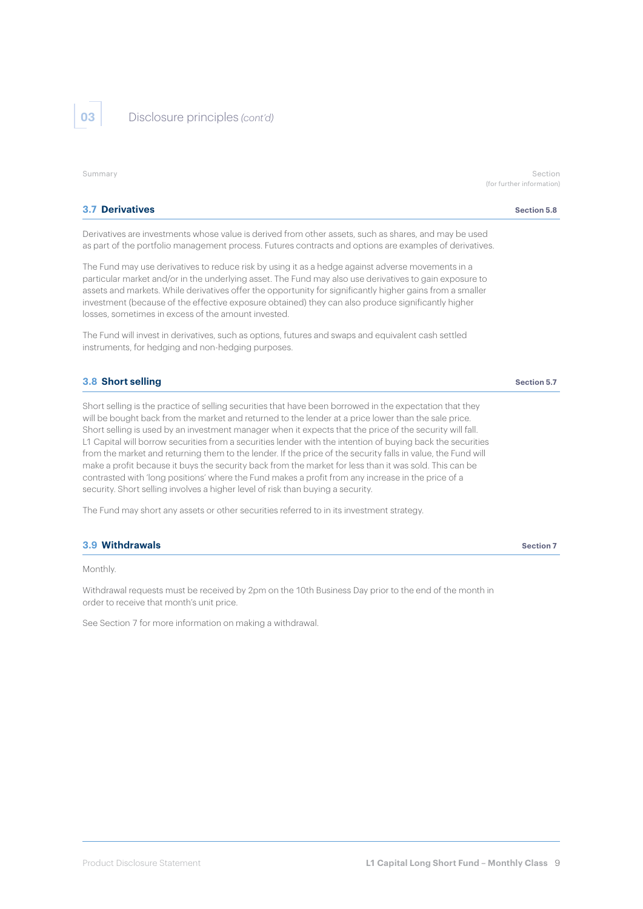**03** Disclosure principles *(cont'd)*

| Summary                                                                                                                                                                                                                                                                                                                                                                                                                                                                                | Section<br>(for further information) |
|----------------------------------------------------------------------------------------------------------------------------------------------------------------------------------------------------------------------------------------------------------------------------------------------------------------------------------------------------------------------------------------------------------------------------------------------------------------------------------------|--------------------------------------|
| <b>3.7 Derivatives</b>                                                                                                                                                                                                                                                                                                                                                                                                                                                                 | Section 5.8                          |
| Derivatives are investments whose value is derived from other assets, such as shares, and may be used<br>as part of the portfolio management process. Futures contracts and options are examples of derivatives.                                                                                                                                                                                                                                                                       |                                      |
| The Fund may use derivatives to reduce risk by using it as a hedge against adverse movements in a<br>particular market and/or in the underlying asset. The Fund may also use derivatives to gain exposure to<br>assets and markets. While derivatives offer the opportunity for significantly higher gains from a smaller<br>investment (because of the effective exposure obtained) they can also produce significantly higher<br>losses, sometimes in excess of the amount invested. |                                      |
| The Fund will invest in derivatives, such as options, futures and swaps and equivalent cash settled<br>instruments, for hedging and non-hedging purposes.                                                                                                                                                                                                                                                                                                                              |                                      |
| 3.8 Short selling                                                                                                                                                                                                                                                                                                                                                                                                                                                                      | Section 5.7                          |
| Short selling is the practice of selling securities that have been borrowed in the expectation that they<br>will be bought back from the market and returned to the lender at a price lower than the sale price.                                                                                                                                                                                                                                                                       |                                      |

Short selling is used by an investment manager when it expects that the price of the security will fall. L1 Capital will borrow securities from a securities lender with the intention of buying back the securities from the market and returning them to the lender. If the price of the security falls in value, the Fund will make a profit because it buys the security back from the market for less than it was sold. This can be contrasted with 'long positions' where the Fund makes a profit from any increase in the price of a security. Short selling involves a higher level of risk than buying a security.

The Fund may short any assets or other securities referred to in its investment strategy.

#### **3.9 Withdrawals Section 7** Section 7

Monthly.

Withdrawal requests must be received by 2pm on the 10th Business Day prior to the end of the month in order to receive that month's unit price.

See Section 7 for more information on making a withdrawal.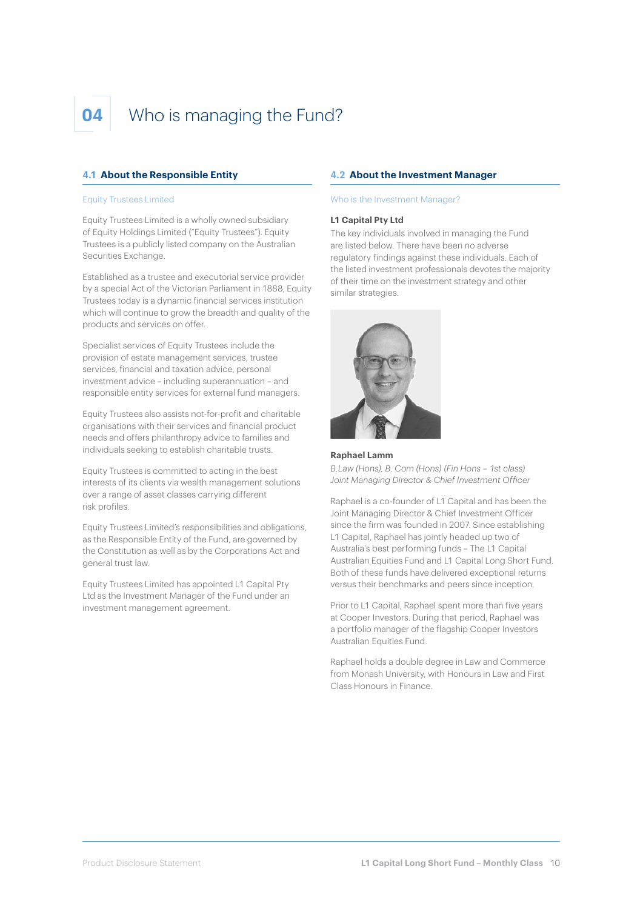## **04** Who is managing the Fund?

#### **4.1 About the Responsible Entity**

#### Equity Trustees Limited

Equity Trustees Limited is a wholly owned subsidiary of Equity Holdings Limited ("Equity Trustees"). Equity Trustees is a publicly listed company on the Australian Securities Exchange.

Established as a trustee and executorial service provider by a special Act of the Victorian Parliament in 1888, Equity Trustees today is a dynamic financial services institution which will continue to grow the breadth and quality of the products and services on offer.

Specialist services of Equity Trustees include the provision of estate management services, trustee services, financial and taxation advice, personal investment advice – including superannuation – and responsible entity services for external fund managers.

Equity Trustees also assists not-for-profit and charitable organisations with their services and financial product needs and offers philanthropy advice to families and individuals seeking to establish charitable trusts.

Equity Trustees is committed to acting in the best interests of its clients via wealth management solutions over a range of asset classes carrying different risk profiles.

Equity Trustees Limited's responsibilities and obligations, as the Responsible Entity of the Fund, are governed by the Constitution as well as by the Corporations Act and general trust law.

Equity Trustees Limited has appointed L1 Capital Pty Ltd as the Investment Manager of the Fund under an investment management agreement.

#### **4.2 About the Investment Manager**

#### Who is the Investment Manager?

#### **L1 Capital Pty Ltd**

The key individuals involved in managing the Fund are listed below. There have been no adverse regulatory findings against these individuals. Each of the listed investment professionals devotes the majority of their time on the investment strategy and other similar strategies.



#### **Raphael Lamm**

*B.Law (Hons), B. Com (Hons) (Fin Hons – 1st class) Joint Managing Director & Chief Investment Officer*

Raphael is a co-founder of L1 Capital and has been the Joint Managing Director & Chief Investment Officer since the firm was founded in 2007. Since establishing L1 Capital, Raphael has jointly headed up two of Australia's best performing funds – The L1 Capital Australian Equities Fund and L1 Capital Long Short Fund. Both of these funds have delivered exceptional returns versus their benchmarks and peers since inception.

Prior to L1 Capital, Raphael spent more than five years at Cooper Investors. During that period, Raphael was a portfolio manager of the flagship Cooper Investors Australian Equities Fund.

Raphael holds a double degree in Law and Commerce from Monash University, with Honours in Law and First Class Honours in Finance.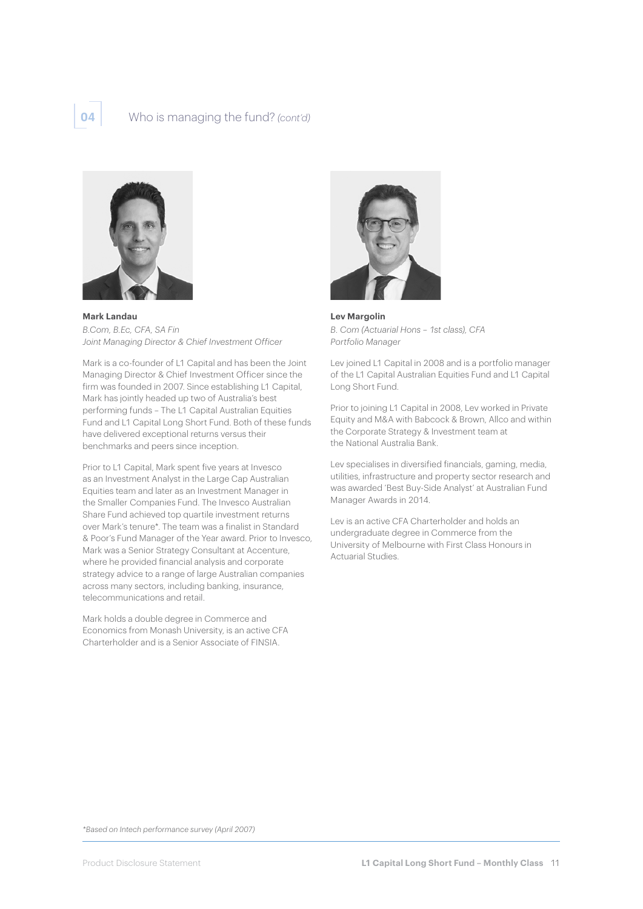#### **04** Who is managing the fund? *(cont'd)*



**Mark Landau**  *B.Com, B.Ec, CFA, SA Fin Joint Managing Director & Chief Investment Officer*

Mark is a co-founder of L1 Capital and has been the Joint Managing Director & Chief Investment Officer since the firm was founded in 2007. Since establishing L1 Capital, Mark has jointly headed up two of Australia's best performing funds – The L1 Capital Australian Equities Fund and L1 Capital Long Short Fund. Both of these funds have delivered exceptional returns versus their benchmarks and peers since inception.

Prior to L1 Capital, Mark spent five years at Invesco as an Investment Analyst in the Large Cap Australian Equities team and later as an Investment Manager in the Smaller Companies Fund. The Invesco Australian Share Fund achieved top quartile investment returns over Mark's tenure\*. The team was a finalist in Standard & Poor's Fund Manager of the Year award. Prior to Invesco, Mark was a Senior Strategy Consultant at Accenture, where he provided financial analysis and corporate strategy advice to a range of large Australian companies across many sectors, including banking, insurance, telecommunications and retail.

Mark holds a double degree in Commerce and Economics from Monash University, is an active CFA Charterholder and is a Senior Associate of FINSIA.



**Lev Margolin**  *B. Com (Actuarial Hons – 1st class), CFA Portfolio Manager*

Lev joined L1 Capital in 2008 and is a portfolio manager of the L1 Capital Australian Equities Fund and L1 Capital Long Short Fund.

Prior to joining L1 Capital in 2008, Lev worked in Private Equity and M&A with Babcock & Brown, Allco and within the Corporate Strategy & Investment team at the National Australia Bank.

Lev specialises in diversified financials, gaming, media, utilities, infrastructure and property sector research and was awarded 'Best Buy-Side Analyst' at Australian Fund Manager Awards in 2014.

Lev is an active CFA Charterholder and holds an undergraduate degree in Commerce from the University of Melbourne with First Class Honours in Actuarial Studies.

*\*Based on Intech performance survey (April 2007)*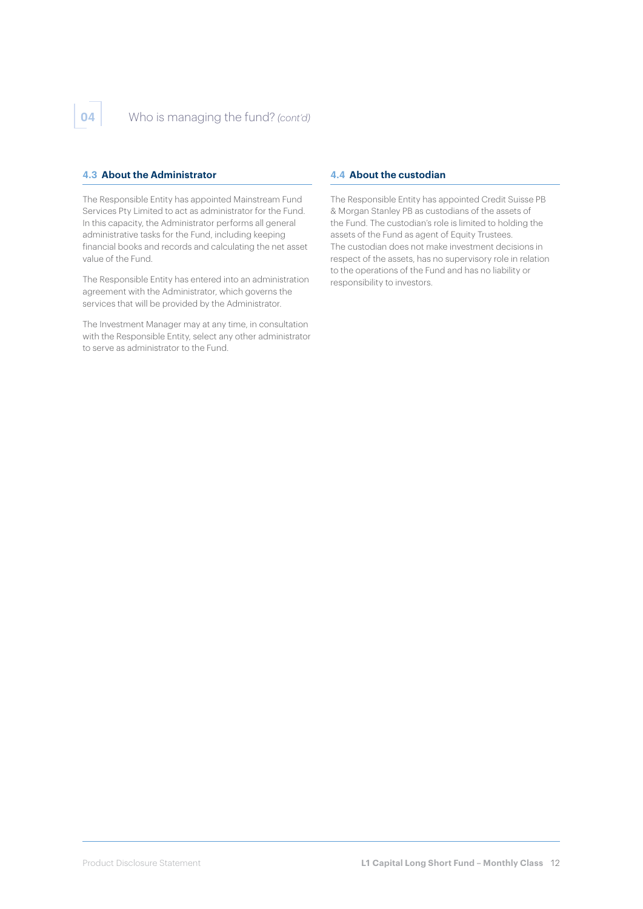#### **4.3 About the Administrator**

The Responsible Entity has appointed Mainstream Fund Services Pty Limited to act as administrator for the Fund. In this capacity, the Administrator performs all general administrative tasks for the Fund, including keeping financial books and records and calculating the net asset value of the Fund.

The Responsible Entity has entered into an administration agreement with the Administrator, which governs the services that will be provided by the Administrator.

The Investment Manager may at any time, in consultation with the Responsible Entity, select any other administrator to serve as administrator to the Fund.

#### **4.4 About the custodian**

The Responsible Entity has appointed Credit Suisse PB & Morgan Stanley PB as custodians of the assets of the Fund. The custodian's role is limited to holding the assets of the Fund as agent of Equity Trustees. The custodian does not make investment decisions in respect of the assets, has no supervisory role in relation to the operations of the Fund and has no liability or responsibility to investors.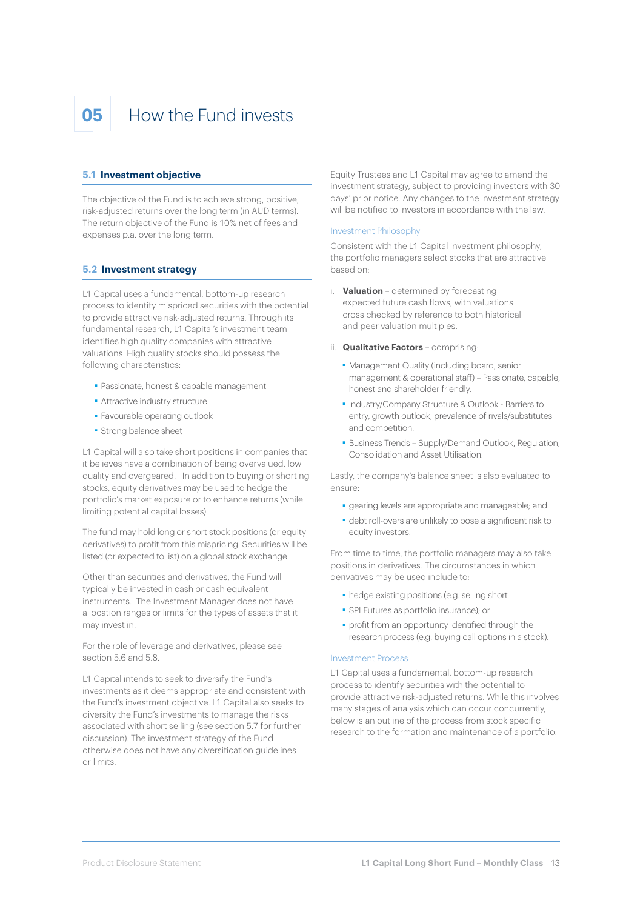## **05** How the Fund invests

#### **5.1 Investment objective**

The objective of the Fund is to achieve strong, positive, risk-adjusted returns over the long term (in AUD terms). The return objective of the Fund is 10% net of fees and expenses p.a. over the long term.

#### **5.2 Investment strategy**

L1 Capital uses a fundamental, bottom-up research process to identify mispriced securities with the potential to provide attractive risk-adjusted returns. Through its fundamental research, L1 Capital's investment team identifies high quality companies with attractive valuations. High quality stocks should possess the following characteristics:

- ■ Passionate, honest & capable management
- ■ Attractive industry structure
- ■ Favourable operating outlook
- ■ Strong balance sheet

L1 Capital will also take short positions in companies that it believes have a combination of being overvalued, low quality and overgeared. In addition to buying or shorting stocks, equity derivatives may be used to hedge the portfolio's market exposure or to enhance returns (while limiting potential capital losses).

The fund may hold long or short stock positions (or equity derivatives) to profit from this mispricing. Securities will be listed (or expected to list) on a global stock exchange.

Other than securities and derivatives, the Fund will typically be invested in cash or cash equivalent instruments. The Investment Manager does not have allocation ranges or limits for the types of assets that it may invest in.

For the role of leverage and derivatives, please see section 5.6 and 5.8.

L1 Capital intends to seek to diversify the Fund's investments as it deems appropriate and consistent with the Fund's investment objective. L1 Capital also seeks to diversity the Fund's investments to manage the risks associated with short selling (see section 5.7 for further discussion). The investment strategy of the Fund otherwise does not have any diversification guidelines or limits.

Equity Trustees and L1 Capital may agree to amend the investment strategy, subject to providing investors with 30 days' prior notice. Any changes to the investment strategy will be notified to investors in accordance with the law.

#### Investment Philosophy

Consistent with the L1 Capital investment philosophy, the portfolio managers select stocks that are attractive based on:

- i. **Valuation** determined by forecasting expected future cash flows, with valuations cross checked by reference to both historical and peer valuation multiples.
- ii. **Qualitative Factors** comprising:
	- ■ Management Quality (including board, senior management & operational staff) – Passionate, capable, honest and shareholder friendly.
	- ■ Industry/Company Structure & Outlook Barriers to entry, growth outlook, prevalence of rivals/substitutes and competition.
	- ■ Business Trends Supply/Demand Outlook, Regulation, Consolidation and Asset Utilisation.

Lastly, the company's balance sheet is also evaluated to ensure:

- ■ gearing levels are appropriate and manageable; and
- ■ debt roll-overs are unlikely to pose a significant risk to equity investors.

From time to time, the portfolio managers may also take positions in derivatives. The circumstances in which derivatives may be used include to:

- hedge existing positions (e.g. selling short
- ■ SPI Futures as portfolio insurance); or
- ■ profit from an opportunity identified through the research process (e.g. buying call options in a stock).

#### Investment Process

L1 Capital uses a fundamental, bottom-up research process to identify securities with the potential to provide attractive risk-adjusted returns. While this involves many stages of analysis which can occur concurrently, below is an outline of the process from stock specific research to the formation and maintenance of a portfolio.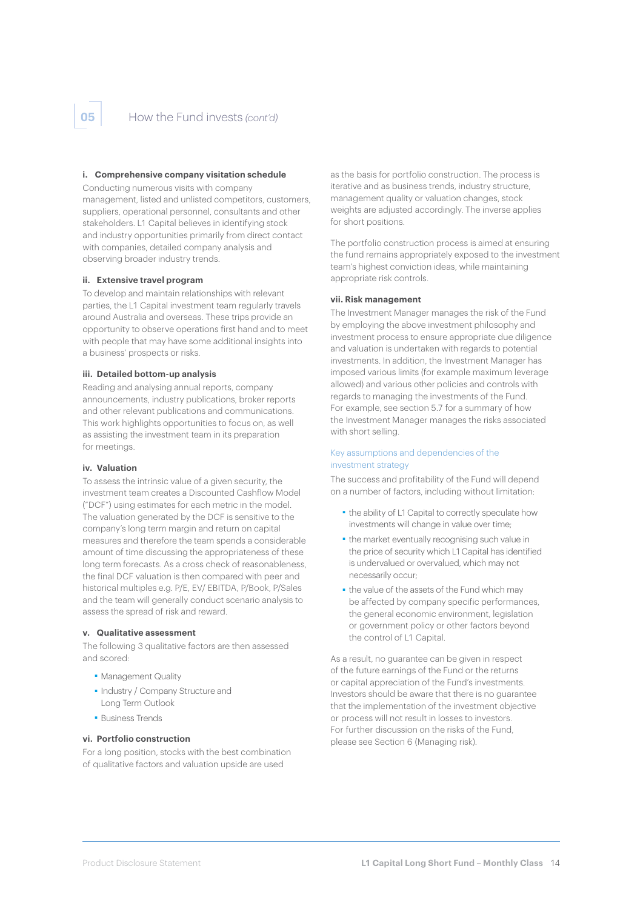#### **i. Comprehensive company visitation schedule**

Conducting numerous visits with company

management, listed and unlisted competitors, customers, suppliers, operational personnel, consultants and other stakeholders. L1 Capital believes in identifying stock and industry opportunities primarily from direct contact with companies, detailed company analysis and observing broader industry trends.

#### **ii. Extensive travel program**

To develop and maintain relationships with relevant parties, the L1 Capital investment team regularly travels around Australia and overseas. These trips provide an opportunity to observe operations first hand and to meet with people that may have some additional insights into a business' prospects or risks.

#### **iii. Detailed bottom-up analysis**

Reading and analysing annual reports, company announcements, industry publications, broker reports and other relevant publications and communications. This work highlights opportunities to focus on, as well as assisting the investment team in its preparation for meetings.

#### **iv. Valuation**

To assess the intrinsic value of a given security, the investment team creates a Discounted Cashflow Model ("DCF") using estimates for each metric in the model. The valuation generated by the DCF is sensitive to the company's long term margin and return on capital measures and therefore the team spends a considerable amount of time discussing the appropriateness of these long term forecasts. As a cross check of reasonableness, the final DCF valuation is then compared with peer and historical multiples e.g. P/E, EV/ EBITDA, P/Book, P/Sales and the team will generally conduct scenario analysis to assess the spread of risk and reward.

#### **v. Qualitative assessment**

The following 3 qualitative factors are then assessed and scored:

- ■ Management Quality
- ■ Industry / Company Structure and Long Term Outlook
- Business Trends

#### **vi. Portfolio construction**

For a long position, stocks with the best combination of qualitative factors and valuation upside are used

as the basis for portfolio construction. The process is iterative and as business trends, industry structure, management quality or valuation changes, stock weights are adjusted accordingly. The inverse applies for short positions.

The portfolio construction process is aimed at ensuring the fund remains appropriately exposed to the investment team's highest conviction ideas, while maintaining appropriate risk controls.

#### **vii. Risk management**

The Investment Manager manages the risk of the Fund by employing the above investment philosophy and investment process to ensure appropriate due diligence and valuation is undertaken with regards to potential investments. In addition, the Investment Manager has imposed various limits (for example maximum leverage allowed) and various other policies and controls with regards to managing the investments of the Fund. For example, see section 5.7 for a summary of how the Investment Manager manages the risks associated with short selling.

#### Key assumptions and dependencies of the investment strategy

The success and profitability of the Fund will depend on a number of factors, including without limitation:

- ■ the ability of L1 Capital to correctly speculate how investments will change in value over time;
- ■ the market eventually recognising such value in the price of security which L1 Capital has identified is undervalued or overvalued, which may not necessarily occur;
- the value of the assets of the Fund which may be affected by company specific performances, the general economic environment, legislation or government policy or other factors beyond the control of L1 Capital.

As a result, no guarantee can be given in respect of the future earnings of the Fund or the returns or capital appreciation of the Fund's investments. Investors should be aware that there is no guarantee that the implementation of the investment objective or process will not result in losses to investors. For further discussion on the risks of the Fund, please see Section 6 (Managing risk).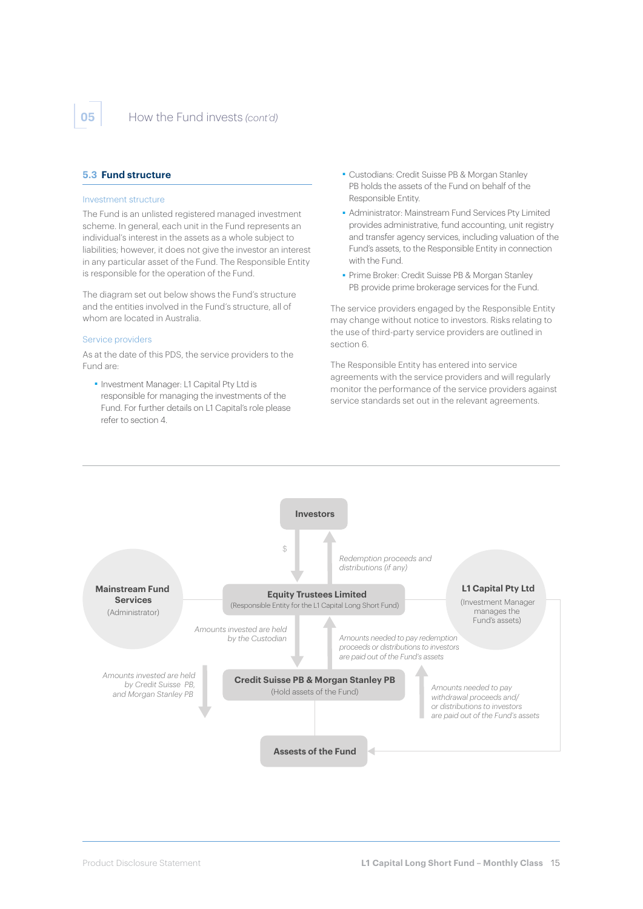#### **5.3 Fund structure**

#### Investment structure

The Fund is an unlisted registered managed investment scheme. In general, each unit in the Fund represents an individual's interest in the assets as a whole subject to liabilities; however, it does not give the investor an interest in any particular asset of the Fund. The Responsible Entity is responsible for the operation of the Fund.

The diagram set out below shows the Fund's structure and the entities involved in the Fund's structure, all of whom are located in Australia.

#### Service providers

As at the date of this PDS, the service providers to the Fund are:

 ■ Investment Manager: L1 Capital Pty Ltd is responsible for managing the investments of the Fund. For further details on L1 Capital's role please refer to section 4.

- ■ Custodians: Credit Suisse PB & Morgan Stanley PB holds the assets of the Fund on behalf of the Responsible Entity.
- ■ Administrator: Mainstream Fund Services Pty Limited provides administrative, fund accounting, unit registry and transfer agency services, including valuation of the Fund's assets, to the Responsible Entity in connection with the Fund.
- Prime Broker: Credit Suisse PB & Morgan Stanley PB provide prime brokerage services for the Fund.

The service providers engaged by the Responsible Entity may change without notice to investors. Risks relating to the use of third-party service providers are outlined in section 6.

The Responsible Entity has entered into service agreements with the service providers and will regularly monitor the performance of the service providers against service standards set out in the relevant agreements.

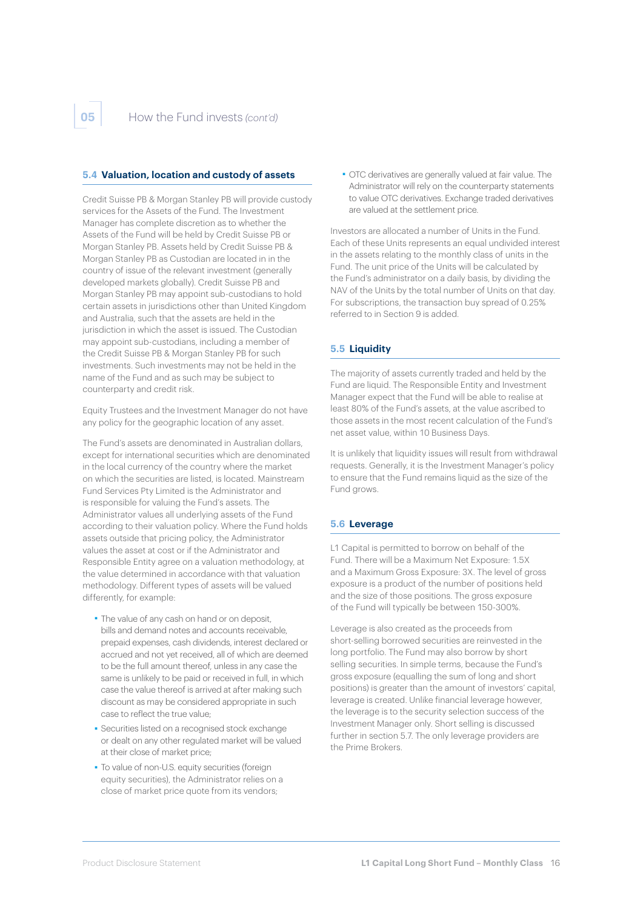#### **5.4 Valuation, location and custody of assets**

Credit Suisse PB & Morgan Stanley PB will provide custody services for the Assets of the Fund. The Investment Manager has complete discretion as to whether the Assets of the Fund will be held by Credit Suisse PB or Morgan Stanley PB. Assets held by Credit Suisse PB & Morgan Stanley PB as Custodian are located in in the country of issue of the relevant investment (generally developed markets globally). Credit Suisse PB and Morgan Stanley PB may appoint sub-custodians to hold certain assets in jurisdictions other than United Kingdom and Australia, such that the assets are held in the jurisdiction in which the asset is issued. The Custodian may appoint sub-custodians, including a member of the Credit Suisse PB & Morgan Stanley PB for such investments. Such investments may not be held in the name of the Fund and as such may be subject to counterparty and credit risk.

Equity Trustees and the Investment Manager do not have any policy for the geographic location of any asset.

The Fund's assets are denominated in Australian dollars, except for international securities which are denominated in the local currency of the country where the market on which the securities are listed, is located. Mainstream Fund Services Pty Limited is the Administrator and is responsible for valuing the Fund's assets. The Administrator values all underlying assets of the Fund according to their valuation policy. Where the Fund holds assets outside that pricing policy, the Administrator values the asset at cost or if the Administrator and Responsible Entity agree on a valuation methodology, at the value determined in accordance with that valuation methodology. Different types of assets will be valued differently, for example:

- ■ The value of any cash on hand or on deposit, bills and demand notes and accounts receivable, prepaid expenses, cash dividends, interest declared or accrued and not yet received, all of which are deemed to be the full amount thereof, unless in any case the same is unlikely to be paid or received in full, in which case the value thereof is arrived at after making such discount as may be considered appropriate in such case to reflect the true value;
- ■ Securities listed on a recognised stock exchange or dealt on any other regulated market will be valued at their close of market price;
- ■ To value of non-U.S. equity securities (foreign equity securities), the Administrator relies on a close of market price quote from its vendors;

 ■ OTC derivatives are generally valued at fair value. The Administrator will rely on the counterparty statements to value OTC derivatives. Exchange traded derivatives are valued at the settlement price.

Investors are allocated a number of Units in the Fund. Each of these Units represents an equal undivided interest in the assets relating to the monthly class of units in the Fund. The unit price of the Units will be calculated by the Fund's administrator on a daily basis, by dividing the NAV of the Units by the total number of Units on that day. For subscriptions, the transaction buy spread of 0.25% referred to in Section 9 is added.

#### **5.5 Liquidity**

The majority of assets currently traded and held by the Fund are liquid. The Responsible Entity and Investment Manager expect that the Fund will be able to realise at least 80% of the Fund's assets, at the value ascribed to those assets in the most recent calculation of the Fund's net asset value, within 10 Business Days.

It is unlikely that liquidity issues will result from withdrawal requests. Generally, it is the Investment Manager's policy to ensure that the Fund remains liquid as the size of the Fund arows.

#### **5.6 Leverage**

L1 Capital is permitted to borrow on behalf of the Fund. There will be a Maximum Net Exposure: 1.5X and a Maximum Gross Exposure: 3X. The level of gross exposure is a product of the number of positions held and the size of those positions. The gross exposure of the Fund will typically be between 150-300%.

Leverage is also created as the proceeds from short-selling borrowed securities are reinvested in the long portfolio. The Fund may also borrow by short selling securities. In simple terms, because the Fund's gross exposure (equalling the sum of long and short positions) is greater than the amount of investors' capital, leverage is created. Unlike financial leverage however, the leverage is to the security selection success of the Investment Manager only. Short selling is discussed further in section 5.7. The only leverage providers are the Prime Brokers.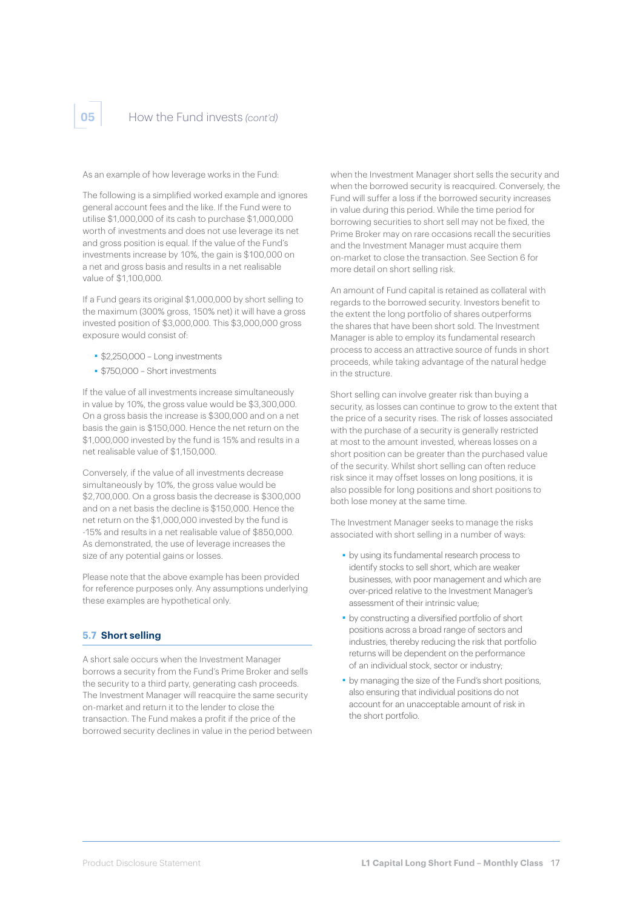As an example of how leverage works in the Fund:

The following is a simplified worked example and ignores general account fees and the like. If the Fund were to utilise \$1,000,000 of its cash to purchase \$1,000,000 worth of investments and does not use leverage its net and gross position is equal. If the value of the Fund's investments increase by 10%, the gain is \$100,000 on a net and gross basis and results in a net realisable value of \$1,100,000.

If a Fund gears its original \$1,000,000 by short selling to the maximum (300% gross, 150% net) it will have a gross invested position of \$3,000,000. This \$3,000,000 gross exposure would consist of:

- ■ \$2,250,000 Long investments
- ■ \$750,000 Short investments

If the value of all investments increase simultaneously in value by 10%, the gross value would be \$3,300,000. On a gross basis the increase is \$300,000 and on a net basis the gain is \$150,000. Hence the net return on the \$1,000,000 invested by the fund is 15% and results in a net realisable value of \$1,150,000.

Conversely, if the value of all investments decrease simultaneously by 10%, the gross value would be \$2,700,000. On a gross basis the decrease is \$300,000 and on a net basis the decline is \$150,000. Hence the net return on the \$1,000,000 invested by the fund is -15% and results in a net realisable value of \$850,000. As demonstrated, the use of leverage increases the size of any potential gains or losses.

Please note that the above example has been provided for reference purposes only. Any assumptions underlying these examples are hypothetical only.

#### **5.7 Short selling**

A short sale occurs when the Investment Manager borrows a security from the Fund's Prime Broker and sells the security to a third party, generating cash proceeds. The Investment Manager will reacquire the same security on-market and return it to the lender to close the transaction. The Fund makes a profit if the price of the borrowed security declines in value in the period between when the Investment Manager short sells the security and when the borrowed security is reacquired. Conversely, the Fund will suffer a loss if the borrowed security increases in value during this period. While the time period for borrowing securities to short sell may not be fixed, the Prime Broker may on rare occasions recall the securities and the Investment Manager must acquire them on-market to close the transaction. See Section 6 for more detail on short selling risk.

An amount of Fund capital is retained as collateral with regards to the borrowed security. Investors benefit to the extent the long portfolio of shares outperforms the shares that have been short sold. The Investment Manager is able to employ its fundamental research process to access an attractive source of funds in short proceeds, while taking advantage of the natural hedge in the structure.

Short selling can involve greater risk than buying a security, as losses can continue to grow to the extent that the price of a security rises. The risk of losses associated with the purchase of a security is generally restricted at most to the amount invested, whereas losses on a short position can be greater than the purchased value of the security. Whilst short selling can often reduce risk since it may offset losses on long positions, it is also possible for long positions and short positions to both lose money at the same time.

The Investment Manager seeks to manage the risks associated with short selling in a number of ways:

- ■ by using its fundamental research process to identify stocks to sell short, which are weaker businesses, with poor management and which are over-priced relative to the Investment Manager's assessment of their intrinsic value;
- ■ by constructing a diversified portfolio of short positions across a broad range of sectors and industries, thereby reducing the risk that portfolio returns will be dependent on the performance of an individual stock, sector or industry;
- ■ by managing the size of the Fund's short positions, also ensuring that individual positions do not account for an unacceptable amount of risk in the short portfolio.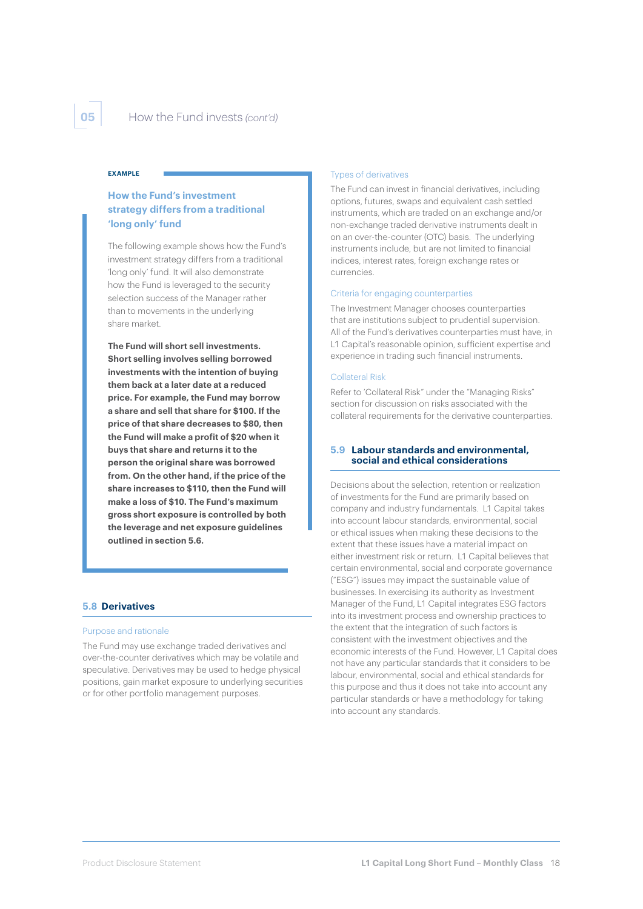#### **EXAMPLE**

#### **How the Fund's investment strategy differs from a traditional 'long only' fund**

The following example shows how the Fund's investment strategy differs from a traditional 'long only' fund. It will also demonstrate how the Fund is leveraged to the security selection success of the Manager rather than to movements in the underlying share market.

**The Fund will short sell investments. Short selling involves selling borrowed investments with the intention of buying them back at a later date at a reduced price. For example, the Fund may borrow a share and sell that share for \$100. If the price of that share decreases to \$80, then the Fund will make a profit of \$20 when it buys that share and returns it to the person the original share was borrowed from. On the other hand, if the price of the share increases to \$110, then the Fund will make a loss of \$10. The Fund's maximum gross short exposure is controlled by both the leverage and net exposure guidelines outlined in section 5.6.**

#### **5.8 Derivatives**

#### Purpose and rationale

The Fund may use exchange traded derivatives and over-the-counter derivatives which may be volatile and speculative. Derivatives may be used to hedge physical positions, gain market exposure to underlying securities or for other portfolio management purposes.

#### Types of derivatives

The Fund can invest in financial derivatives, including options, futures, swaps and equivalent cash settled instruments, which are traded on an exchange and/or non-exchange traded derivative instruments dealt in on an over-the-counter (OTC) basis. The underlying instruments include, but are not limited to financial indices, interest rates, foreign exchange rates or currencies.

#### Criteria for engaging counterparties

The Investment Manager chooses counterparties that are institutions subject to prudential supervision. All of the Fund's derivatives counterparties must have, in L1 Capital's reasonable opinion, sufficient expertise and experience in trading such financial instruments.

#### Collateral Risk

Refer to 'Collateral Risk" under the "Managing Risks" section for discussion on risks associated with the collateral requirements for the derivative counterparties.

#### **5.9 Labour standards and environmental, social and ethical considerations**

Decisions about the selection, retention or realization of investments for the Fund are primarily based on company and industry fundamentals. L1 Capital takes into account labour standards, environmental, social or ethical issues when making these decisions to the extent that these issues have a material impact on either investment risk or return. L1 Capital believes that certain environmental, social and corporate governance ("ESG") issues may impact the sustainable value of businesses. In exercising its authority as Investment Manager of the Fund, L1 Capital integrates ESG factors into its investment process and ownership practices to the extent that the integration of such factors is consistent with the investment objectives and the economic interests of the Fund. However, L1 Capital does not have any particular standards that it considers to be labour, environmental, social and ethical standards for this purpose and thus it does not take into account any particular standards or have a methodology for taking into account any standards.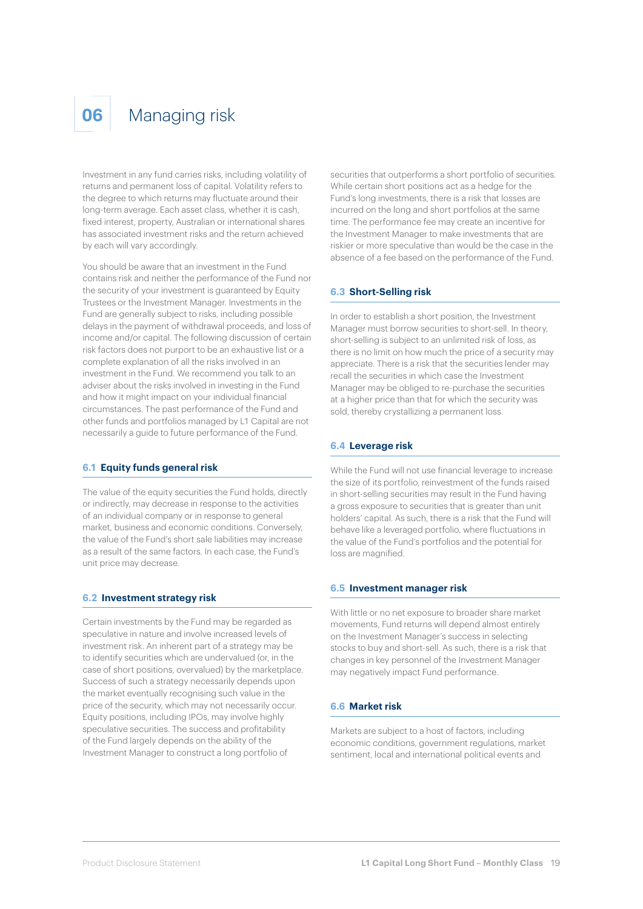### **06** Managing risk

Investment in any fund carries risks, including volatility of returns and permanent loss of capital. Volatility refers to the degree to which returns may fluctuate around their long-term average. Each asset class, whether it is cash, fixed interest, property, Australian or international shares has associated investment risks and the return achieved by each will vary accordingly.

You should be aware that an investment in the Fund contains risk and neither the performance of the Fund nor the security of your investment is guaranteed by Equity Trustees or the Investment Manager. Investments in the Fund are generally subject to risks, including possible delays in the payment of withdrawal proceeds, and loss of income and/or capital. The following discussion of certain risk factors does not purport to be an exhaustive list or a complete explanation of all the risks involved in an investment in the Fund. We recommend you talk to an adviser about the risks involved in investing in the Fund and how it might impact on your individual financial circumstances. The past performance of the Fund and other funds and portfolios managed by L1 Capital are not necessarily a guide to future performance of the Fund.

#### **6.1 Equity funds general risk**

The value of the equity securities the Fund holds, directly or indirectly, may decrease in response to the activities of an individual company or in response to general market, business and economic conditions. Conversely, the value of the Fund's short sale liabilities may increase as a result of the same factors. In each case, the Fund's unit price may decrease.

#### **6.2 Investment strategy risk**

Certain investments by the Fund may be regarded as speculative in nature and involve increased levels of investment risk. An inherent part of a strategy may be to identify securities which are undervalued (or, in the case of short positions, overvalued) by the marketplace. Success of such a strategy necessarily depends upon the market eventually recognising such value in the price of the security, which may not necessarily occur. Equity positions, including IPOs, may involve highly speculative securities. The success and profitability of the Fund largely depends on the ability of the Investment Manager to construct a long portfolio of

securities that outperforms a short portfolio of securities. While certain short positions act as a hedge for the Fund's long investments, there is a risk that losses are incurred on the long and short portfolios at the same time. The performance fee may create an incentive for the Investment Manager to make investments that are riskier or more speculative than would be the case in the absence of a fee based on the performance of the Fund.

#### **6.3 Short-Selling risk**

In order to establish a short position, the Investment Manager must borrow securities to short-sell. In theory, short-selling is subject to an unlimited risk of loss, as there is no limit on how much the price of a security may appreciate. There is a risk that the securities lender may recall the securities in which case the Investment Manager may be obliged to re-purchase the securities at a higher price than that for which the security was sold, thereby crystallizing a permanent loss.

#### **6.4 Leverage risk**

While the Fund will not use financial leverage to increase the size of its portfolio, reinvestment of the funds raised in short-selling securities may result in the Fund having a gross exposure to securities that is greater than unit holders' capital. As such, there is a risk that the Fund will behave like a leveraged portfolio, where fluctuations in the value of the Fund's portfolios and the potential for loss are magnified.

#### **6.5 Investment manager risk**

With little or no net exposure to broader share market movements, Fund returns will depend almost entirely on the Investment Manager's success in selecting stocks to buy and short-sell. As such, there is a risk that changes in key personnel of the Investment Manager may negatively impact Fund performance.

#### **6.6 Market risk**

Markets are subject to a host of factors, including economic conditions, government regulations, market sentiment, local and international political events and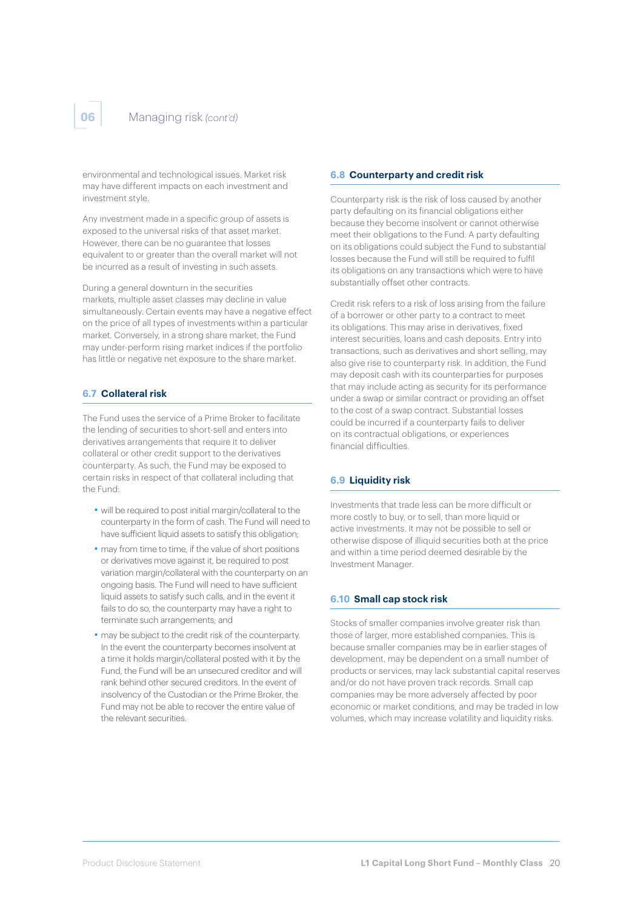environmental and technological issues. Market risk may have different impacts on each investment and investment style.

Any investment made in a specific group of assets is exposed to the universal risks of that asset market. However, there can be no guarantee that losses equivalent to or greater than the overall market will not be incurred as a result of investing in such assets.

During a general downturn in the securities markets, multiple asset classes may decline in value simultaneously. Certain events may have a negative effect on the price of all types of investments within a particular market. Conversely, in a strong share market, the Fund may under-perform rising market indices if the portfolio has little or negative net exposure to the share market.

#### **6.7 Collateral risk**

The Fund uses the service of a Prime Broker to facilitate the lending of securities to short-sell and enters into derivatives arrangements that require it to deliver collateral or other credit support to the derivatives counterparty. As such, the Fund may be exposed to certain risks in respect of that collateral including that the Fund:

- ■ will be required to post initial margin/collateral to the counterparty in the form of cash. The Fund will need to have sufficient liquid assets to satisfy this obligation;
- ■ may from time to time, if the value of short positions or derivatives move against it, be required to post variation margin/collateral with the counterparty on an ongoing basis. The Fund will need to have sufficient liquid assets to satisfy such calls, and in the event it fails to do so, the counterparty may have a right to terminate such arrangements; and
- ■ may be subject to the credit risk of the counterparty. In the event the counterparty becomes insolvent at a time it holds margin/collateral posted with it by the Fund, the Fund will be an unsecured creditor and will rank behind other secured creditors. In the event of insolvency of the Custodian or the Prime Broker, the Fund may not be able to recover the entire value of the relevant securities.

#### **6.8 Counterparty and credit risk**

Counterparty risk is the risk of loss caused by another party defaulting on its financial obligations either because they become insolvent or cannot otherwise meet their obligations to the Fund. A party defaulting on its obligations could subject the Fund to substantial losses because the Fund will still be required to fulfil its obligations on any transactions which were to have substantially offset other contracts.

Credit risk refers to a risk of loss arising from the failure of a borrower or other party to a contract to meet its obligations. This may arise in derivatives, fixed interest securities, loans and cash deposits. Entry into transactions, such as derivatives and short selling, may also give rise to counterparty risk. In addition, the Fund may deposit cash with its counterparties for purposes that may include acting as security for its performance under a swap or similar contract or providing an offset to the cost of a swap contract. Substantial losses could be incurred if a counterparty fails to deliver on its contractual obligations, or experiences financial difficulties.

#### **6.9 Liquidity risk**

Investments that trade less can be more difficult or more costly to buy, or to sell, than more liquid or active investments. It may not be possible to sell or otherwise dispose of illiquid securities both at the price and within a time period deemed desirable by the Investment Manager.

#### **6.10 Small cap stock risk**

Stocks of smaller companies involve greater risk than those of larger, more established companies. This is because smaller companies may be in earlier stages of development, may be dependent on a small number of products or services, may lack substantial capital reserves and/or do not have proven track records. Small cap companies may be more adversely affected by poor economic or market conditions, and may be traded in low volumes, which may increase volatility and liquidity risks.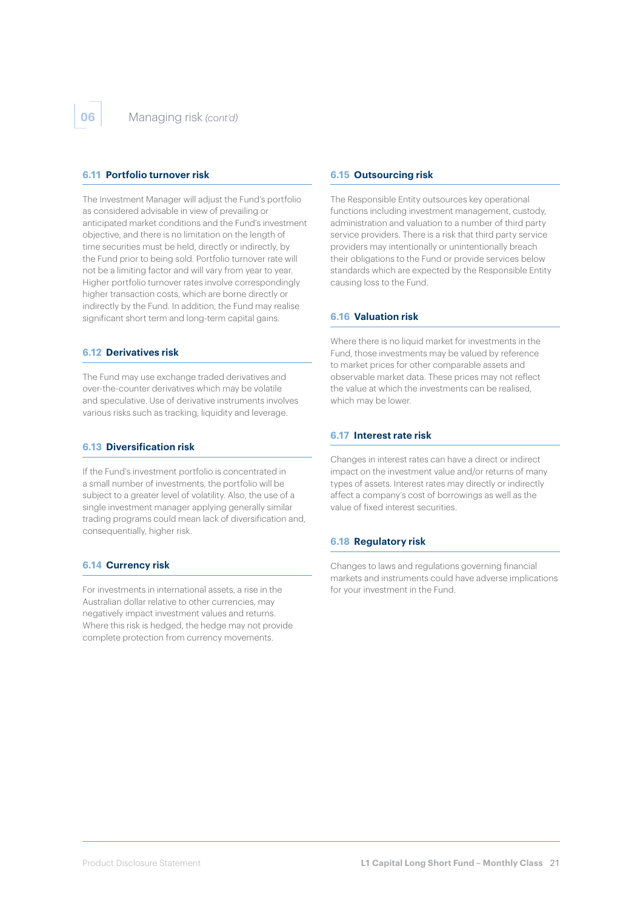#### **6.11 Portfolio turnover risk**

The Investment Manager will adjust the Fund's portfolio as considered advisable in view of prevailing or anticipated market conditions and the Fund's investment objective, and there is no limitation on the length of time securities must be held, directly or indirectly, by the Fund prior to being sold. Portfolio turnover rate will not be a limiting factor and will vary from year to year. Higher portfolio turnover rates involve correspondingly higher transaction costs, which are borne directly or indirectly by the Fund. In addition, the Fund may realise significant short term and long-term capital gains.

#### **6.12 Derivatives risk**

The Fund may use exchange traded derivatives and over-the-counter derivatives which may be volatile and speculative. Use of derivative instruments involves various risks such as tracking, liquidity and leverage.

#### **6.13 Diversification risk**

If the Fund's investment portfolio is concentrated in a small number of investments, the portfolio will be subject to a greater level of volatility. Also, the use of a single investment manager applying generally similar trading programs could mean lack of diversification and, consequentially, higher risk.

#### **6.14 Currency risk**

For investments in international assets, a rise in the Australian dollar relative to other currencies, may negatively impact investment values and returns. Where this risk is hedged, the hedge may not provide complete protection from currency movements.

#### **6.15 Outsourcing risk**

The Responsible Entity outsources key operational functions including investment management, custody, administration and valuation to a number of third party service providers. There is a risk that third party service providers may intentionally or unintentionally breach their obligations to the Fund or provide services below standards which are expected by the Responsible Entity causing loss to the Fund.

#### **6.16 Valuation risk**

Where there is no liquid market for investments in the Fund, those investments may be valued by reference to market prices for other comparable assets and observable market data. These prices may not reflect the value at which the investments can be realised, which may be lower.

#### **6.17 Interest rate risk**

Changes in interest rates can have a direct or indirect impact on the investment value and/or returns of many types of assets. Interest rates may directly or indirectly affect a company's cost of borrowings as well as the value of fixed interest securities.

#### **6.18 Regulatory risk**

Changes to laws and regulations governing financial markets and instruments could have adverse implications for your investment in the Fund.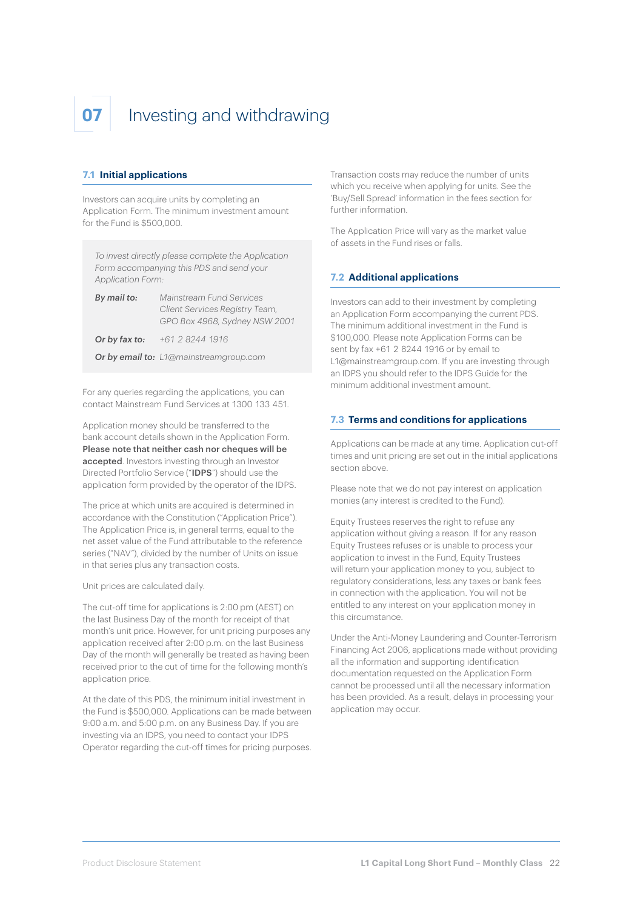## **07** Investing and withdrawing

#### **7.1 Initial applications**

Investors can acquire units by completing an Application Form. The minimum investment amount for the Fund is \$500,000.

*To invest directly please complete the Application Form accompanying this PDS and send your Application Form:*

| By mail to:   | Mainstream Fund Services                                        |  |
|---------------|-----------------------------------------------------------------|--|
|               | Client Services Registry Team,<br>GPO Box 4968, Sydney NSW 2001 |  |
| Or by fax to: | +61 2 8244 1916                                                 |  |
|               | <b>Or by email to:</b> L1@mainstreamgroup.com                   |  |

For any queries regarding the applications, you can contact Mainstream Fund Services at 1300 133 451.

Application money should be transferred to the bank account details shown in the Application Form. Please note that neither cash nor cheques will be accepted. Investors investing through an Investor Directed Portfolio Service ("IDPS") should use the application form provided by the operator of the IDPS.

The price at which units are acquired is determined in accordance with the Constitution ("Application Price"). The Application Price is, in general terms, equal to the net asset value of the Fund attributable to the reference series ("NAV"), divided by the number of Units on issue in that series plus any transaction costs.

Unit prices are calculated daily.

The cut-off time for applications is 2:00 pm (AEST) on the last Business Day of the month for receipt of that month's unit price. However, for unit pricing purposes any application received after 2:00 p.m. on the last Business Day of the month will generally be treated as having been received prior to the cut of time for the following month's application price.

At the date of this PDS, the minimum initial investment in the Fund is \$500,000. Applications can be made between 9:00 a.m. and 5:00 p.m. on any Business Day. If you are investing via an IDPS, you need to contact your IDPS Operator regarding the cut-off times for pricing purposes.

Transaction costs may reduce the number of units which you receive when applying for units. See the 'Buy/Sell Spread' information in the fees section for further information.

The Application Price will vary as the market value of assets in the Fund rises or falls.

#### **7.2 Additional applications**

Investors can add to their investment by completing an Application Form accompanying the current PDS. The minimum additional investment in the Fund is \$100,000. Please note Application Forms can be sent by fax +61 2 8244 1916 or by email to L1@mainstreamgroup.com. If you are investing through an IDPS you should refer to the IDPS Guide for the minimum additional investment amount.

#### **7.3 Terms and conditions for applications**

Applications can be made at any time. Application cut-off times and unit pricing are set out in the initial applications section above.

Please note that we do not pay interest on application monies (any interest is credited to the Fund).

Equity Trustees reserves the right to refuse any application without giving a reason. If for any reason Equity Trustees refuses or is unable to process your application to invest in the Fund, Equity Trustees will return your application money to you, subject to regulatory considerations, less any taxes or bank fees in connection with the application. You will not be entitled to any interest on your application money in this circumstance.

Under the Anti-Money Laundering and Counter-Terrorism Financing Act 2006, applications made without providing all the information and supporting identification documentation requested on the Application Form cannot be processed until all the necessary information has been provided. As a result, delays in processing your application may occur.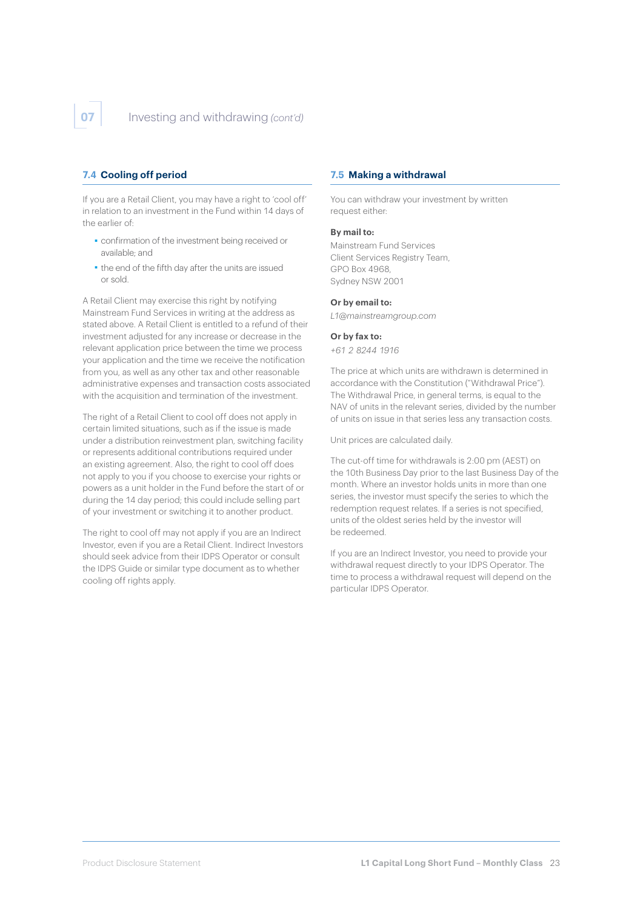#### **7.4 Cooling off period**

If you are a Retail Client, you may have a right to 'cool off' in relation to an investment in the Fund within 14 days of the earlier of:

- ■ confirmation of the investment being received or available; and
- the end of the fifth day after the units are issued or sold.

A Retail Client may exercise this right by notifying Mainstream Fund Services in writing at the address as stated above. A Retail Client is entitled to a refund of their investment adjusted for any increase or decrease in the relevant application price between the time we process your application and the time we receive the notification from you, as well as any other tax and other reasonable administrative expenses and transaction costs associated with the acquisition and termination of the investment.

The right of a Retail Client to cool off does not apply in certain limited situations, such as if the issue is made under a distribution reinvestment plan, switching facility or represents additional contributions required under an existing agreement. Also, the right to cool off does not apply to you if you choose to exercise your rights or powers as a unit holder in the Fund before the start of or during the 14 day period; this could include selling part of your investment or switching it to another product.

The right to cool off may not apply if you are an Indirect Investor, even if you are a Retail Client. Indirect Investors should seek advice from their IDPS Operator or consult the IDPS Guide or similar type document as to whether cooling off rights apply.

#### **7.5 Making a withdrawal**

You can withdraw your investment by written request either:

#### **By mail to:**

Mainstream Fund Services Client Services Registry Team, GPO Box 4968, Sydney NSW 2001

#### **Or by email to:**

*L1@mainstreamgroup.com*

#### **Or by fax to:**

*+61 2 8244 1916*

The price at which units are withdrawn is determined in accordance with the Constitution ("Withdrawal Price"). The Withdrawal Price, in general terms, is equal to the NAV of units in the relevant series, divided by the number of units on issue in that series less any transaction costs.

Unit prices are calculated daily.

The cut-off time for withdrawals is 2:00 pm (AEST) on the 10th Business Day prior to the last Business Day of the month. Where an investor holds units in more than one series, the investor must specify the series to which the redemption request relates. If a series is not specified, units of the oldest series held by the investor will be redeemed.

If you are an Indirect Investor, you need to provide your withdrawal request directly to your IDPS Operator. The time to process a withdrawal request will depend on the particular IDPS Operator.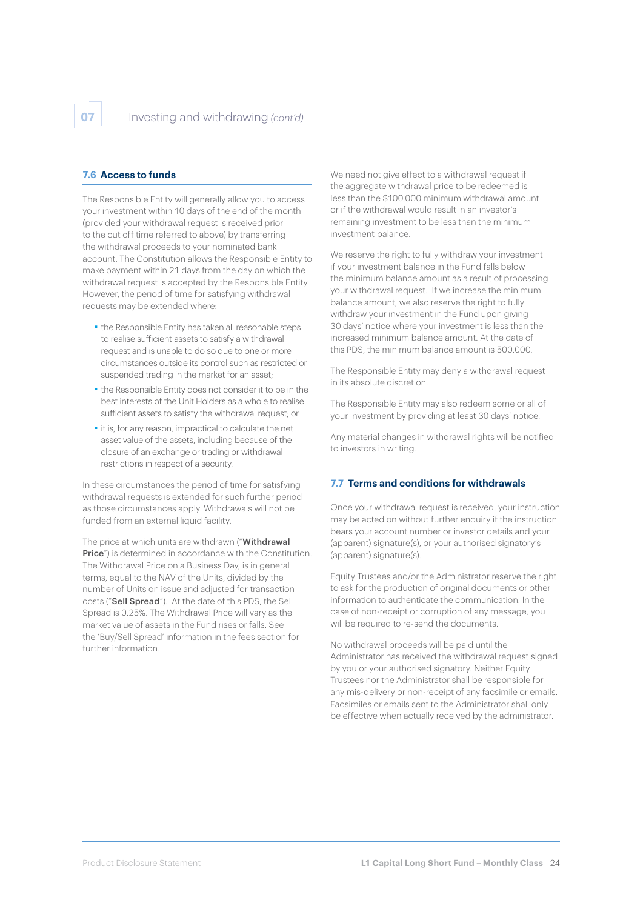#### **7.6 Access to funds**

The Responsible Entity will generally allow you to access your investment within 10 days of the end of the month (provided your withdrawal request is received prior to the cut off time referred to above) by transferring the withdrawal proceeds to your nominated bank account. The Constitution allows the Responsible Entity to make payment within 21 days from the day on which the withdrawal request is accepted by the Responsible Entity. However, the period of time for satisfying withdrawal requests may be extended where:

- ■ the Responsible Entity has taken all reasonable steps to realise sufficient assets to satisfy a withdrawal request and is unable to do so due to one or more circumstances outside its control such as restricted or suspended trading in the market for an asset;
- ■ the Responsible Entity does not consider it to be in the best interests of the Unit Holders as a whole to realise sufficient assets to satisfy the withdrawal request; or
- ■ it is, for any reason, impractical to calculate the net asset value of the assets, including because of the closure of an exchange or trading or withdrawal restrictions in respect of a security.

In these circumstances the period of time for satisfying withdrawal requests is extended for such further period as those circumstances apply. Withdrawals will not be funded from an external liquid facility.

The price at which units are withdrawn ("Withdrawal Price") is determined in accordance with the Constitution. The Withdrawal Price on a Business Day, is in general terms, equal to the NAV of the Units, divided by the number of Units on issue and adjusted for transaction costs ("Sell Spread"). At the date of this PDS, the Sell Spread is 0.25%. The Withdrawal Price will vary as the market value of assets in the Fund rises or falls. See the 'Buy/Sell Spread' information in the fees section for further information.

We need not give effect to a withdrawal request if the aggregate withdrawal price to be redeemed is less than the \$100,000 minimum withdrawal amount or if the withdrawal would result in an investor's remaining investment to be less than the minimum investment balance.

We reserve the right to fully withdraw your investment if your investment balance in the Fund falls below the minimum balance amount as a result of processing your withdrawal request. If we increase the minimum balance amount, we also reserve the right to fully withdraw your investment in the Fund upon giving 30 days' notice where your investment is less than the increased minimum balance amount. At the date of this PDS, the minimum balance amount is 500,000.

The Responsible Entity may deny a withdrawal request in its absolute discretion.

The Responsible Entity may also redeem some or all of your investment by providing at least 30 days' notice.

Any material changes in withdrawal rights will be notified to investors in writing.

#### **7.7 Terms and conditions for withdrawals**

Once your withdrawal request is received, your instruction may be acted on without further enquiry if the instruction bears your account number or investor details and your (apparent) signature(s), or your authorised signatory's (apparent) signature(s).

Equity Trustees and/or the Administrator reserve the right to ask for the production of original documents or other information to authenticate the communication. In the case of non-receipt or corruption of any message, you will be required to re-send the documents.

No withdrawal proceeds will be paid until the Administrator has received the withdrawal request signed by you or your authorised signatory. Neither Equity Trustees nor the Administrator shall be responsible for any mis-delivery or non-receipt of any facsimile or emails. Facsimiles or emails sent to the Administrator shall only be effective when actually received by the administrator.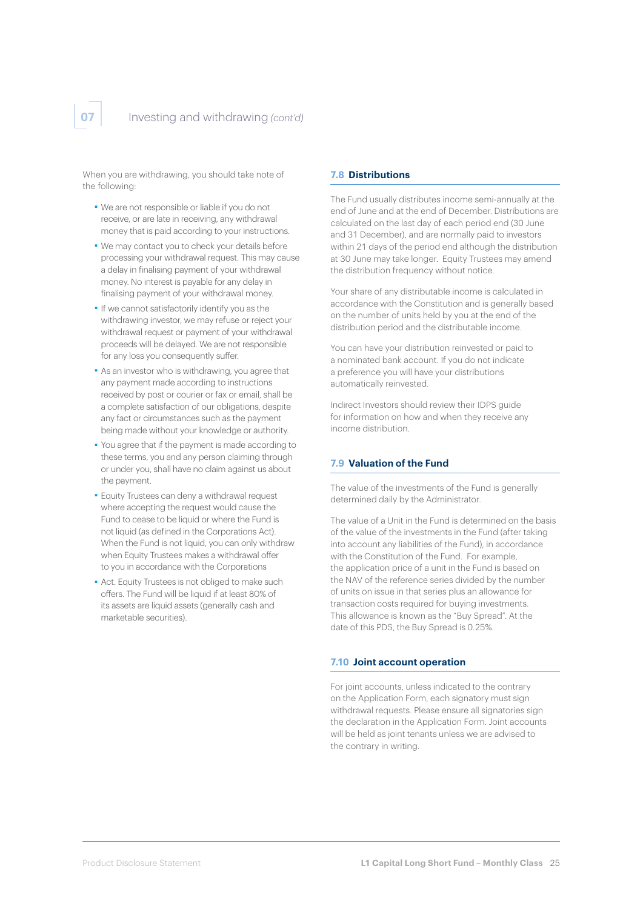When you are withdrawing, you should take note of the following:

- ■ We are not responsible or liable if you do not receive, or are late in receiving, any withdrawal money that is paid according to your instructions.
- ■ We may contact you to check your details before processing your withdrawal request. This may cause a delay in finalising payment of your withdrawal money. No interest is payable for any delay in finalising payment of your withdrawal money.
- ■ If we cannot satisfactorily identify you as the withdrawing investor, we may refuse or reject your withdrawal request or payment of your withdrawal proceeds will be delayed. We are not responsible for any loss you consequently suffer.
- ■ As an investor who is withdrawing, you agree that any payment made according to instructions received by post or courier or fax or email, shall be a complete satisfaction of our obligations, despite any fact or circumstances such as the payment being made without your knowledge or authority.
- ■ You agree that if the payment is made according to these terms, you and any person claiming through or under you, shall have no claim against us about the payment.
- **Equity Trustees can deny a withdrawal request** where accepting the request would cause the Fund to cease to be liquid or where the Fund is not liquid (as defined in the Corporations Act). When the Fund is not liquid, you can only withdraw when Fquity Trustees makes a withdrawal offer to you in accordance with the Corporations
- Act. Equity Trustees is not obliged to make such offers. The Fund will be liquid if at least 80% of its assets are liquid assets (generally cash and marketable securities).

#### **7.8 Distributions**

The Fund usually distributes income semi-annually at the end of June and at the end of December. Distributions are calculated on the last day of each period end (30 June and 31 December), and are normally paid to investors within 21 days of the period end although the distribution at 30 June may take longer. Equity Trustees may amend the distribution frequency without notice.

Your share of any distributable income is calculated in accordance with the Constitution and is generally based on the number of units held by you at the end of the distribution period and the distributable income.

You can have your distribution reinvested or paid to a nominated bank account. If you do not indicate a preference you will have your distributions automatically reinvested.

Indirect Investors should review their IDPS guide for information on how and when they receive any income distribution.

#### **7.9 Valuation of the Fund**

The value of the investments of the Fund is generally determined daily by the Administrator.

The value of a Unit in the Fund is determined on the basis of the value of the investments in the Fund (after taking into account any liabilities of the Fund), in accordance with the Constitution of the Fund. For example, the application price of a unit in the Fund is based on the NAV of the reference series divided by the number of units on issue in that series plus an allowance for transaction costs required for buying investments. This allowance is known as the "Buy Spread". At the date of this PDS, the Buy Spread is 0.25%.

#### **7.10 Joint account operation**

For joint accounts, unless indicated to the contrary on the Application Form, each signatory must sign withdrawal requests. Please ensure all signatories sign the declaration in the Application Form. Joint accounts will be held as joint tenants unless we are advised to the contrary in writing.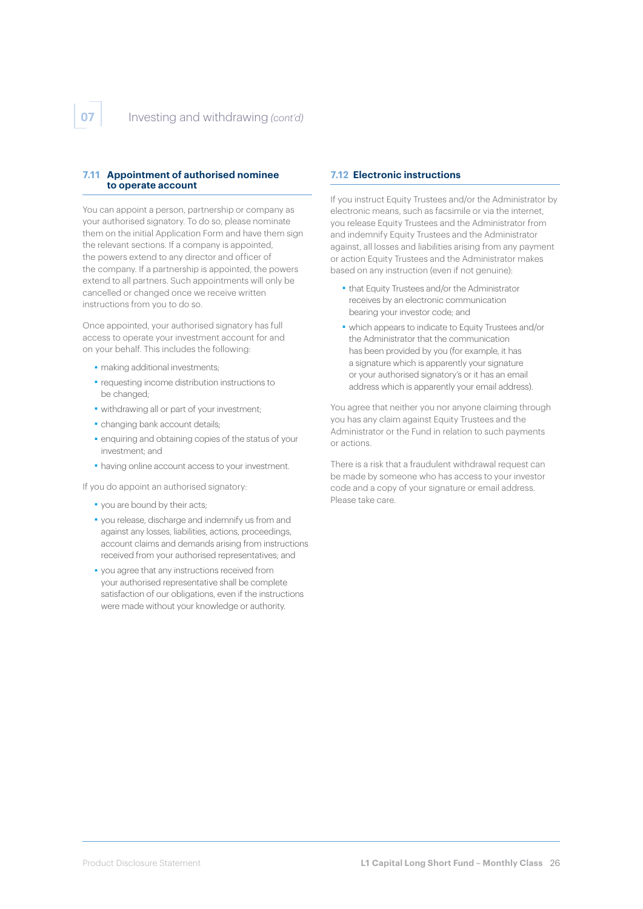#### **7.11 Appointment of authorised nominee to operate account**

You can appoint a person, partnership or company as your authorised signatory. To do so, please nominate them on the initial Application Form and have them sign the relevant sections. If a company is appointed, the powers extend to any director and officer of the company. If a partnership is appointed, the powers extend to all partners. Such appointments will only be cancelled or changed once we receive written instructions from you to do so.

Once appointed, your authorised signatory has full access to operate your investment account for and on your behalf. This includes the following:

- making additional investments;
- ■ requesting income distribution instructions to be changed;
- ■ withdrawing all or part of your investment;
- changing bank account details;
- enquiring and obtaining copies of the status of your investment; and
- having online account access to your investment.

If you do appoint an authorised signatory:

- ■ you are bound by their acts;
- ■ you release, discharge and indemnify us from and against any losses, liabilities, actions, proceedings, account claims and demands arising from instructions received from your authorised representatives; and
- ■ you agree that any instructions received from your authorised representative shall be complete satisfaction of our obligations, even if the instructions were made without your knowledge or authority.

#### **7.12 Electronic instructions**

If you instruct Equity Trustees and/or the Administrator by electronic means, such as facsimile or via the internet, you release Equity Trustees and the Administrator from and indemnify Equity Trustees and the Administrator against, all losses and liabilities arising from any payment or action Equity Trustees and the Administrator makes based on any instruction (even if not genuine):

- ■ that Equity Trustees and/or the Administrator receives by an electronic communication bearing your investor code; and
- ■ which appears to indicate to Equity Trustees and/or the Administrator that the communication has been provided by you (for example, it has a signature which is apparently your signature or your authorised signatory's or it has an email address which is apparently your email address).

You agree that neither you nor anyone claiming through you has any claim against Equity Trustees and the Administrator or the Fund in relation to such payments or actions.

There is a risk that a fraudulent withdrawal request can be made by someone who has access to your investor code and a copy of your signature or email address. Please take care.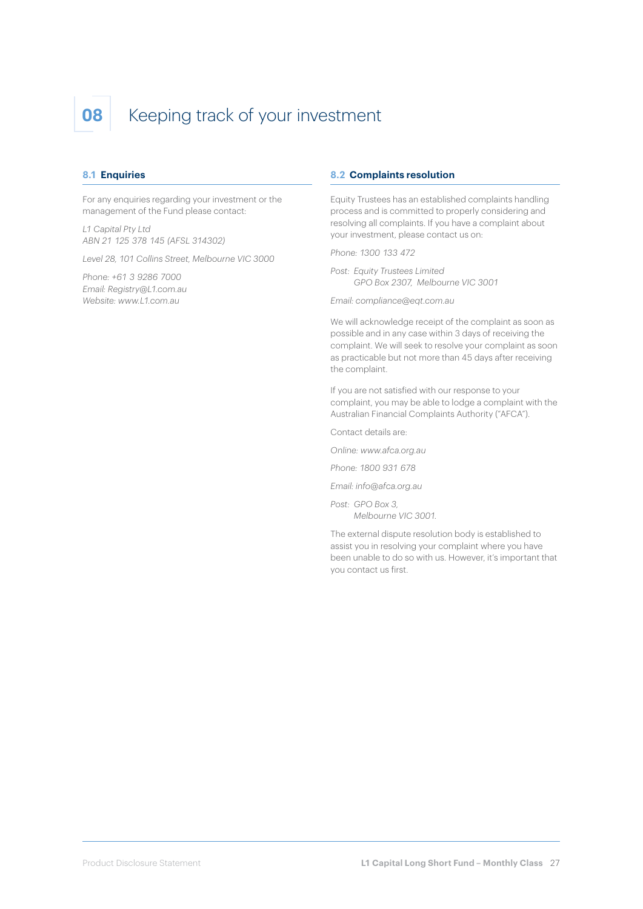## **08** Keeping track of your investment

#### **8.1 Enquiries**

For any enquiries regarding your investment or the management of the Fund please contact:

*L1 Capital Pty Ltd ABN 21 125 378 145 (AFSL 314302)*

*Level 28, 101 Collins Street, Melbourne VIC 3000*

*Phone: +61 3 9286 7000 Email: Registry@L1.com.au Website: [www.L1.com.au](http://www.L1.com.au)*

#### **8.2 Complaints resolution**

Equity Trustees has an established complaints handling process and is committed to properly considering and resolving all complaints. If you have a complaint about your investment, please contact us on:

*Phone: 1300 133 472*

*Post: Equity Trustees Limited GPO Box 2307, Melbourne VIC 3001*

*Email: compliance@eqt.com.au*

We will acknowledge receipt of the complaint as soon as possible and in any case within 3 days of receiving the complaint. We will seek to resolve your complaint as soon as practicable but not more than 45 days after receiving the complaint.

If you are not satisfied with our response to your complaint, you may be able to lodge a complaint with the Australian Financial Complaints Authority ("AFCA").

Contact details are:

*Online: [www.afca.org.au](http://www.afca.org.au)*

*Phone: 1800 931 678*

*Email: info@afca.org.au*

*Post: GPO Box 3, Melbourne VIC 3001.*

The external dispute resolution body is established to assist you in resolving your complaint where you have been unable to do so with us. However, it's important that you contact us first.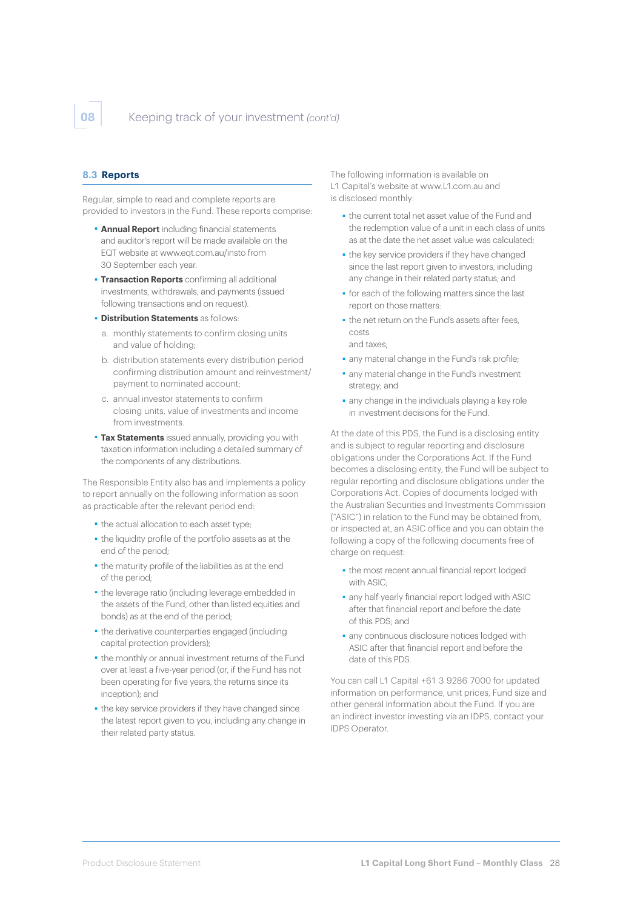#### **8.3 Reports**

Regular, simple to read and complete reports are provided to investors in the Fund. These reports comprise:

- **Annual Report** including financial statements and auditor's report will be made available on the EQT website at [www.eqt.com.au/insto](http://www.eqt.com.au/insto) from 30 September each year.
- **Transaction Reports** confirming all additional investments, withdrawals, and payments (issued following transactions and on request).
- ■ **Distribution Statements** as follows:
	- a. monthly statements to confirm closing units and value of holding;
	- b. distribution statements every distribution period confirming distribution amount and reinvestment/ payment to nominated account;
	- c. annual investor statements to confirm closing units, value of investments and income from investments.
- **Tax Statements** issued annually, providing you with taxation information including a detailed summary of the components of any distributions.

The Responsible Entity also has and implements a policy to report annually on the following information as soon as practicable after the relevant period end:

- ■ the actual allocation to each asset type;
- ■ the liquidity profile of the portfolio assets as at the end of the period;
- ■ the maturity profile of the liabilities as at the end of the period;
- **the leverage ratio (including leverage embedded in** the assets of the Fund, other than listed equities and bonds) as at the end of the period;
- the derivative counterparties engaged (including capital protection providers);
- ■ the monthly or annual investment returns of the Fund over at least a five-year period (or, if the Fund has not been operating for five years, the returns since its inception); and
- the key service providers if they have changed since the latest report given to you, including any change in their related party status.

The following information is available on L1 Capital's website at [www.L1.com.au](http://www.L1.com.au) and is disclosed monthly:

- ■ the current total net asset value of the Fund and the redemption value of a unit in each class of units as at the date the net asset value was calculated;
- the key service providers if they have changed since the last report given to investors, including any change in their related party status; and
- ■ for each of the following matters since the last report on those matters:
- the net return on the Fund's assets after fees, costs and taxes;
- any material change in the Fund's risk profile;
- ■ any material change in the Fund's investment strategy; and
- any change in the individuals playing a key role in investment decisions for the Fund.

At the date of this PDS, the Fund is a disclosing entity and is subject to regular reporting and disclosure obligations under the Corporations Act. If the Fund becomes a disclosing entity, the Fund will be subject to regular reporting and disclosure obligations under the Corporations Act. Copies of documents lodged with the Australian Securities and Investments Commission ("ASIC") in relation to the Fund may be obtained from, or inspected at, an ASIC office and you can obtain the following a copy of the following documents free of charge on request:

- the most recent annual financial report lodged with ASIC;
- ■ any half yearly financial report lodged with ASIC after that financial report and before the date of this PDS; and
- any continuous disclosure notices lodged with ASIC after that financial report and before the date of this PDS.

You can call L1 Capital +61 3 9286 7000 for updated information on performance, unit prices, Fund size and other general information about the Fund. If you are an indirect investor investing via an IDPS, contact your IDPS Operator.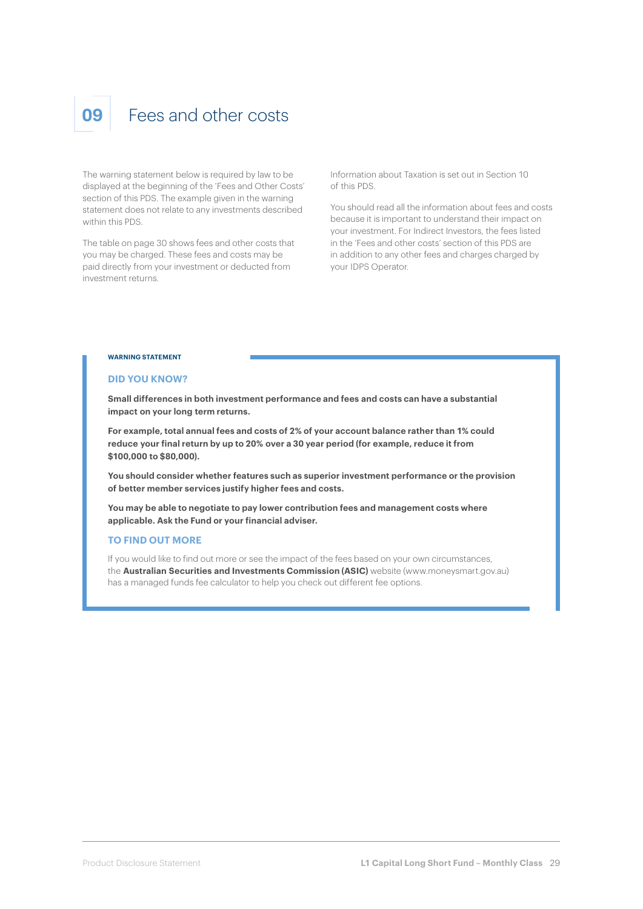### **09** Fees and other costs

The warning statement below is required by law to be displayed at the beginning of the 'Fees and Other Costs' section of this PDS. The example given in the warning statement does not relate to any investments described within this PDS.

The table on page 30 shows fees and other costs that you may be charged. These fees and costs may be paid directly from your investment or deducted from investment returns.

Information about Taxation is set out in Section 10 of this PDS.

You should read all the information about fees and costs because it is important to understand their impact on your investment. For Indirect Investors, the fees listed in the 'Fees and other costs' section of this PDS are in addition to any other fees and charges charged by your IDPS Operator.

#### **WARNING STATEMENT**

#### **DID YOU KNOW?**

**Small differences in both investment performance and fees and costs can have a substantial impact on your long term returns.**

**For example, total annual fees and costs of 2% of your account balance rather than 1% could reduce your final return by up to 20% over a 30 year period (for example, reduce it from \$100,000 to \$80,000).**

**You should consider whether features such as superior investment performance or the provision of better member services justify higher fees and costs.**

**You may be able to negotiate to pay lower contribution fees and management costs where applicable. Ask the Fund or your financial adviser.**

#### **TO FIND OUT MORE**

If you would like to find out more or see the impact of the fees based on your own circumstances, the **Australian Securities and Investments Commission (ASIC)** website (www.moneysmart.gov.au) has a managed funds fee calculator to help you check out different fee options.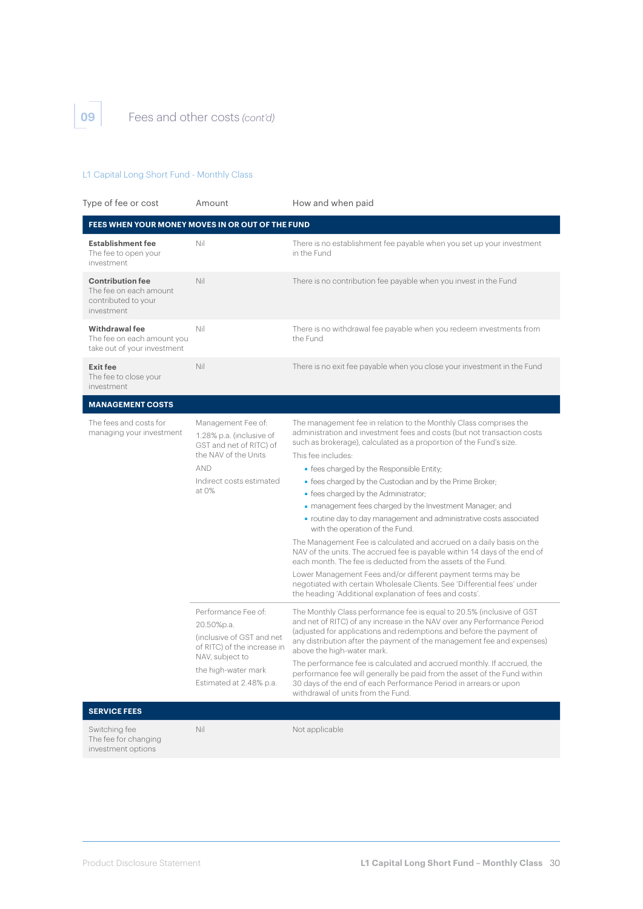**09** Fees and other costs *(cont'd)*

#### L1 Capital Long Short Fund - Monthly Class

| Type of fee or cost                                                                    | Amount                                                                                                                                                             | How and when paid                                                                                                                                                                                                                                                                                                                                                                                                                                                                                                                                                                                |  |  |
|----------------------------------------------------------------------------------------|--------------------------------------------------------------------------------------------------------------------------------------------------------------------|--------------------------------------------------------------------------------------------------------------------------------------------------------------------------------------------------------------------------------------------------------------------------------------------------------------------------------------------------------------------------------------------------------------------------------------------------------------------------------------------------------------------------------------------------------------------------------------------------|--|--|
| FEES WHEN YOUR MONEY MOVES IN OR OUT OF THE FUND                                       |                                                                                                                                                                    |                                                                                                                                                                                                                                                                                                                                                                                                                                                                                                                                                                                                  |  |  |
| <b>Establishment fee</b><br>The fee to open your<br>investment                         | Nil                                                                                                                                                                | There is no establishment fee payable when you set up your investment<br>in the Fund                                                                                                                                                                                                                                                                                                                                                                                                                                                                                                             |  |  |
| <b>Contribution fee</b><br>The fee on each amount<br>contributed to your<br>investment | Nil                                                                                                                                                                | There is no contribution fee payable when you invest in the Fund                                                                                                                                                                                                                                                                                                                                                                                                                                                                                                                                 |  |  |
| Withdrawal fee<br>The fee on each amount you<br>take out of your investment            | Nil                                                                                                                                                                | There is no withdrawal fee payable when you redeem investments from<br>the Fund                                                                                                                                                                                                                                                                                                                                                                                                                                                                                                                  |  |  |
| <b>Exit fee</b><br>The fee to close your<br>investment                                 | Nil                                                                                                                                                                | There is no exit fee payable when you close your investment in the Fund                                                                                                                                                                                                                                                                                                                                                                                                                                                                                                                          |  |  |
| <b>MANAGEMENT COSTS</b>                                                                |                                                                                                                                                                    |                                                                                                                                                                                                                                                                                                                                                                                                                                                                                                                                                                                                  |  |  |
| The fees and costs for<br>managing your investment                                     | Management Fee of:<br>1.28% p.a. (inclusive of<br>GST and net of RITC) of                                                                                          | The management fee in relation to the Monthly Class comprises the<br>administration and investment fees and costs (but not transaction costs<br>such as brokerage), calculated as a proportion of the Fund's size.                                                                                                                                                                                                                                                                                                                                                                               |  |  |
|                                                                                        | the NAV of the Units                                                                                                                                               | This fee includes:                                                                                                                                                                                                                                                                                                                                                                                                                                                                                                                                                                               |  |  |
|                                                                                        | AND                                                                                                                                                                | • fees charged by the Responsible Entity;                                                                                                                                                                                                                                                                                                                                                                                                                                                                                                                                                        |  |  |
|                                                                                        | Indirect costs estimated<br>at 0%                                                                                                                                  | · fees charged by the Custodian and by the Prime Broker;                                                                                                                                                                                                                                                                                                                                                                                                                                                                                                                                         |  |  |
|                                                                                        |                                                                                                                                                                    | • fees charged by the Administrator;                                                                                                                                                                                                                                                                                                                                                                                                                                                                                                                                                             |  |  |
|                                                                                        |                                                                                                                                                                    | · management fees charged by the Investment Manager; and                                                                                                                                                                                                                                                                                                                                                                                                                                                                                                                                         |  |  |
|                                                                                        |                                                                                                                                                                    | • routine day to day management and administrative costs associated<br>with the operation of the Fund.                                                                                                                                                                                                                                                                                                                                                                                                                                                                                           |  |  |
|                                                                                        |                                                                                                                                                                    | The Management Fee is calculated and accrued on a daily basis on the<br>NAV of the units. The accrued fee is payable within 14 days of the end of<br>each month. The fee is deducted from the assets of the Fund.                                                                                                                                                                                                                                                                                                                                                                                |  |  |
|                                                                                        |                                                                                                                                                                    | Lower Management Fees and/or different payment terms may be<br>negotiated with certain Wholesale Clients. See 'Differential fees' under<br>the heading 'Additional explanation of fees and costs'.                                                                                                                                                                                                                                                                                                                                                                                               |  |  |
|                                                                                        | Performance Fee of:<br>20.50%p.a.<br>(inclusive of GST and net<br>of RITC) of the increase in<br>NAV, subject to<br>the high-water mark<br>Estimated at 2.48% p.a. | The Monthly Class performance fee is equal to 20.5% (inclusive of GST<br>and net of RITC) of any increase in the NAV over any Performance Period<br>(adjusted for applications and redemptions and before the payment of<br>any distribution after the payment of the management fee and expenses)<br>above the high-water mark.<br>The performance fee is calculated and accrued monthly. If accrued, the<br>performance fee will generally be paid from the asset of the Fund within<br>30 days of the end of each Performance Period in arrears or upon<br>withdrawal of units from the Fund. |  |  |
| <b>SERVICE FEES</b>                                                                    |                                                                                                                                                                    |                                                                                                                                                                                                                                                                                                                                                                                                                                                                                                                                                                                                  |  |  |
| Switching fee<br>The fee for changing<br>investment options                            | Nil                                                                                                                                                                | Not applicable                                                                                                                                                                                                                                                                                                                                                                                                                                                                                                                                                                                   |  |  |
|                                                                                        |                                                                                                                                                                    |                                                                                                                                                                                                                                                                                                                                                                                                                                                                                                                                                                                                  |  |  |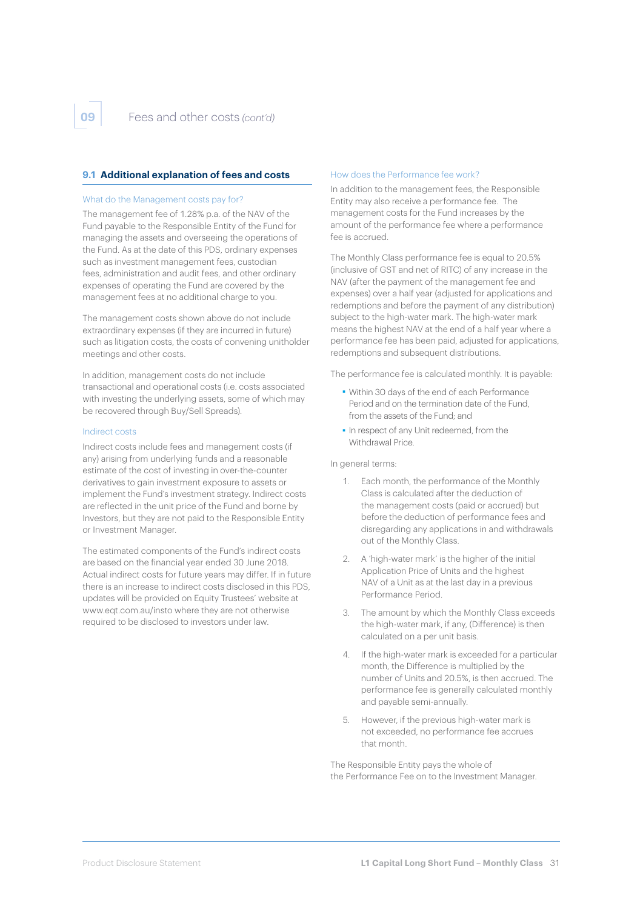#### **9.1 Additional explanation of fees and costs**

#### What do the Management costs pay for?

The management fee of 1.28% p.a. of the NAV of the Fund payable to the Responsible Entity of the Fund for managing the assets and overseeing the operations of the Fund. As at the date of this PDS, ordinary expenses such as investment management fees, custodian fees, administration and audit fees, and other ordinary expenses of operating the Fund are covered by the management fees at no additional charge to you.

The management costs shown above do not include extraordinary expenses (if they are incurred in future) such as litigation costs, the costs of convening unitholder meetings and other costs.

In addition, management costs do not include transactional and operational costs (i.e. costs associated with investing the underlying assets, some of which may be recovered through Buy/Sell Spreads).

#### Indirect costs

Indirect costs include fees and management costs (if any) arising from underlying funds and a reasonable estimate of the cost of investing in over-the-counter derivatives to gain investment exposure to assets or implement the Fund's investment strategy. Indirect costs are reflected in the unit price of the Fund and borne by Investors, but they are not paid to the Responsible Entity or Investment Manager.

The estimated components of the Fund's indirect costs are based on the financial year ended 30 June 2018. Actual indirect costs for future years may differ. If in future there is an increase to indirect costs disclosed in this PDS, updates will be provided on Equity Trustees' website at [www.eqt.com.au/insto](http://www.eqt.com.au/insto) where they are not otherwise required to be disclosed to investors under law.

#### How does the Performance fee work?

In addition to the management fees, the Responsible Entity may also receive a performance fee. The management costs for the Fund increases by the amount of the performance fee where a performance fee is accrued.

The Monthly Class performance fee is equal to 20.5% (inclusive of GST and net of RITC) of any increase in the NAV (after the payment of the management fee and expenses) over a half year (adjusted for applications and redemptions and before the payment of any distribution) subject to the high-water mark. The high-water mark means the highest NAV at the end of a half year where a performance fee has been paid, adjusted for applications, redemptions and subsequent distributions.

The performance fee is calculated monthly. It is payable:

- ■ Within 30 days of the end of each Performance Period and on the termination date of the Fund, from the assets of the Fund; and
- ■ In respect of any Unit redeemed, from the Withdrawal Price.

#### In general terms:

- 1. Each month, the performance of the Monthly Class is calculated after the deduction of the management costs (paid or accrued) but before the deduction of performance fees and disregarding any applications in and withdrawals out of the Monthly Class.
- 2. A 'high-water mark' is the higher of the initial Application Price of Units and the highest NAV of a Unit as at the last day in a previous Performance Period.
- 3. The amount by which the Monthly Class exceeds the high-water mark, if any, (Difference) is then calculated on a per unit basis.
- 4. If the high-water mark is exceeded for a particular month, the Difference is multiplied by the number of Units and 20.5%, is then accrued. The performance fee is generally calculated monthly and payable semi-annually.
- 5. However, if the previous high-water mark is not exceeded, no performance fee accrues that month.

The Responsible Entity pays the whole of the Performance Fee on to the Investment Manager.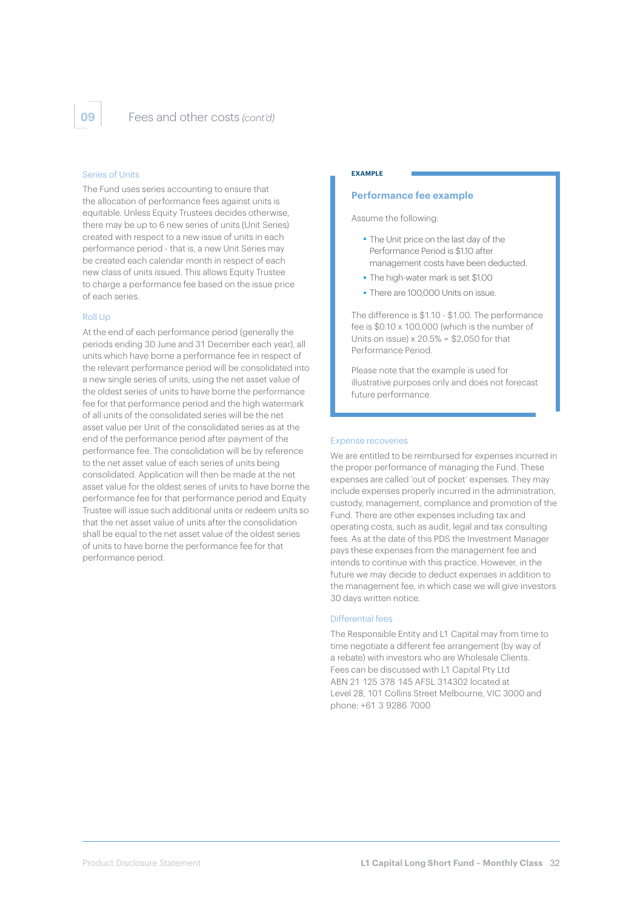#### Series of Units

The Fund uses series accounting to ensure that the allocation of performance fees against units is equitable. Unless Equity Trustees decides otherwise, there may be up to 6 new series of units (Unit Series) created with respect to a new issue of units in each performance period - that is, a new Unit Series may be created each calendar month in respect of each new class of units issued. This allows Equity Trustee to charge a performance fee based on the issue price of each series.

#### Roll Up

At the end of each performance period (generally the periods ending 30 June and 31 December each year), all units which have borne a performance fee in respect of the relevant performance period will be consolidated into a new single series of units, using the net asset value of the oldest series of units to have borne the performance fee for that performance period and the high watermark of all units of the consolidated series will be the net asset value per Unit of the consolidated series as at the end of the performance period after payment of the performance fee. The consolidation will be by reference to the net asset value of each series of units being consolidated. Application will then be made at the net asset value for the oldest series of units to have borne the performance fee for that performance period and Equity Trustee will issue such additional units or redeem units so that the net asset value of units after the consolidation shall be equal to the net asset value of the oldest series of units to have borne the performance fee for that performance period.

#### **EXAMPLE**

#### **Performance fee example**

Assume the following:

- ■ The Unit price on the last day of the Performance Period is \$1.10 after management costs have been deducted.
- ■ The high-water mark is set \$1.00
- ■ There are 100,000 Units on issue.

The difference is \$1.10 - \$1.00. The performance fee is \$0.10 x 100,000 (which is the number of Units on issue)  $x 20.5% = $2,050$  for that Performance Period.

Please note that the example is used for illustrative purposes only and does not forecast future performance.

#### Expense recoveries

We are entitled to be reimbursed for expenses incurred in the proper performance of managing the Fund. These expenses are called 'out of pocket' expenses. They may include expenses properly incurred in the administration, custody, management, compliance and promotion of the Fund. There are other expenses including tax and operating costs, such as audit, legal and tax consulting fees. As at the date of this PDS the Investment Manager pays these expenses from the management fee and intends to continue with this practice. However, in the future we may decide to deduct expenses in addition to the management fee, in which case we will give investors 30 days written notice.

#### Differential fees

The Responsible Entity and L1 Capital may from time to time negotiate a different fee arrangement (by way of a rebate) with investors who are Wholesale Clients. Fees can be discussed with L1 Capital Pty Ltd ABN 21 125 378 145 AFSL 314302 located at Level 28, 101 Collins Street Melbourne, VIC 3000 and phone: +61 3 9286 7000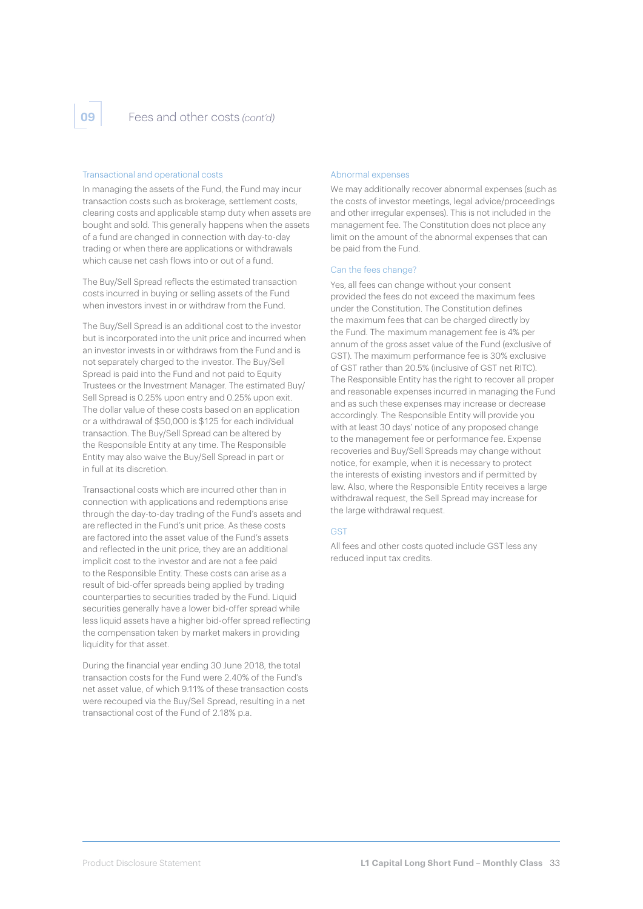#### Transactional and operational costs

In managing the assets of the Fund, the Fund may incur transaction costs such as brokerage, settlement costs, clearing costs and applicable stamp duty when assets are bought and sold. This generally happens when the assets of a fund are changed in connection with day-to-day trading or when there are applications or withdrawals which cause net cash flows into or out of a fund.

The Buy/Sell Spread reflects the estimated transaction costs incurred in buying or selling assets of the Fund when investors invest in or withdraw from the Fund.

The Buy/Sell Spread is an additional cost to the investor but is incorporated into the unit price and incurred when an investor invests in or withdraws from the Fund and is not separately charged to the investor. The Buy/Sell Spread is paid into the Fund and not paid to Equity Trustees or the Investment Manager. The estimated Buy/ Sell Spread is 0.25% upon entry and 0.25% upon exit. The dollar value of these costs based on an application or a withdrawal of \$50,000 is \$125 for each individual transaction. The Buy/Sell Spread can be altered by the Responsible Entity at any time. The Responsible Entity may also waive the Buy/Sell Spread in part or in full at its discretion.

Transactional costs which are incurred other than in connection with applications and redemptions arise through the day-to-day trading of the Fund's assets and are reflected in the Fund's unit price. As these costs are factored into the asset value of the Fund's assets and reflected in the unit price, they are an additional implicit cost to the investor and are not a fee paid to the Responsible Entity. These costs can arise as a result of bid-offer spreads being applied by trading counterparties to securities traded by the Fund. Liquid securities generally have a lower bid-offer spread while less liquid assets have a higher bid-offer spread reflecting the compensation taken by market makers in providing liquidity for that asset.

During the financial year ending 30 June 2018, the total transaction costs for the Fund were 2.40% of the Fund's net asset value, of which 9.11% of these transaction costs were recouped via the Buy/Sell Spread, resulting in a net transactional cost of the Fund of 2.18% p.a.

#### Abnormal expenses

We may additionally recover abnormal expenses (such as the costs of investor meetings, legal advice/proceedings and other irregular expenses). This is not included in the management fee. The Constitution does not place any limit on the amount of the abnormal expenses that can be paid from the Fund.

#### Can the fees change?

Yes, all fees can change without your consent provided the fees do not exceed the maximum fees under the Constitution. The Constitution defines the maximum fees that can be charged directly by the Fund. The maximum management fee is 4% per annum of the gross asset value of the Fund (exclusive of GST). The maximum performance fee is 30% exclusive of GST rather than 20.5% (inclusive of GST net RITC). The Responsible Entity has the right to recover all proper and reasonable expenses incurred in managing the Fund and as such these expenses may increase or decrease accordingly. The Responsible Entity will provide you with at least 30 days' notice of any proposed change to the management fee or performance fee. Expense recoveries and Buy/Sell Spreads may change without notice, for example, when it is necessary to protect the interests of existing investors and if permitted by law. Also, where the Responsible Entity receives a large withdrawal request, the Sell Spread may increase for the large withdrawal request.

#### CST

All fees and other costs quoted include GST less any reduced input tax credits.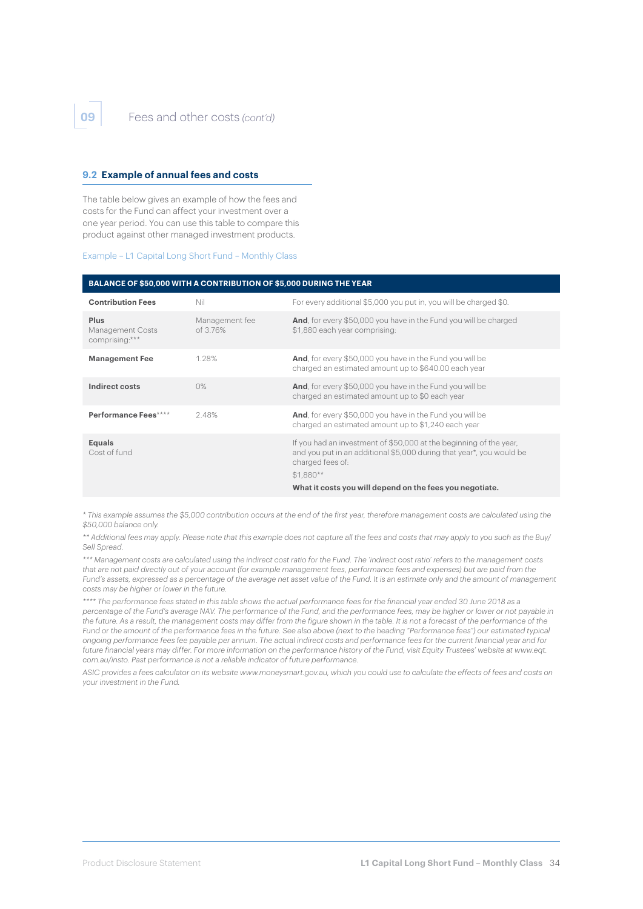#### **9.2 Example of annual fees and costs**

The table below gives an example of how the fees and costs for the Fund can affect your investment over a one year period. You can use this table to compare this product against other managed investment products.

Example – L1 Capital Long Short Fund – Monthly Class

#### **BALANCE OF \$50,000 WITH A CONTRIBUTION OF \$5,000 DURING THE YEAR**

| <b>Contribution Fees</b>                   | Nil                        | For every additional \$5,000 you put in, you will be charged \$0.                                                                                                                                                                        |
|--------------------------------------------|----------------------------|------------------------------------------------------------------------------------------------------------------------------------------------------------------------------------------------------------------------------------------|
| Plus<br>Management Costs<br>comprising:*** | Management fee<br>of 3.76% | <b>And</b> , for every \$50,000 you have in the Fund you will be charged<br>\$1,880 each year comprising:                                                                                                                                |
| <b>Management Fee</b>                      | 1.28%                      | <b>And</b> , for every \$50,000 you have in the Fund you will be<br>charged an estimated amount up to \$640.00 each year                                                                                                                 |
| Indirect costs                             | $0\%$                      | <b>And</b> , for every \$50,000 you have in the Fund you will be<br>charged an estimated amount up to \$0 each year                                                                                                                      |
| Performance Fees****                       | 2.48%                      | <b>And</b> , for every \$50,000 you have in the Fund you will be<br>charged an estimated amount up to \$1,240 each year                                                                                                                  |
| <b>Equals</b><br>Cost of fund              |                            | If you had an investment of \$50,000 at the beginning of the year,<br>and you put in an additional \$5,000 during that year*, you would be<br>charged fees of:<br>$$1.880**$<br>What it costs you will depend on the fees you negotiate. |

*\* This example assumes the \$5,000 contribution occurs at the end of the first year, therefore management costs are calculated using the \$50,000 balance only.*

*\*\* Additional fees may apply. Please note that this example does not capture all the fees and costs that may apply to you such as the Buy/ Sell Spread.* 

*\*\*\* Management costs are calculated using the indirect cost ratio for the Fund. The 'indirect cost ratio' refers to the management costs that are not paid directly out of your account (for example management fees, performance fees and expenses) but are paid from the Fund's assets, expressed as a percentage of the average net asset value of the Fund. It is an estimate only and the amount of management costs may be higher or lower in the future.* 

*\*\*\*\* The performance fees stated in this table shows the actual performance fees for the financial year ended 30 June 2018 as a percentage of the Fund's average NAV. The performance of the Fund, and the performance fees, may be higher or lower or not payable in the future. As a result, the management costs may differ from the figure shown in the table. It is not a forecast of the performance of the Fund or the amount of the performance fees in the future. See also above (next to the heading "Performance fees") our estimated typical ongoing performance fees fee payable per annum. The actual indirect costs and performance fees for the current financial year and for*  future financial years may differ. For more information on the performance history of the Fund, visit Equity Trustees' website at www.eqt. *[com.au/insto](www.eqt.com.au/insto). Past performance is not a reliable indicator of future performance.*

*ASIC provides a fees calculator on its website www.moneysmart.gov.au, which you could use to calculate the effects of fees and costs on your investment in the Fund.*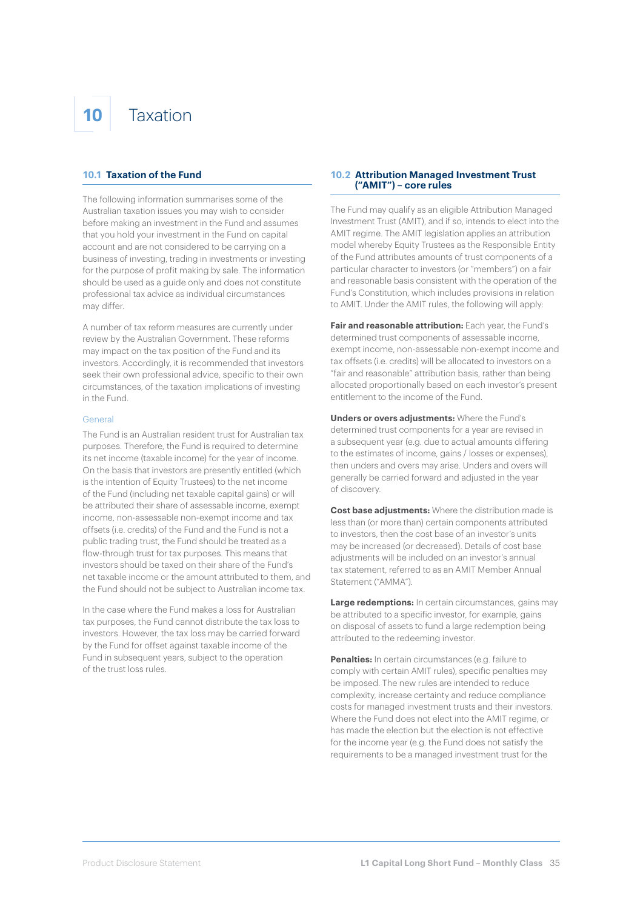## **10** Taxation

#### **10.1 Taxation of the Fund**

The following information summarises some of the Australian taxation issues you may wish to consider before making an investment in the Fund and assumes that you hold your investment in the Fund on capital account and are not considered to be carrying on a business of investing, trading in investments or investing for the purpose of profit making by sale. The information should be used as a guide only and does not constitute professional tax advice as individual circumstances may differ.

A number of tax reform measures are currently under review by the Australian Government. These reforms may impact on the tax position of the Fund and its investors. Accordingly, it is recommended that investors seek their own professional advice, specific to their own circumstances, of the taxation implications of investing in the Fund.

#### General

The Fund is an Australian resident trust for Australian tax purposes. Therefore, the Fund is required to determine its net income (taxable income) for the year of income. On the basis that investors are presently entitled (which is the intention of Equity Trustees) to the net income of the Fund (including net taxable capital gains) or will be attributed their share of assessable income, exempt income, non-assessable non-exempt income and tax offsets (i.e. credits) of the Fund and the Fund is not a public trading trust, the Fund should be treated as a flow-through trust for tax purposes. This means that investors should be taxed on their share of the Fund's net taxable income or the amount attributed to them, and the Fund should not be subject to Australian income tax.

In the case where the Fund makes a loss for Australian tax purposes, the Fund cannot distribute the tax loss to investors. However, the tax loss may be carried forward by the Fund for offset against taxable income of the Fund in subsequent years, subject to the operation of the trust loss rules.

#### **10.2 Attribution Managed Investment Trust ("AMIT") – core rules**

The Fund may qualify as an eligible Attribution Managed Investment Trust (AMIT), and if so, intends to elect into the AMIT regime. The AMIT legislation applies an attribution model whereby Equity Trustees as the Responsible Entity of the Fund attributes amounts of trust components of a particular character to investors (or "members") on a fair and reasonable basis consistent with the operation of the Fund's Constitution, which includes provisions in relation to AMIT. Under the AMIT rules, the following will apply:

**Fair and reasonable attribution:** Each year, the Fund's determined trust components of assessable income, exempt income, non-assessable non-exempt income and tax offsets (i.e. credits) will be allocated to investors on a "fair and reasonable" attribution basis, rather than being allocated proportionally based on each investor's present entitlement to the income of the Fund.

**Unders or overs adjustments:** Where the Fund's determined trust components for a year are revised in a subsequent year (e.g. due to actual amounts differing to the estimates of income, gains / losses or expenses), then unders and overs may arise. Unders and overs will generally be carried forward and adjusted in the year of discovery.

**Cost base adjustments:** Where the distribution made is less than (or more than) certain components attributed to investors, then the cost base of an investor's units may be increased (or decreased). Details of cost base adjustments will be included on an investor's annual tax statement, referred to as an AMIT Member Annual Statement ("AMMA").

**Large redemptions:** In certain circumstances, gains may be attributed to a specific investor, for example, gains on disposal of assets to fund a large redemption being attributed to the redeeming investor.

**Penalties:** In certain circumstances (e.g. failure to comply with certain AMIT rules), specific penalties may be imposed. The new rules are intended to reduce complexity, increase certainty and reduce compliance costs for managed investment trusts and their investors. Where the Fund does not elect into the AMIT regime, or has made the election but the election is not effective for the income year (e.g. the Fund does not satisfy the requirements to be a managed investment trust for the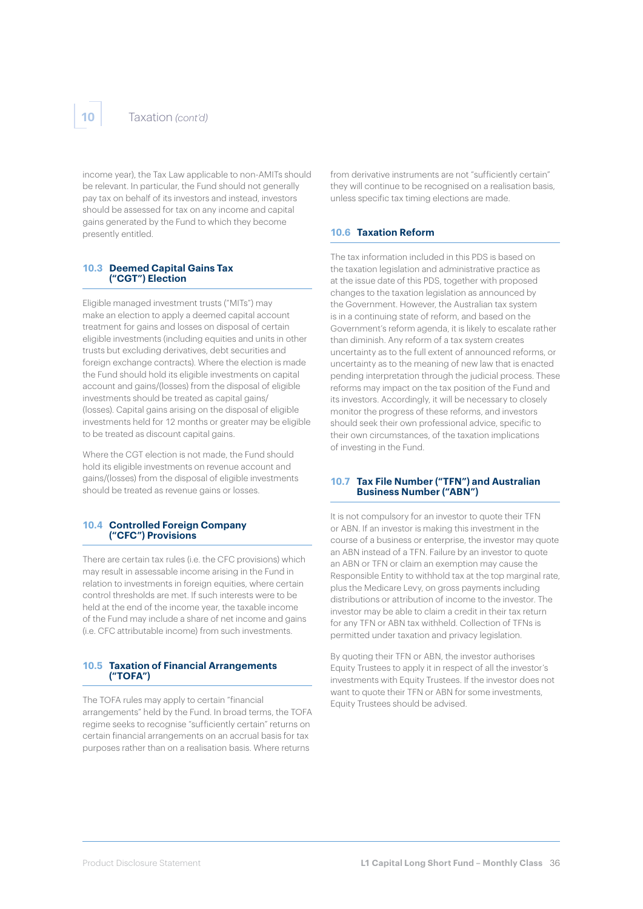income year), the Tax Law applicable to non-AMITs should be relevant. In particular, the Fund should not generally pay tax on behalf of its investors and instead, investors should be assessed for tax on any income and capital gains generated by the Fund to which they become presently entitled.

#### **10.3 Deemed Capital Gains Tax ("CGT") Election**

Eligible managed investment trusts ("MITs") may make an election to apply a deemed capital account treatment for gains and losses on disposal of certain eligible investments (including equities and units in other trusts but excluding derivatives, debt securities and foreign exchange contracts). Where the election is made the Fund should hold its eligible investments on capital account and gains/(losses) from the disposal of eligible investments should be treated as capital gains/ (losses). Capital gains arising on the disposal of eligible investments held for 12 months or greater may be eligible to be treated as discount capital gains.

Where the CGT election is not made, the Fund should hold its eligible investments on revenue account and gains/(losses) from the disposal of eligible investments should be treated as revenue gains or losses.

#### **10.4 Controlled Foreign Company ("CFC") Provisions**

There are certain tax rules (i.e. the CFC provisions) which may result in assessable income arising in the Fund in relation to investments in foreign equities, where certain control thresholds are met. If such interests were to be held at the end of the income year, the taxable income of the Fund may include a share of net income and gains (i.e. CFC attributable income) from such investments.

#### **10.5 Taxation of Financial Arrangements ("TOFA")**

The TOFA rules may apply to certain "financial arrangements" held by the Fund. In broad terms, the TOFA regime seeks to recognise "sufficiently certain" returns on certain financial arrangements on an accrual basis for tax purposes rather than on a realisation basis. Where returns

from derivative instruments are not "sufficiently certain" they will continue to be recognised on a realisation basis, unless specific tax timing elections are made.

#### **10.6 Taxation Reform**

The tax information included in this PDS is based on the taxation legislation and administrative practice as at the issue date of this PDS, together with proposed changes to the taxation legislation as announced by the Government. However, the Australian tax system is in a continuing state of reform, and based on the Government's reform agenda, it is likely to escalate rather than diminish. Any reform of a tax system creates uncertainty as to the full extent of announced reforms, or uncertainty as to the meaning of new law that is enacted pending interpretation through the judicial process. These reforms may impact on the tax position of the Fund and its investors. Accordingly, it will be necessary to closely monitor the progress of these reforms, and investors should seek their own professional advice, specific to their own circumstances, of the taxation implications of investing in the Fund.

#### **10.7 Tax File Number ("TFN") and Australian Business Number ("ABN")**

It is not compulsory for an investor to quote their TFN or ABN. If an investor is making this investment in the course of a business or enterprise, the investor may quote an ABN instead of a TFN. Failure by an investor to quote an ABN or TFN or claim an exemption may cause the Responsible Entity to withhold tax at the top marginal rate, plus the Medicare Levy, on gross payments including distributions or attribution of income to the investor. The investor may be able to claim a credit in their tax return for any TFN or ABN tax withheld. Collection of TFNs is permitted under taxation and privacy legislation.

By quoting their TFN or ABN, the investor authorises Equity Trustees to apply it in respect of all the investor's investments with Equity Trustees. If the investor does not want to quote their TFN or ABN for some investments, Equity Trustees should be advised.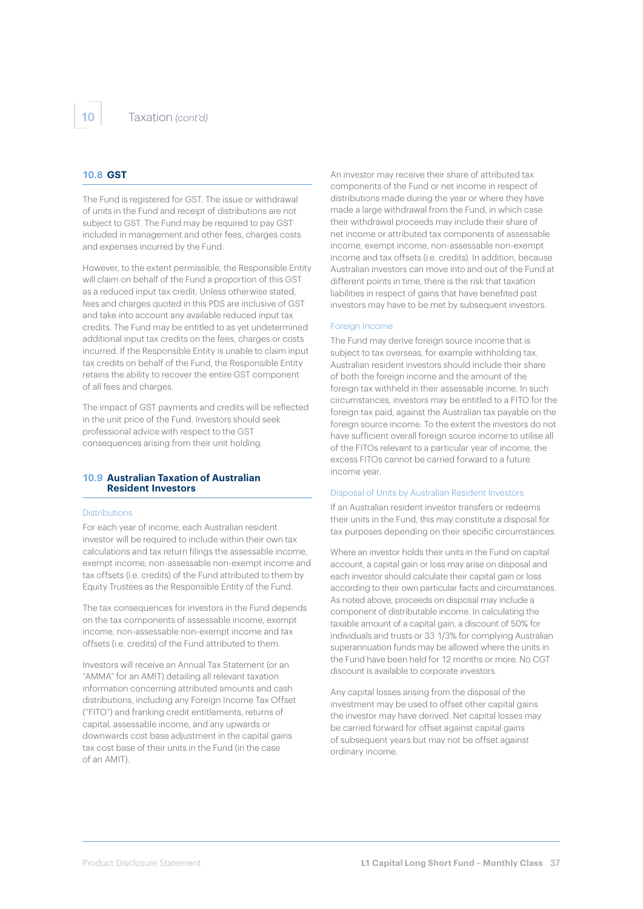#### **10.8 GST**

The Fund is registered for GST. The issue or withdrawal of units in the Fund and receipt of distributions are not subject to GST. The Fund may be required to pay GST included in management and other fees, charges costs and expenses incurred by the Fund.

However, to the extent permissible, the Responsible Entity will claim on behalf of the Fund a proportion of this GST as a reduced input tax credit. Unless otherwise stated, fees and charges quoted in this PDS are inclusive of GST and take into account any available reduced input tax credits. The Fund may be entitled to as yet undetermined additional input tax credits on the fees, charges or costs incurred. If the Responsible Entity is unable to claim input tax credits on behalf of the Fund, the Responsible Entity retains the ability to recover the entire GST component of all fees and charges.

The impact of GST payments and credits will be reflected in the unit price of the Fund. Investors should seek professional advice with respect to the GST consequences arising from their unit holding.

#### **10.9 Australian Taxation of Australian Resident Investors**

#### **Distributions**

For each year of income, each Australian resident investor will be required to include within their own tax calculations and tax return filings the assessable income, exempt income, non-assessable non-exempt income and tax offsets (i.e. credits) of the Fund attributed to them by Equity Trustees as the Responsible Entity of the Fund.

The tax consequences for investors in the Fund depends on the tax components of assessable income, exempt income, non-assessable non-exempt income and tax offsets (i.e. credits) of the Fund attributed to them.

Investors will receive an Annual Tax Statement (or an "AMMA" for an AMIT) detailing all relevant taxation information concerning attributed amounts and cash distributions, including any Foreign Income Tax Offset ("FITO") and franking credit entitlements, returns of capital, assessable income, and any upwards or downwards cost base adjustment in the capital gains tax cost base of their units in the Fund (in the case of an AMIT).

An investor may receive their share of attributed tax components of the Fund or net income in respect of distributions made during the year or where they have made a large withdrawal from the Fund, in which case their withdrawal proceeds may include their share of net income or attributed tax components of assessable income, exempt income, non-assessable non-exempt income and tax offsets (i.e. credits). In addition, because Australian investors can move into and out of the Fund at different points in time, there is the risk that taxation liabilities in respect of gains that have benefited past investors may have to be met by subsequent investors.

#### Foreign Income

The Fund may derive foreign source income that is subject to tax overseas, for example withholding tax. Australian resident investors should include their share of both the foreign income and the amount of the foreign tax withheld in their assessable income. In such circumstances, investors may be entitled to a FITO for the foreign tax paid, against the Australian tax payable on the foreign source income. To the extent the investors do not have sufficient overall foreign source income to utilise all of the FITOs relevant to a particular year of income, the excess FITOs cannot be carried forward to a future income year.

#### Disposal of Units by Australian Resident Investors

If an Australian resident investor transfers or redeems their units in the Fund, this may constitute a disposal for tax purposes depending on their specific circumstances.

Where an investor holds their units in the Fund on capital account, a capital gain or loss may arise on disposal and each investor should calculate their capital gain or loss according to their own particular facts and circumstances. As noted above, proceeds on disposal may include a component of distributable income. In calculating the taxable amount of a capital gain, a discount of 50% for individuals and trusts or 33 1/3% for complying Australian superannuation funds may be allowed where the units in the Fund have been held for 12 months or more. No CGT discount is available to corporate investors.

Any capital losses arising from the disposal of the investment may be used to offset other capital gains the investor may have derived. Net capital losses may be carried forward for offset against capital gains of subsequent years but may not be offset against ordinary income.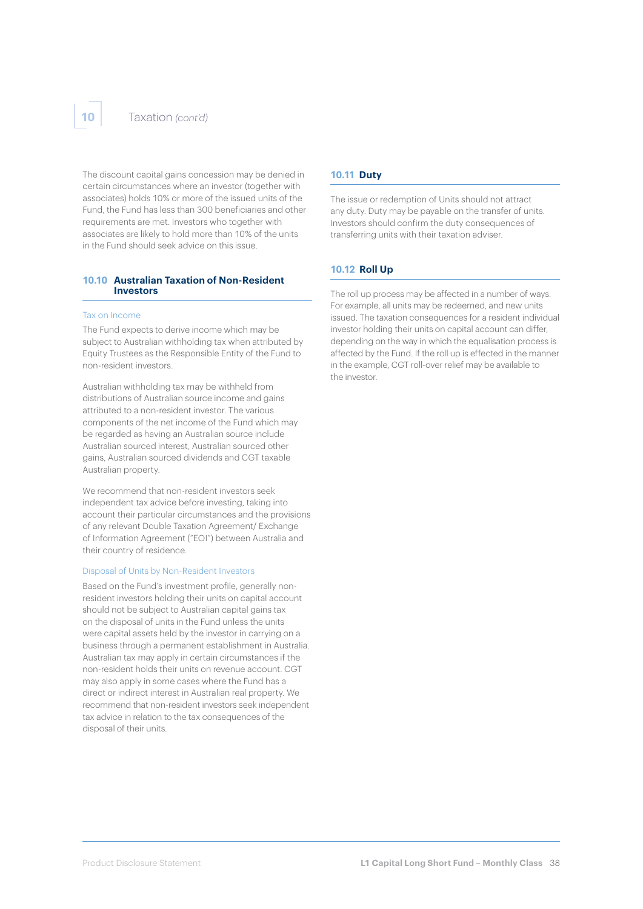#### **10** Taxation *(cont'd)*

The discount capital gains concession may be denied in certain circumstances where an investor (together with associates) holds 10% or more of the issued units of the Fund, the Fund has less than 300 beneficiaries and other requirements are met. Investors who together with associates are likely to hold more than 10% of the units in the Fund should seek advice on this issue.

#### **10.10 Australian Taxation of Non-Resident Investors**

#### Tax on Income

The Fund expects to derive income which may be subject to Australian withholding tax when attributed by Equity Trustees as the Responsible Entity of the Fund to non-resident investors.

Australian withholding tax may be withheld from distributions of Australian source income and gains attributed to a non-resident investor. The various components of the net income of the Fund which may be regarded as having an Australian source include Australian sourced interest, Australian sourced other gains, Australian sourced dividends and CGT taxable Australian property.

We recommend that non-resident investors seek independent tax advice before investing, taking into account their particular circumstances and the provisions of any relevant Double Taxation Agreement/ Exchange of Information Agreement ("EOI") between Australia and their country of residence.

#### Disposal of Units by Non-Resident Investors

Based on the Fund's investment profile, generally nonresident investors holding their units on capital account should not be subject to Australian capital gains tax on the disposal of units in the Fund unless the units were capital assets held by the investor in carrying on a business through a permanent establishment in Australia. Australian tax may apply in certain circumstances if the non-resident holds their units on revenue account. CGT may also apply in some cases where the Fund has a direct or indirect interest in Australian real property. We recommend that non-resident investors seek independent tax advice in relation to the tax consequences of the disposal of their units.

#### **10.11 Duty**

The issue or redemption of Units should not attract any duty. Duty may be payable on the transfer of units. Investors should confirm the duty consequences of transferring units with their taxation adviser.

#### **10.12 Roll Up**

The roll up process may be affected in a number of ways. For example, all units may be redeemed, and new units issued. The taxation consequences for a resident individual investor holding their units on capital account can differ, depending on the way in which the equalisation process is affected by the Fund. If the roll up is effected in the manner in the example, CGT roll-over relief may be available to the investor.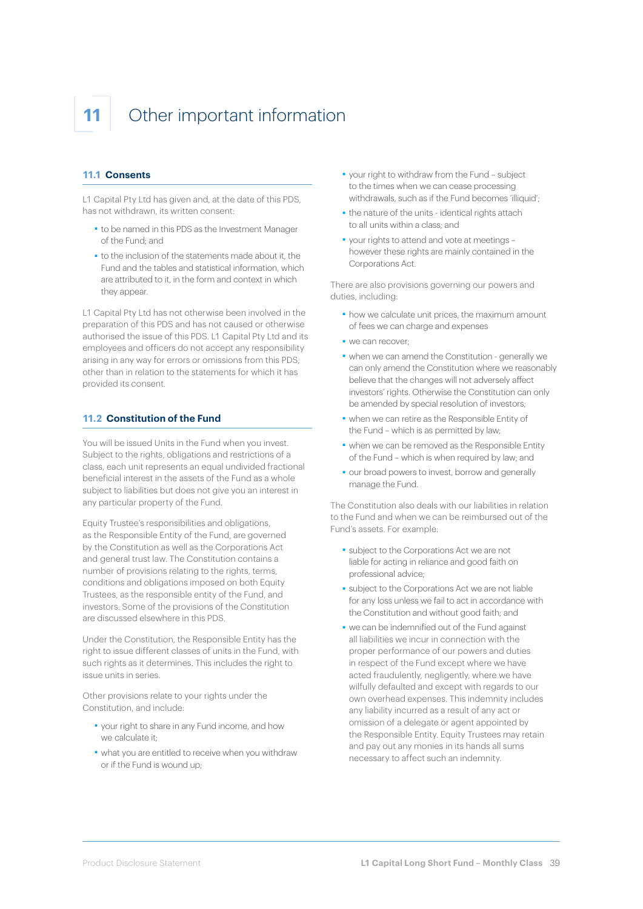## **11** Other important information

#### **11.1 Consents**

L1 Capital Pty Ltd has given and, at the date of this PDS, has not withdrawn, its written consent:

- ■ to be named in this PDS as the Investment Manager of the Fund; and
- ■ to the inclusion of the statements made about it, the Fund and the tables and statistical information, which are attributed to it, in the form and context in which they appear.

L1 Capital Pty Ltd has not otherwise been involved in the preparation of this PDS and has not caused or otherwise authorised the issue of this PDS. L1 Capital Pty Ltd and its employees and officers do not accept any responsibility arising in any way for errors or omissions from this PDS, other than in relation to the statements for which it has provided its consent.

#### **11.2 Constitution of the Fund**

You will be issued Units in the Fund when you invest. Subject to the rights, obligations and restrictions of a class, each unit represents an equal undivided fractional beneficial interest in the assets of the Fund as a whole subject to liabilities but does not give you an interest in any particular property of the Fund.

Equity Trustee's responsibilities and obligations, as the Responsible Entity of the Fund, are governed by the Constitution as well as the Corporations Act and general trust law. The Constitution contains a number of provisions relating to the rights, terms, conditions and obligations imposed on both Equity Trustees, as the responsible entity of the Fund, and investors. Some of the provisions of the Constitution are discussed elsewhere in this PDS.

Under the Constitution, the Responsible Entity has the right to issue different classes of units in the Fund, with such rights as it determines. This includes the right to issue units in series.

Other provisions relate to your rights under the Constitution, and include:

- ■ your right to share in any Fund income, and how we calculate it;
- ■ what you are entitled to receive when you withdraw or if the Fund is wound up;
- ■ your right to withdraw from the Fund subject to the times when we can cease processing withdrawals, such as if the Fund becomes 'illiquid';
- the nature of the units identical rights attach to all units within a class; and
- ■ your rights to attend and vote at meetings however these rights are mainly contained in the Corporations Act.

There are also provisions governing our powers and duties, including:

- how we calculate unit prices, the maximum amount of fees we can charge and expenses
- ■ we can recover;
- ■ when we can amend the Constitution generally we can only amend the Constitution where we reasonably believe that the changes will not adversely affect investors' rights. Otherwise the Constitution can only be amended by special resolution of investors;
- ■ when we can retire as the Responsible Entity of the Fund – which is as permitted by law;
- . when we can be removed as the Responsible Entity of the Fund – which is when required by law; and
- our broad powers to invest, borrow and generally manage the Fund.

The Constitution also deals with our liabilities in relation to the Fund and when we can be reimbursed out of the Fund's assets. For example:

- ■ subject to the Corporations Act we are not liable for acting in reliance and good faith on professional advice;
- ■ subject to the Corporations Act we are not liable for any loss unless we fail to act in accordance with the Constitution and without good faith; and
- ■ we can be indemnified out of the Fund against all liabilities we incur in connection with the proper performance of our powers and duties in respect of the Fund except where we have acted fraudulently, negligently, where we have wilfully defaulted and except with regards to our own overhead expenses. This indemnity includes any liability incurred as a result of any act or omission of a delegate or agent appointed by the Responsible Entity. Equity Trustees may retain and pay out any monies in its hands all sums necessary to affect such an indemnity.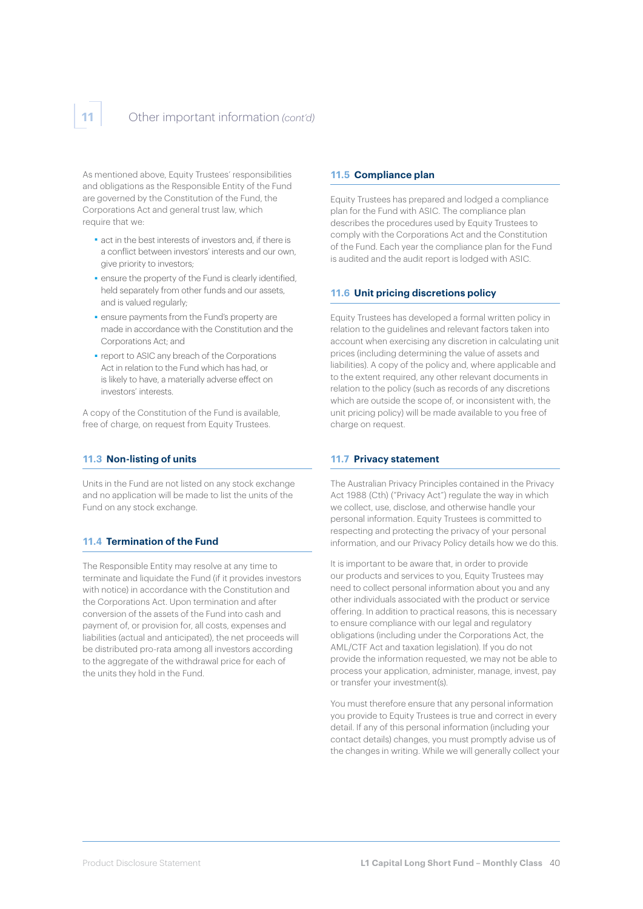As mentioned above, Equity Trustees' responsibilities and obligations as the Responsible Entity of the Fund are governed by the Constitution of the Fund, the Corporations Act and general trust law, which require that we:

- act in the best interests of investors and, if there is a conflict between investors' interests and our own, give priority to investors;
- **·** ensure the property of the Fund is clearly identified, held separately from other funds and our assets, and is valued regularly;
- ensure payments from the Fund's property are made in accordance with the Constitution and the Corporations Act; and
- ■ report to ASIC any breach of the Corporations Act in relation to the Fund which has had, or is likely to have, a materially adverse effect on investors' interests.

A copy of the Constitution of the Fund is available, free of charge, on request from Equity Trustees.

#### **11.3 Non-listing of units**

Units in the Fund are not listed on any stock exchange and no application will be made to list the units of the Fund on any stock exchange.

#### **11.4 Termination of the Fund**

The Responsible Entity may resolve at any time to terminate and liquidate the Fund (if it provides investors with notice) in accordance with the Constitution and the Corporations Act. Upon termination and after conversion of the assets of the Fund into cash and payment of, or provision for, all costs, expenses and liabilities (actual and anticipated), the net proceeds will be distributed pro-rata among all investors according to the aggregate of the withdrawal price for each of the units they hold in the Fund.

#### **11.5 Compliance plan**

Equity Trustees has prepared and lodged a compliance plan for the Fund with ASIC. The compliance plan describes the procedures used by Equity Trustees to comply with the Corporations Act and the Constitution of the Fund. Each year the compliance plan for the Fund is audited and the audit report is lodged with ASIC.

#### **11.6 Unit pricing discretions policy**

Equity Trustees has developed a formal written policy in relation to the guidelines and relevant factors taken into account when exercising any discretion in calculating unit prices (including determining the value of assets and liabilities). A copy of the policy and, where applicable and to the extent required, any other relevant documents in relation to the policy (such as records of any discretions which are outside the scope of, or inconsistent with, the unit pricing policy) will be made available to you free of charge on request.

#### **11.7 Privacy statement**

The Australian Privacy Principles contained in the Privacy Act 1988 (Cth) ("Privacy Act") regulate the way in which we collect, use, disclose, and otherwise handle your personal information. Equity Trustees is committed to respecting and protecting the privacy of your personal information, and our Privacy Policy details how we do this.

It is important to be aware that, in order to provide our products and services to you, Equity Trustees may need to collect personal information about you and any other individuals associated with the product or service offering. In addition to practical reasons, this is necessary to ensure compliance with our legal and regulatory obligations (including under the Corporations Act, the AML/CTF Act and taxation legislation). If you do not provide the information requested, we may not be able to process your application, administer, manage, invest, pay or transfer your investment(s).

You must therefore ensure that any personal information you provide to Equity Trustees is true and correct in every detail. If any of this personal information (including your contact details) changes, you must promptly advise us of the changes in writing. While we will generally collect your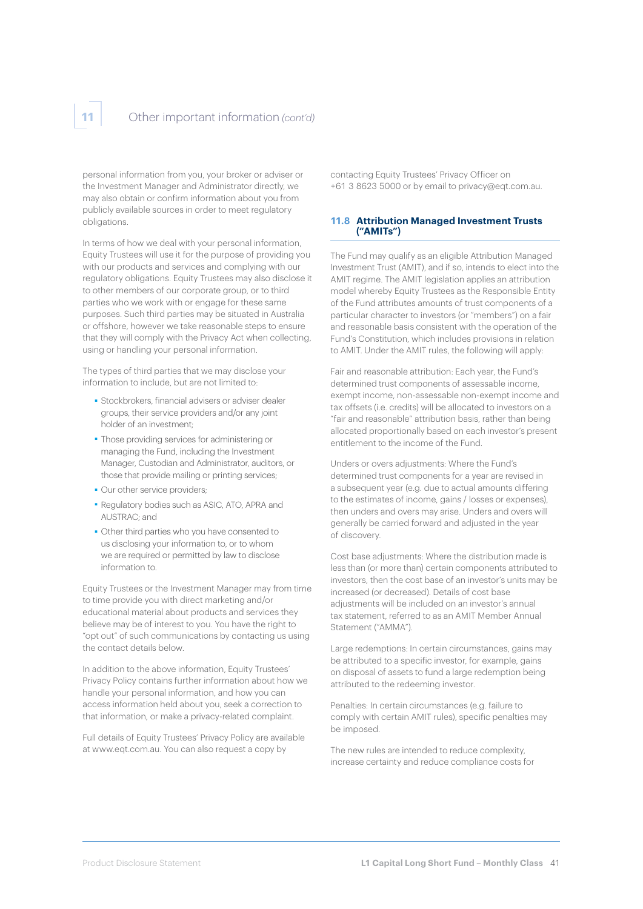personal information from you, your broker or adviser or the Investment Manager and Administrator directly, we may also obtain or confirm information about you from publicly available sources in order to meet regulatory obligations.

In terms of how we deal with your personal information, Equity Trustees will use it for the purpose of providing you with our products and services and complying with our regulatory obligations. Equity Trustees may also disclose it to other members of our corporate group, or to third parties who we work with or engage for these same purposes. Such third parties may be situated in Australia or offshore, however we take reasonable steps to ensure that they will comply with the Privacy Act when collecting, using or handling your personal information.

The types of third parties that we may disclose your information to include, but are not limited to:

- **Bedieviers**, financial advisers or adviser dealer groups, their service providers and/or any joint holder of an investment;
- Those providing services for administering or managing the Fund, including the Investment Manager, Custodian and Administrator, auditors, or those that provide mailing or printing services;
- Our other service providers;
- ■ Regulatory bodies such as ASIC, ATO, APRA and AUSTRAC; and
- ■ Other third parties who you have consented to us disclosing your information to, or to whom we are required or permitted by law to disclose information to.

Equity Trustees or the Investment Manager may from time to time provide you with direct marketing and/or educational material about products and services they believe may be of interest to you. You have the right to "opt out" of such communications by contacting us using the contact details below.

In addition to the above information, Equity Trustees' Privacy Policy contains further information about how we handle your personal information, and how you can access information held about you, seek a correction to that information, or make a privacy-related complaint.

Full details of Equity Trustees' Privacy Policy are available at [www.eqt.com.au.](http://www.eqt.com.au) You can also request a copy by

contacting Equity Trustees' Privacy Officer on +61 3 8623 5000 or by email to privacy@eqt.com.au.

#### **11.8 Attribution Managed Investment Trusts ("AMITs")**

The Fund may qualify as an eligible Attribution Managed Investment Trust (AMIT), and if so, intends to elect into the AMIT regime. The AMIT legislation applies an attribution model whereby Equity Trustees as the Responsible Entity of the Fund attributes amounts of trust components of a particular character to investors (or "members") on a fair and reasonable basis consistent with the operation of the Fund's Constitution, which includes provisions in relation to AMIT. Under the AMIT rules, the following will apply:

Fair and reasonable attribution: Each year, the Fund's determined trust components of assessable income, exempt income, non-assessable non-exempt income and tax offsets (i.e. credits) will be allocated to investors on a "fair and reasonable" attribution basis, rather than being allocated proportionally based on each investor's present entitlement to the income of the Fund.

Unders or overs adjustments: Where the Fund's determined trust components for a year are revised in a subsequent year (e.g. due to actual amounts differing to the estimates of income, gains / losses or expenses), then unders and overs may arise. Unders and overs will generally be carried forward and adjusted in the year of discovery.

Cost base adjustments: Where the distribution made is less than (or more than) certain components attributed to investors, then the cost base of an investor's units may be increased (or decreased). Details of cost base adjustments will be included on an investor's annual tax statement, referred to as an AMIT Member Annual Statement ("AMMA").

Large redemptions: In certain circumstances, gains may be attributed to a specific investor, for example, gains on disposal of assets to fund a large redemption being attributed to the redeeming investor.

Penalties: In certain circumstances (e.g. failure to comply with certain AMIT rules), specific penalties may be imposed.

The new rules are intended to reduce complexity, increase certainty and reduce compliance costs for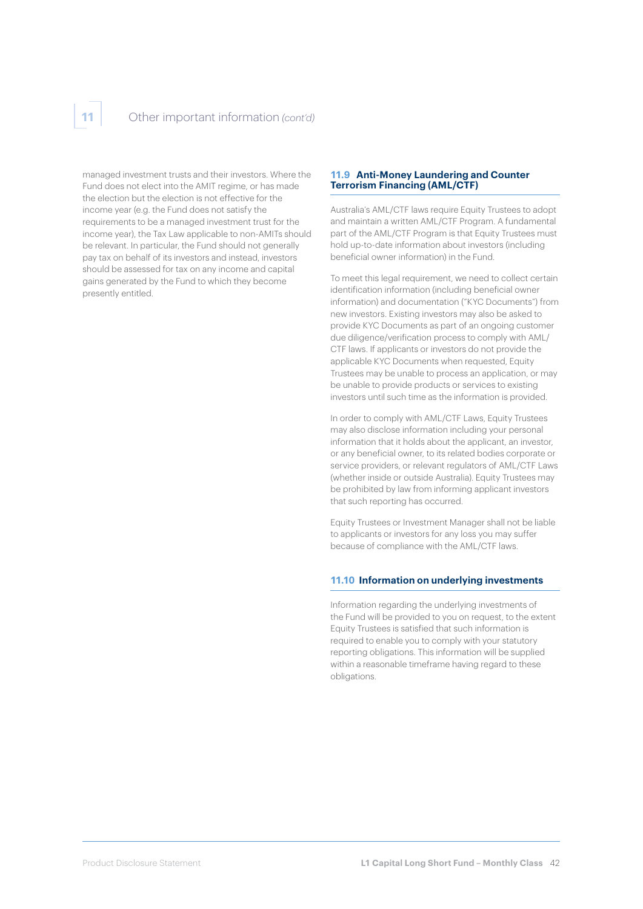managed investment trusts and their investors. Where the Fund does not elect into the AMIT regime, or has made the election but the election is not effective for the income year (e.g. the Fund does not satisfy the requirements to be a managed investment trust for the income year), the Tax Law applicable to non-AMITs should be relevant. In particular, the Fund should not generally pay tax on behalf of its investors and instead, investors should be assessed for tax on any income and capital gains generated by the Fund to which they become presently entitled.

#### **11.9 Anti-Money Laundering and Counter Terrorism Financing (AML/CTF)**

Australia's AML/CTF laws require Equity Trustees to adopt and maintain a written AML/CTF Program. A fundamental part of the AML/CTF Program is that Equity Trustees must hold up-to-date information about investors (including beneficial owner information) in the Fund.

To meet this legal requirement, we need to collect certain identification information (including beneficial owner information) and documentation ("KYC Documents") from new investors. Existing investors may also be asked to provide KYC Documents as part of an ongoing customer due diligence/verification process to comply with AML/ CTF laws. If applicants or investors do not provide the applicable KYC Documents when requested, Equity Trustees may be unable to process an application, or may be unable to provide products or services to existing investors until such time as the information is provided.

In order to comply with AML/CTF Laws, Equity Trustees may also disclose information including your personal information that it holds about the applicant, an investor, or any beneficial owner, to its related bodies corporate or service providers, or relevant regulators of AML/CTF Laws (whether inside or outside Australia). Equity Trustees may be prohibited by law from informing applicant investors that such reporting has occurred.

Equity Trustees or Investment Manager shall not be liable to applicants or investors for any loss you may suffer because of compliance with the AML/CTF laws.

#### **11.10 Information on underlying investments**

Information regarding the underlying investments of the Fund will be provided to you on request, to the extent Equity Trustees is satisfied that such information is required to enable you to comply with your statutory reporting obligations. This information will be supplied within a reasonable timeframe having regard to these obligations.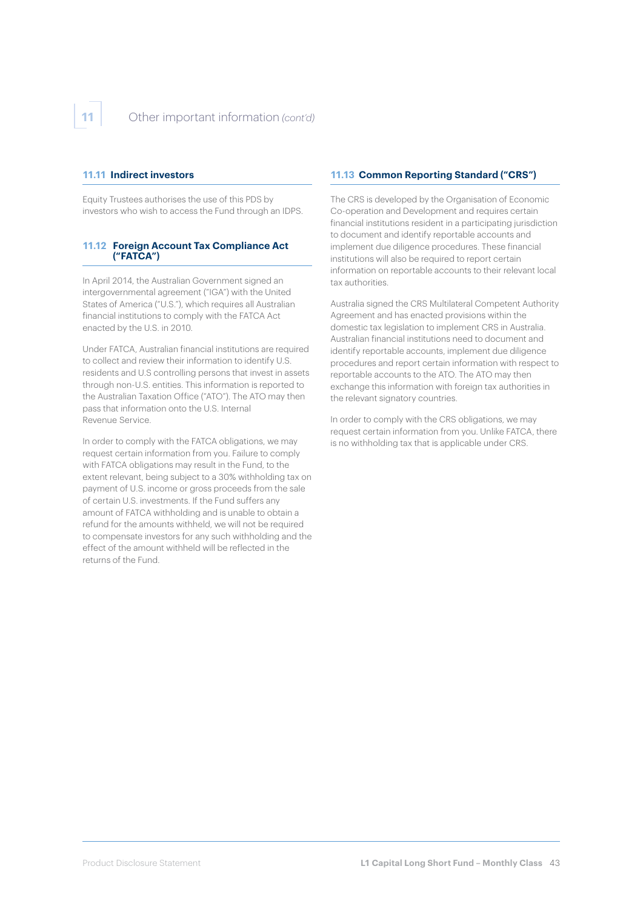#### **11.11 Indirect investors**

Equity Trustees authorises the use of this PDS by investors who wish to access the Fund through an IDPS.

#### **11.12 Foreign Account Tax Compliance Act ("FATCA")**

In April 2014, the Australian Government signed an intergovernmental agreement ("IGA") with the United States of America ("U.S."), which requires all Australian financial institutions to comply with the FATCA Act enacted by the U.S. in 2010.

Under FATCA, Australian financial institutions are required to collect and review their information to identify U.S. residents and U.S controlling persons that invest in assets through non-U.S. entities. This information is reported to the Australian Taxation Office ("ATO"). The ATO may then pass that information onto the U.S. Internal Revenue Service.

In order to comply with the FATCA obligations, we may request certain information from you. Failure to comply with FATCA obligations may result in the Fund, to the extent relevant, being subject to a 30% withholding tax on payment of U.S. income or gross proceeds from the sale of certain U.S. investments. If the Fund suffers any amount of FATCA withholding and is unable to obtain a refund for the amounts withheld, we will not be required to compensate investors for any such withholding and the effect of the amount withheld will be reflected in the returns of the Fund.

#### **11.13 Common Reporting Standard ("CRS")**

The CRS is developed by the Organisation of Economic Co-operation and Development and requires certain financial institutions resident in a participating jurisdiction to document and identify reportable accounts and implement due diligence procedures. These financial institutions will also be required to report certain information on reportable accounts to their relevant local tax authorities.

Australia signed the CRS Multilateral Competent Authority Agreement and has enacted provisions within the domestic tax legislation to implement CRS in Australia. Australian financial institutions need to document and identify reportable accounts, implement due diligence procedures and report certain information with respect to reportable accounts to the ATO. The ATO may then exchange this information with foreign tax authorities in the relevant signatory countries.

In order to comply with the CRS obligations, we may request certain information from you. Unlike FATCA, there is no withholding tax that is applicable under CRS.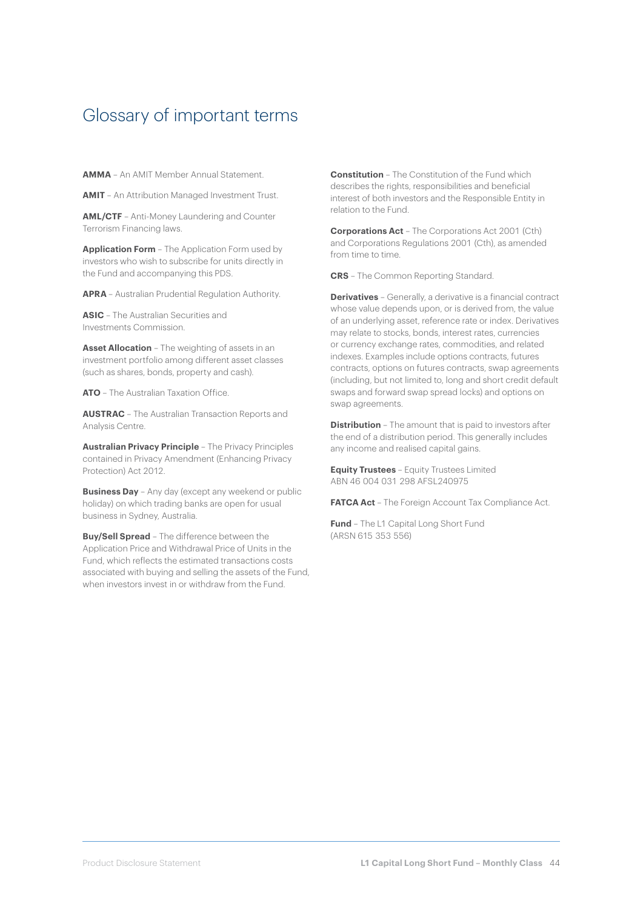### Glossary of important terms

**AMMA** – An AMIT Member Annual Statement.

**AMIT** – An Attribution Managed Investment Trust.

**AML/CTF** – Anti-Money Laundering and Counter Terrorism Financing laws.

**Application Form** – The Application Form used by investors who wish to subscribe for units directly in the Fund and accompanying this PDS.

**APRA** – Australian Prudential Regulation Authority.

**ASIC** – The Australian Securities and Investments Commission.

**Asset Allocation** – The weighting of assets in an investment portfolio among different asset classes (such as shares, bonds, property and cash).

**ATO** – The Australian Taxation Office.

**AUSTRAC** – The Australian Transaction Reports and Analysis Centre.

**Australian Privacy Principle** – The Privacy Principles contained in Privacy Amendment (Enhancing Privacy Protection) Act 2012.

**Business Day** - Any day (except any weekend or public holiday) on which trading banks are open for usual business in Sydney, Australia.

**Buy/Sell Spread** – The difference between the Application Price and Withdrawal Price of Units in the Fund, which reflects the estimated transactions costs associated with buying and selling the assets of the Fund, when investors invest in or withdraw from the Fund.

**Constitution** – The Constitution of the Fund which describes the rights, responsibilities and beneficial interest of both investors and the Responsible Entity in relation to the Fund.

**Corporations Act** – The Corporations Act 2001 (Cth) and Corporations Regulations 2001 (Cth), as amended from time to time.

**CRS** – The Common Reporting Standard.

**Derivatives** – Generally, a derivative is a financial contract whose value depends upon, or is derived from, the value of an underlying asset, reference rate or index. Derivatives may relate to stocks, bonds, interest rates, currencies or currency exchange rates, commodities, and related indexes. Examples include options contracts, futures contracts, options on futures contracts, swap agreements (including, but not limited to, long and short credit default swaps and forward swap spread locks) and options on swap agreements.

**Distribution** – The amount that is paid to investors after the end of a distribution period. This generally includes any income and realised capital gains.

**Equity Trustees** – Equity Trustees Limited ABN 46 004 031 298 AFSL240975

**FATCA Act** - The Foreign Account Tax Compliance Act.

**Fund** – The L1 Capital Long Short Fund (ARSN 615 353 556)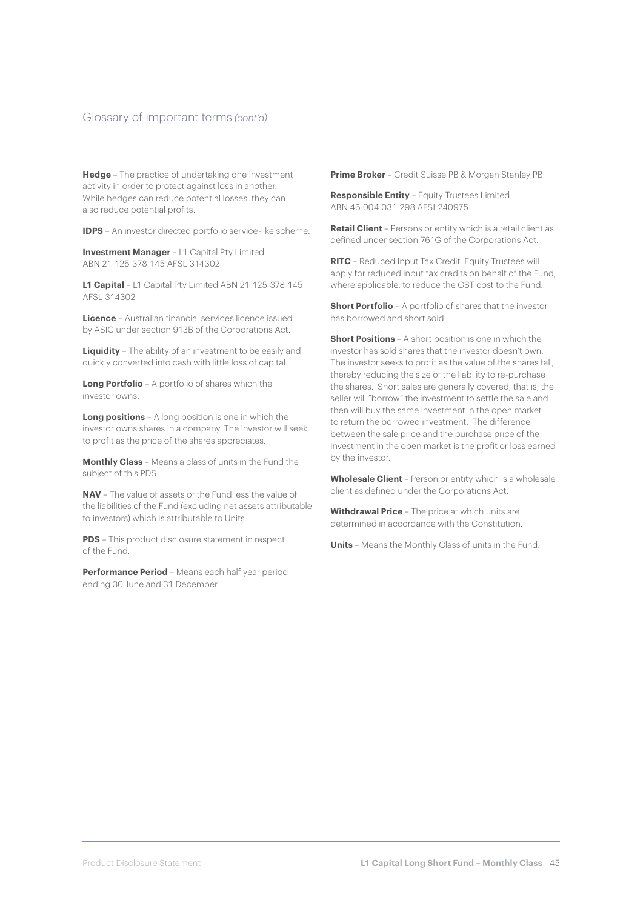#### Glossary of important terms *(cont'd)*

**Hedge** – The practice of undertaking one investment activity in order to protect against loss in another. While hedges can reduce potential losses, they can also reduce potential profits.

**IDPS** – An investor directed portfolio service-like scheme.

**Investment Manager - L1 Capital Pty Limited** ABN 21 125 378 145 AFSL 314302

**L1 Capital** – L1 Capital Pty Limited ABN 21 125 378 145 AFSL 314302

**Licence** – Australian financial services licence issued by ASIC under section 913B of the Corporations Act.

**Liquidity** – The ability of an investment to be easily and quickly converted into cash with little loss of capital.

**Long Portfolio** – A portfolio of shares which the investor owns.

**Long positions** – A long position is one in which the investor owns shares in a company. The investor will seek to profit as the price of the shares appreciates.

**Monthly Class** – Means a class of units in the Fund the subject of this PDS.

**NAV** – The value of assets of the Fund less the value of the liabilities of the Fund (excluding net assets attributable to investors) which is attributable to Units.

**PDS** – This product disclosure statement in respect of the Fund.

**Performance Period** – Means each half year period ending 30 June and 31 December.

**Prime Broker** – Credit Suisse PB & Morgan Stanley PB.

**Responsible Entity** – Equity Trustees Limited ABN 46 004 031 298 AFSL240975.

**Retail Client** – Persons or entity which is a retail client as defined under section 761G of the Corporations Act.

**RITC** – Reduced Input Tax Credit. Equity Trustees will apply for reduced input tax credits on behalf of the Fund, where applicable, to reduce the GST cost to the Fund.

**Short Portfolio** – A portfolio of shares that the investor has borrowed and short sold.

**Short Positions** – A short position is one in which the investor has sold shares that the investor doesn't own. The investor seeks to profit as the value of the shares fall, thereby reducing the size of the liability to re-purchase the shares. Short sales are generally covered, that is, the seller will "borrow" the investment to settle the sale and then will buy the same investment in the open market to return the borrowed investment. The difference between the sale price and the purchase price of the investment in the open market is the profit or loss earned by the investor.

**Wholesale Client** – Person or entity which is a wholesale client as defined under the Corporations Act.

**Withdrawal Price** – The price at which units are determined in accordance with the Constitution.

**Units** – Means the Monthly Class of units in the Fund.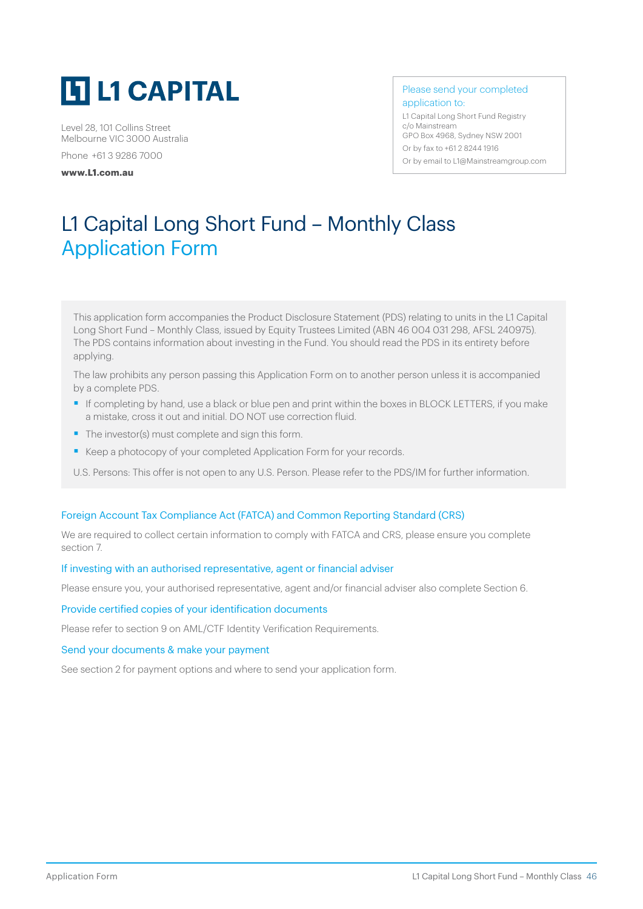

Level 28, 101 Collins Street Melbourne VIC 3000 Australia

Phone +61 3 9286 7000

**[www.L1.com.au](http://www.L1.com.au)**

Please send your completed application to:

L1 Capital Long Short Fund Registry c/o Mainstream GPO Box 4968, Sydney NSW 2001 Or by fax to +61 2 8244 1916 Or by email to [L1@Mainstreamgroup.com](mailto:L1%40Mainstreamgroup.com?subject=)

# L1 Capital Long Short Fund – Monthly Class Application Form

This application form accompanies the Product Disclosure Statement (PDS) relating to units in the L1 Capital Long Short Fund – Monthly Class, issued by Equity Trustees Limited (ABN 46 004 031 298, AFSL 240975). The PDS contains information about investing in the Fund. You should read the PDS in its entirety before applying.

The law prohibits any person passing this Application Form on to another person unless it is accompanied by a complete PDS.

- If completing by hand, use a black or blue pen and print within the boxes in BLOCK LETTERS, if you make a mistake, cross it out and initial. DO NOT use correction fluid.
- The investor(s) must complete and sign this form.
- Keep a photocopy of your completed Application Form for your records.
- U.S. Persons: This offer is not open to any U.S. Person. Please refer to the PDS/IM for further information.

#### Foreign Account Tax Compliance Act (FATCA) and Common Reporting Standard (CRS)

We are required to collect certain information to comply with FATCA and CRS, please ensure you complete section 7.

#### If investing with an authorised representative, agent or financial adviser

Please ensure you, your authorised representative, agent and/or financial adviser also complete Section 6.

#### Provide certified copies of your identification documents

Please refer to section 9 on AML/CTF Identity Verification Requirements.

#### Send your documents & make your payment

See section 2 for payment options and where to send your application form.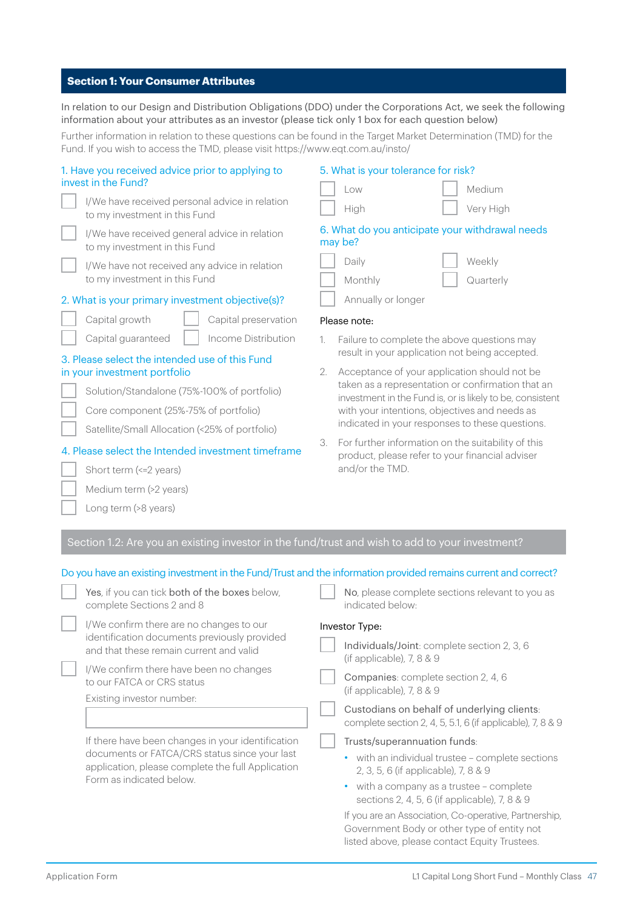#### **Section 1: Your Consumer Attributes**

In relation to our Design and Distribution Obligations (DDO) under the Corporations Act, we seek the following information about your attributes as an investor (please tick only 1 box for each question below)

Further information in relation to these questions can be found in the Target Market Determination (TMD) for the Fund. If you wish to access the TMD, please visit<https://www.eqt.com.au/insto/>

| 1. Have you received advice prior to applying to<br>invest in the Fund?<br>I/We have received personal advice in relation<br>to my investment in this Fund<br>I/We have received general advice in relation<br>to my investment in this Fund<br>I/We have not received any advice in relation<br>to my investment in this Fund | 5. What is your tolerance for risk?<br>Medium<br>Low<br>Very High<br>High<br>6. What do you anticipate your withdrawal needs<br>may be?<br>Daily<br>Weekly<br>Monthly<br>Quarterly                             |
|--------------------------------------------------------------------------------------------------------------------------------------------------------------------------------------------------------------------------------------------------------------------------------------------------------------------------------|----------------------------------------------------------------------------------------------------------------------------------------------------------------------------------------------------------------|
| 2. What is your primary investment objective(s)?                                                                                                                                                                                                                                                                               | Annually or longer                                                                                                                                                                                             |
| Capital growth<br>Capital preservation                                                                                                                                                                                                                                                                                         | Please note:                                                                                                                                                                                                   |
| Capital guaranteed<br>Income Distribution<br>3. Please select the intended use of this Fund<br>in your investment portfolio                                                                                                                                                                                                    | Failure to complete the above questions may<br>1.<br>result in your application not being accepted.<br>Acceptance of your application should not be<br>2.<br>taken as a representation or confirmation that an |
| Solution/Standalone (75%-100% of portfolio)<br>Core component (25%-75% of portfolio)<br>Satellite/Small Allocation (<25% of portfolio)                                                                                                                                                                                         | investment in the Fund is, or is likely to be, consistent<br>with your intentions, objectives and needs as<br>indicated in your responses to these questions.                                                  |
| 4. Please select the Intended investment timeframe<br>Short term (<= 2 years)                                                                                                                                                                                                                                                  | For further information on the suitability of this<br>3.<br>product, please refer to your financial adviser<br>and/or the TMD.                                                                                 |
| Medium term (>2 years)<br>Long term (>8 years)                                                                                                                                                                                                                                                                                 |                                                                                                                                                                                                                |
| Section 1.2: Are you an existing investor in the fund/trust and wish to add to your investment?                                                                                                                                                                                                                                |                                                                                                                                                                                                                |
|                                                                                                                                                                                                                                                                                                                                | Do you have an existing investment in the Fund/Trust and the information provided remains current and correct?                                                                                                 |
| Yes, if you can tick both of the boxes below,<br>complete Sections 2 and 8                                                                                                                                                                                                                                                     | No, please complete sections relevant to you as<br>indicated below·                                                                                                                                            |
| I/We confirm there are no changes to our                                                                                                                                                                                                                                                                                       | Investor Type:                                                                                                                                                                                                 |
| identification documents previously provided<br>and that these remain current and valid                                                                                                                                                                                                                                        | Individuals/Joint: complete section 2, 3, 6<br>(if applicable), $7, 8 & 9$                                                                                                                                     |
| I/We confirm there have been no changes<br>to our FATCA or CRS status                                                                                                                                                                                                                                                          | Companies: complete section 2, 4, 6<br>(if applicable), 7, 8 & 9                                                                                                                                               |
| Existing investor number:                                                                                                                                                                                                                                                                                                      | Custodians on behalf of underlying clients:<br>complete section 2, 4, 5, 5.1, 6 (if applicable), 7, 8 & 9                                                                                                      |

listed above, please contact Equity Trustees.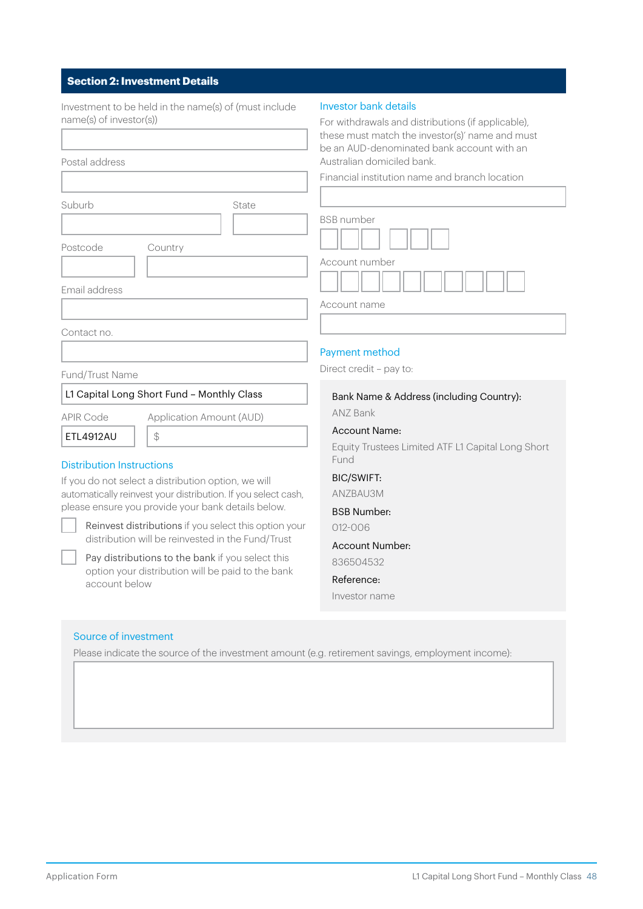### **Section 2: Investment Details**

| Investment to be held in the name(s) of (must include<br>name(s) of investor(s))<br>Postal address                                                                                                                                                                                                                                                                                              | <b>Investor bank details</b><br>For withdrawals and distributions (if applicable),<br>these must match the investor(s)' name and must<br>be an AUD-denominated bank account with an<br>Australian domiciled bank.<br>Financial institution name and branch location |
|-------------------------------------------------------------------------------------------------------------------------------------------------------------------------------------------------------------------------------------------------------------------------------------------------------------------------------------------------------------------------------------------------|---------------------------------------------------------------------------------------------------------------------------------------------------------------------------------------------------------------------------------------------------------------------|
| Suburb<br>State<br>Postcode<br>Country<br>Email address                                                                                                                                                                                                                                                                                                                                         | <b>BSB</b> number<br>Account number                                                                                                                                                                                                                                 |
|                                                                                                                                                                                                                                                                                                                                                                                                 | Account name                                                                                                                                                                                                                                                        |
| Contact no.                                                                                                                                                                                                                                                                                                                                                                                     | Payment method                                                                                                                                                                                                                                                      |
| Fund/Trust Name                                                                                                                                                                                                                                                                                                                                                                                 | Direct credit - pay to:                                                                                                                                                                                                                                             |
| L1 Capital Long Short Fund - Monthly Class                                                                                                                                                                                                                                                                                                                                                      | Bank Name & Address (including Country):<br>ANZ Bank                                                                                                                                                                                                                |
| <b>APIR Code</b><br>Application Amount (AUD)<br>ETL4912AU<br>\$<br><b>Distribution Instructions</b><br>If you do not select a distribution option, we will<br>automatically reinvest your distribution. If you select cash,<br>please ensure you provide your bank details below.<br>Reinvest distributions if you select this option your<br>distribution will be reinvested in the Fund/Trust | <b>Account Name:</b><br>Equity Trustees Limited ATF L1 Capital Long Short<br>Fund<br><b>BIC/SWIFT:</b><br>ANZBAU3M<br><b>BSB Number:</b><br>012-006                                                                                                                 |
| Pay distributions to the bank if you select this<br>option your distribution will be paid to the bank<br>account below<br>Source of investment                                                                                                                                                                                                                                                  | <b>Account Number:</b><br>836504532<br>Reference:<br>Investor name                                                                                                                                                                                                  |
| Please indicate the source of the investment amount (e.g. retirement savings, employment income):                                                                                                                                                                                                                                                                                               |                                                                                                                                                                                                                                                                     |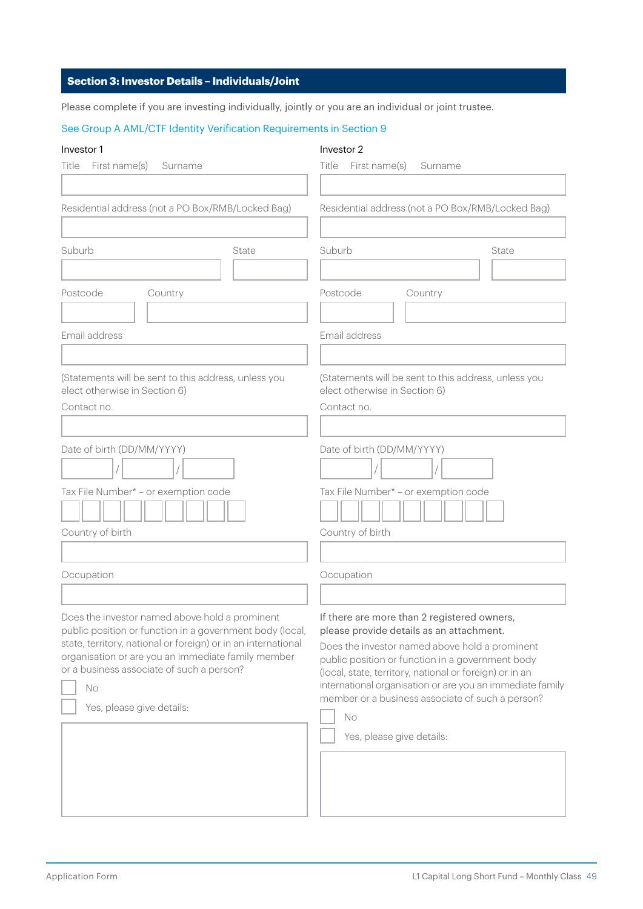#### **Section 3: Investor Details – Individuals/Joint**

Please complete if you are investing individually, jointly or you are an individual or joint trustee.

#### See Group A AML/CTF Identity Verification Requirements in Section 9

#### Investor 1

#### Investor 2

| First name(s)                                                                                                                                                                                                                                                                                                     | First name(s)                                                                                                                                                                                                                                                                                                                                                                                                |  |
|-------------------------------------------------------------------------------------------------------------------------------------------------------------------------------------------------------------------------------------------------------------------------------------------------------------------|--------------------------------------------------------------------------------------------------------------------------------------------------------------------------------------------------------------------------------------------------------------------------------------------------------------------------------------------------------------------------------------------------------------|--|
| Title                                                                                                                                                                                                                                                                                                             | Title                                                                                                                                                                                                                                                                                                                                                                                                        |  |
| Surname                                                                                                                                                                                                                                                                                                           | Surname                                                                                                                                                                                                                                                                                                                                                                                                      |  |
| Residential address (not a PO Box/RMB/Locked Bag)                                                                                                                                                                                                                                                                 | Residential address (not a PO Box/RMB/Locked Bag)                                                                                                                                                                                                                                                                                                                                                            |  |
| Suburb                                                                                                                                                                                                                                                                                                            | Suburb                                                                                                                                                                                                                                                                                                                                                                                                       |  |
| State                                                                                                                                                                                                                                                                                                             | State                                                                                                                                                                                                                                                                                                                                                                                                        |  |
| Postcode                                                                                                                                                                                                                                                                                                          | Postcode                                                                                                                                                                                                                                                                                                                                                                                                     |  |
| Country                                                                                                                                                                                                                                                                                                           | Country                                                                                                                                                                                                                                                                                                                                                                                                      |  |
| Email address                                                                                                                                                                                                                                                                                                     | Email address                                                                                                                                                                                                                                                                                                                                                                                                |  |
| (Statements will be sent to this address, unless you                                                                                                                                                                                                                                                              | (Statements will be sent to this address, unless you                                                                                                                                                                                                                                                                                                                                                         |  |
| elect otherwise in Section 6)                                                                                                                                                                                                                                                                                     | elect otherwise in Section 6)                                                                                                                                                                                                                                                                                                                                                                                |  |
| Contact no.                                                                                                                                                                                                                                                                                                       | Contact no.                                                                                                                                                                                                                                                                                                                                                                                                  |  |
| Date of birth (DD/MM/YYYY)                                                                                                                                                                                                                                                                                        | Date of birth (DD/MM/YYYY)                                                                                                                                                                                                                                                                                                                                                                                   |  |
| Tax File Number* - or exemption code                                                                                                                                                                                                                                                                              | Tax File Number* - or exemption code                                                                                                                                                                                                                                                                                                                                                                         |  |
| Country of birth                                                                                                                                                                                                                                                                                                  | Country of birth                                                                                                                                                                                                                                                                                                                                                                                             |  |
| Occupation                                                                                                                                                                                                                                                                                                        | Occupation                                                                                                                                                                                                                                                                                                                                                                                                   |  |
| Does the investor named above hold a prominent<br>public position or function in a government body (local,<br>state, territory, national or foreign) or in an international<br>organisation or are you an immediate family member<br>or a business associate of such a person?<br>No<br>Yes, please give details: | If there are more than 2 registered owners,<br>please provide details as an attachment.<br>Does the investor named above hold a prominent<br>public position or function in a government body<br>(local, state, territory, national or foreign) or in an<br>international organisation or are you an immediate family<br>member or a business associate of such a person?<br>No<br>Yes, please give details: |  |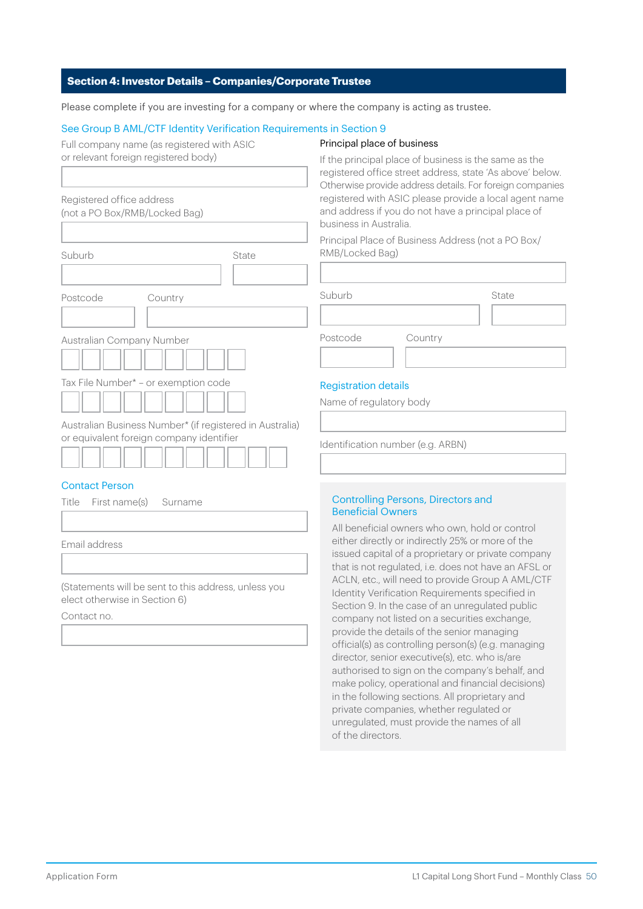#### **Section 4: Investor Details – Companies/Corporate Trustee**

Please complete if you are investing for a company or where the company is acting as trustee.

#### See Group B AML/CTF Identity Verification Requirements in Section 9

| Full company name (as registered with ASIC |  |
|--------------------------------------------|--|
| or relevant foreign registered body)       |  |

#### Principal place of business

| Registered office address                                |       |
|----------------------------------------------------------|-------|
| (not a PO Box/RMB/Locked Bag)                            |       |
|                                                          |       |
|                                                          |       |
| Suburb                                                   | State |
|                                                          |       |
| Postcode<br>Country                                      |       |
|                                                          |       |
| Australian Company Number                                |       |
|                                                          |       |
| Tax File Number* - or exemption code                     |       |
|                                                          |       |
| Australian Business Number* (if registered in Australia) |       |
| or equivalent foreign company identifier                 |       |

#### Contact Person

| Title First name(s) Surname |  |
|-----------------------------|--|
|                             |  |
| Email address               |  |
|                             |  |

(Statements will be sent to this address, unless you elect otherwise in Section 6)

Contact no.

If the principal place of business is the same as the registered office street address, state 'As above' below. Otherwise provide address details. For foreign companies registered with ASIC please provide a local agent name and address if you do not have a principal place of business in Australia.

Principal Place of Business Address (not a PO Box/ RMB/Locked Bag)

| Suburb   |         | State |
|----------|---------|-------|
|          |         |       |
| Postcode | Country |       |
|          |         |       |

#### Registration details

Name of regulatory body

Identification number (e.g. ARBN)

#### Controlling Persons, Directors and Beneficial Owners

All beneficial owners who own, hold or control either directly or indirectly 25% or more of the issued capital of a proprietary or private company that is not regulated, i.e. does not have an AFSL or ACLN, etc., will need to provide Group A AML/CTF Identity Verification Requirements specified in Section 9. In the case of an unregulated public company not listed on a securities exchange, provide the details of the senior managing official(s) as controlling person(s) (e.g. managing director, senior executive(s), etc. who is/are authorised to sign on the company's behalf, and make policy, operational and financial decisions) in the following sections. All proprietary and private companies, whether regulated or unregulated, must provide the names of all of the directors.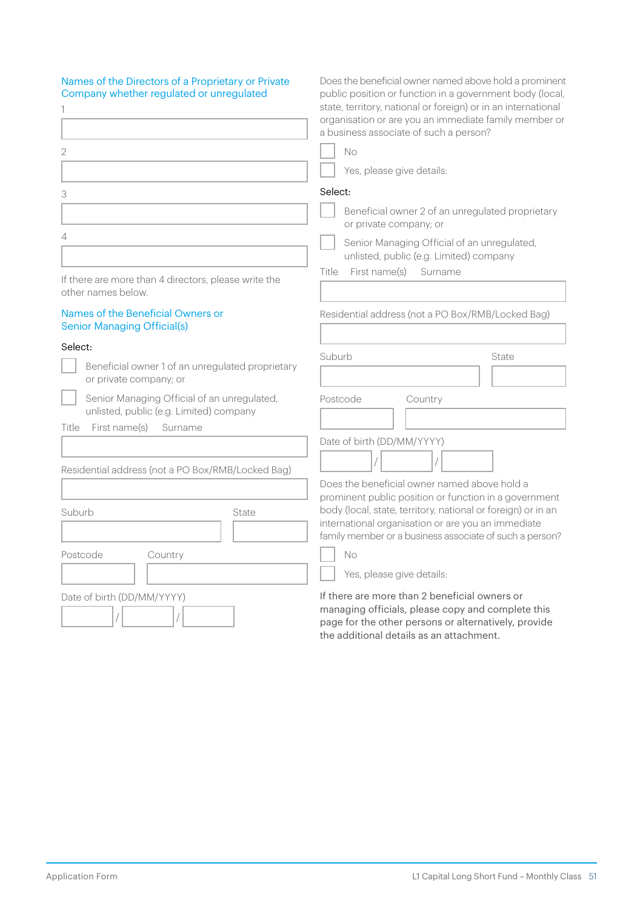| Names of the Directors of a Proprietary or Private<br>Company whether regulated or unregulated | Does the beneficial owner named above hold a prominent<br>public position or function in a government body (local,<br>state, territory, national or foreign) or in an international<br>organisation or are you an immediate family member or<br>a business associate of such a person? |
|------------------------------------------------------------------------------------------------|----------------------------------------------------------------------------------------------------------------------------------------------------------------------------------------------------------------------------------------------------------------------------------------|
| 2                                                                                              | <b>No</b>                                                                                                                                                                                                                                                                              |
|                                                                                                | Yes, please give details:                                                                                                                                                                                                                                                              |
| 3                                                                                              | Select:                                                                                                                                                                                                                                                                                |
|                                                                                                | Beneficial owner 2 of an unregulated proprietary<br>or private company; or                                                                                                                                                                                                             |
| 4                                                                                              | Senior Managing Official of an unregulated,<br>unlisted, public (e.g. Limited) company                                                                                                                                                                                                 |
| If there are more than 4 directors, please write the<br>other names below.                     | First name(s)<br>Title<br>Surname                                                                                                                                                                                                                                                      |
| Names of the Beneficial Owners or<br><b>Senior Managing Official(s)</b>                        | Residential address (not a PO Box/RMB/Locked Bag)                                                                                                                                                                                                                                      |
| Select:<br>Beneficial owner 1 of an unregulated proprietary<br>or private company; or          | Suburb<br>State                                                                                                                                                                                                                                                                        |
| Senior Managing Official of an unregulated,<br>unlisted, public (e.g. Limited) company         | Postcode<br>Country                                                                                                                                                                                                                                                                    |
| First name(s)<br>Title<br>Surname                                                              | Date of birth (DD/MM/YYYY)                                                                                                                                                                                                                                                             |
| Residential address (not a PO Box/RMB/Locked Bag)                                              |                                                                                                                                                                                                                                                                                        |
|                                                                                                | Does the beneficial owner named above hold a                                                                                                                                                                                                                                           |
| Suburb<br>State                                                                                | prominent public position or function in a government<br>body (local, state, territory, national or foreign) or in an<br>international organisation or are you an immediate<br>family member or a business associate of such a person?                                                 |
| Postcode<br>Country                                                                            | No                                                                                                                                                                                                                                                                                     |
|                                                                                                | Yes, please give details:                                                                                                                                                                                                                                                              |
| Date of birth (DD/MM/YYYY)                                                                     | If there are more than 2 beneficial owners or<br>managing officials, please copy and complete this<br>page for the other persons or alternatively, provide                                                                                                                             |

the additional details as an attachment.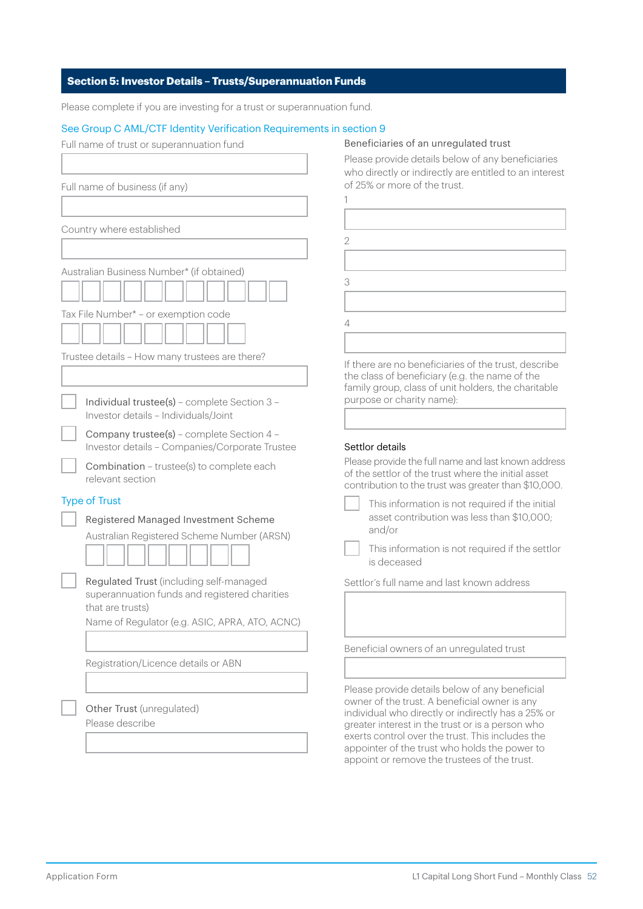#### **Section 5: Investor Details – Trusts/Superannuation Funds**

Please complete if you are investing for a trust or superannuation fund.

#### See Group C AML/CTF Identity Verification Requirements in section 9

| Full name of trust or superannuation fund                                            | Beneficiaries of an unregulated trust                                                                      |
|--------------------------------------------------------------------------------------|------------------------------------------------------------------------------------------------------------|
|                                                                                      | Please provide details below of any beneficiaries                                                          |
|                                                                                      | who directly or indirectly are entitled to an interest                                                     |
| Full name of business (if any)                                                       | of 25% or more of the trust.                                                                               |
|                                                                                      |                                                                                                            |
|                                                                                      |                                                                                                            |
| Country where established                                                            |                                                                                                            |
|                                                                                      | 2                                                                                                          |
|                                                                                      |                                                                                                            |
| Australian Business Number* (if obtained)                                            | 3                                                                                                          |
|                                                                                      |                                                                                                            |
|                                                                                      |                                                                                                            |
| Tax File Number* - or exemption code                                                 | $\overline{4}$                                                                                             |
|                                                                                      |                                                                                                            |
|                                                                                      |                                                                                                            |
| Trustee details - How many trustees are there?                                       | If there are no beneficiaries of the trust, describe                                                       |
|                                                                                      | the class of beneficiary (e.g. the name of the                                                             |
|                                                                                      | family group, class of unit holders, the charitable<br>purpose or charity name):                           |
| Individual trustee(s) - complete Section 3 -<br>Investor details - Individuals/Joint |                                                                                                            |
|                                                                                      |                                                                                                            |
| Company trustee(s) - complete Section 4 -                                            |                                                                                                            |
| Investor details - Companies/Corporate Trustee                                       | Settlor details                                                                                            |
| Combination - trustee(s) to complete each                                            | Please provide the full name and last known address<br>of the settlor of the trust where the initial asset |
| relevant section                                                                     | contribution to the trust was greater than \$10,000.                                                       |
| <b>Type of Trust</b>                                                                 |                                                                                                            |
|                                                                                      | This information is not required if the initial<br>asset contribution was less than \$10,000;              |
| Registered Managed Investment Scheme                                                 | and/or                                                                                                     |
| Australian Registered Scheme Number (ARSN)                                           |                                                                                                            |
|                                                                                      | This information is not required if the settlor                                                            |
|                                                                                      | is deceased                                                                                                |
| Regulated Trust (including self-managed                                              | Settlor's full name and last known address                                                                 |
| superannuation funds and registered charities                                        |                                                                                                            |
| that are trusts)                                                                     |                                                                                                            |
| Name of Regulator (e.g. ASIC, APRA, ATO, ACNC)                                       |                                                                                                            |
|                                                                                      | Beneficial owners of an unregulated trust                                                                  |
| Registration/Licence details or ABN                                                  |                                                                                                            |
|                                                                                      |                                                                                                            |
|                                                                                      | Please provide details below of any beneficial                                                             |
|                                                                                      | owner of the trust. A beneficial owner is any                                                              |
| Other Trust (unregulated)                                                            | individual who directly or indirectly has a 25% or                                                         |
| Please describe                                                                      | greater interest in the trust or is a person who<br>exerts control over the trust. This includes the       |
|                                                                                      | appointer of the trust who holds the power to                                                              |
|                                                                                      | appoint or remove the trustees of the trust.                                                               |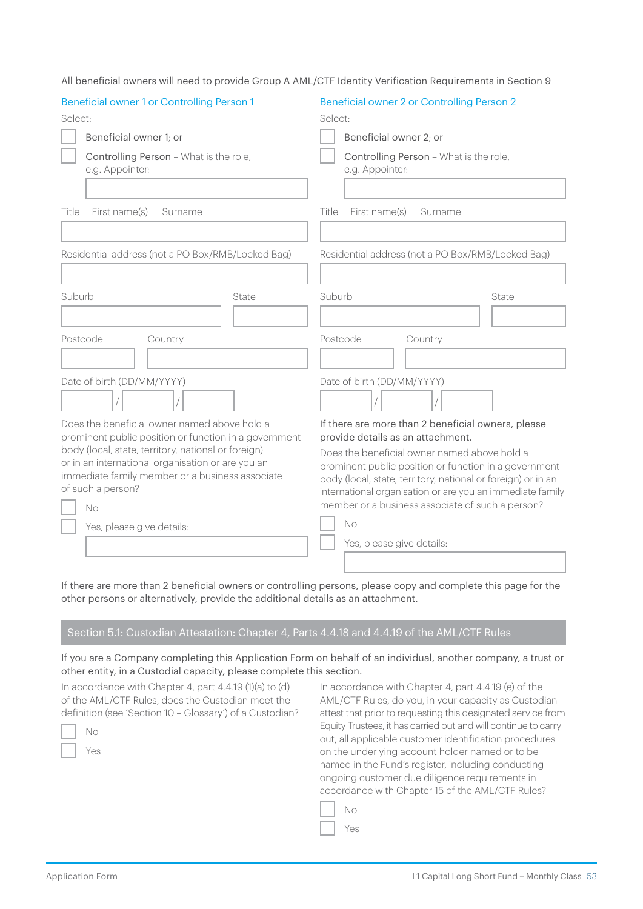| Beneficial owner 2 or Controlling Person 2                                                                            |
|-----------------------------------------------------------------------------------------------------------------------|
| Select:                                                                                                               |
| Beneficial owner 2: or                                                                                                |
| Controlling Person - What is the role,<br>e.g. Appointer:                                                             |
|                                                                                                                       |
| Title<br>First name(s)<br>Surname                                                                                     |
|                                                                                                                       |
| Residential address (not a PO Box/RMB/Locked Bag)                                                                     |
|                                                                                                                       |
| Suburb<br>State                                                                                                       |
|                                                                                                                       |
| Postcode<br>Country                                                                                                   |
|                                                                                                                       |
| Date of birth (DD/MM/YYYY)                                                                                            |
|                                                                                                                       |
| If there are more than 2 beneficial owners, please<br>provide details as an attachment.                               |
| Does the beneficial owner named above hold a                                                                          |
| prominent public position or function in a government<br>body (local, state, territory, national or foreign) or in an |
| international organisation or are you an immediate family                                                             |
| member or a business associate of such a person?<br><b>No</b>                                                         |
| Yes, please give details:                                                                                             |
|                                                                                                                       |
|                                                                                                                       |

All beneficial owners will need to provide Group A AML/CTF Identity Verification Requirements in Section 9

If there are more than 2 beneficial owners or controlling persons, please copy and complete this page for the other persons or alternatively, provide the additional details as an attachment.

#### Section 5.1: Custodian Attestation: Chapter 4, Parts 4.4.18 and 4.4.19 of the AML/CTF Rules

If you are a Company completing this Application Form on behalf of an individual, another company, a trust or other entity, in a Custodial capacity, please complete this section.

In accordance with Chapter 4, part 4.4.19 (1)(a) to (d) of the AML/CTF Rules, does the Custodian meet the definition (see 'Section 10 – Glossary') of a Custodian?

In accordance with Chapter 4, part 4.4.19 (e) of the AML/CTF Rules, do you, in your capacity as Custodian attest that prior to requesting this designated service from Equity Trustees, it has carried out and will continue to carry out, all applicable customer identification procedures on the underlying account holder named or to be named in the Fund's register, including conducting ongoing customer due diligence requirements in accordance with Chapter 15 of the AML/CTF Rules?

| ←<br>Ù |
|--------|
| 5<br>۰ |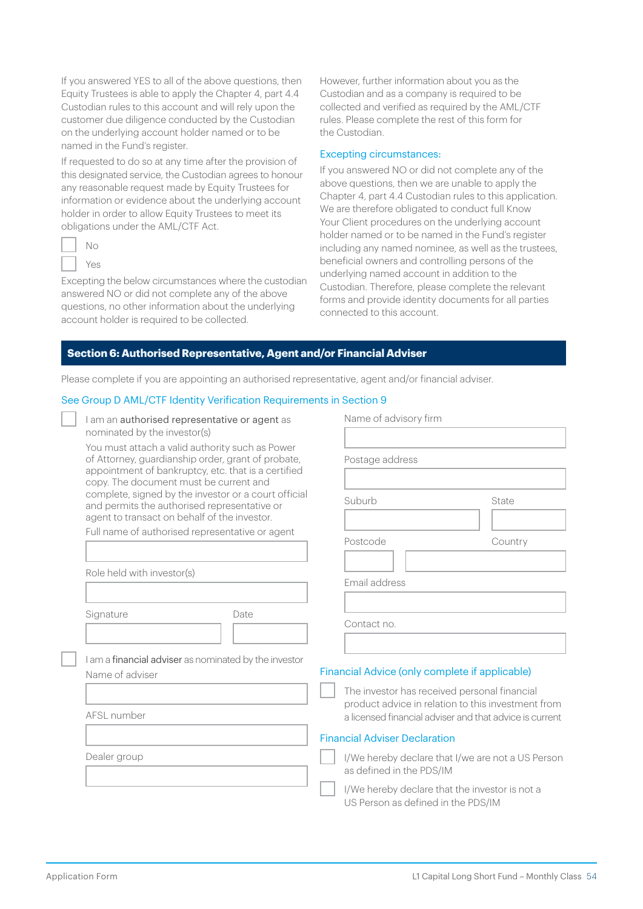If you answered YES to all of the above questions, then Equity Trustees is able to apply the Chapter 4, part 4.4 Custodian rules to this account and will rely upon the customer due diligence conducted by the Custodian on the underlying account holder named or to be named in the Fund's register.

If requested to do so at any time after the provision of this designated service, the Custodian agrees to honour any reasonable request made by Equity Trustees for information or evidence about the underlying account holder in order to allow Equity Trustees to meet its obligations under the AML/CTF Act.

| 1 |
|---|
| ÷ |

Excepting the below circumstances where the custodian answered NO or did not complete any of the above questions, no other information about the underlying account holder is required to be collected.

However, further information about you as the Custodian and as a company is required to be collected and verified as required by the AML/CTF rules. Please complete the rest of this form for the Custodian.

#### Excepting circumstances:

If you answered NO or did not complete any of the above questions, then we are unable to apply the Chapter 4, part 4.4 Custodian rules to this application. We are therefore obligated to conduct full Know Your Client procedures on the underlying account holder named or to be named in the Fund's register including any named nominee, as well as the trustees, beneficial owners and controlling persons of the underlying named account in addition to the Custodian. Therefore, please complete the relevant forms and provide identity documents for all parties connected to this account.

#### **Section 6: Authorised Representative, Agent and/or Financial Adviser**

Please complete if you are appointing an authorised representative, agent and/or financial adviser.

#### See Group D AML/CTF Identity Verification Requirements in Section 9

| I am an authorised representative or agent as |  |  |
|-----------------------------------------------|--|--|
| nominated by the investor(s)                  |  |  |

You must attach a valid authority such as Power of Attorney, guardianship order, grant of probate, appointment of bankruptcy, etc. that is a certified copy. The document must be current and complete, signed by the investor or a court official and permits the authorised representative or agent to transact on behalf of the investor.

Full name of authorised representative or agent

Role held with investor(s)

Signature Date

I am a financial adviser as nominated by the investor Name of adviser

AFSL number

Dealer group

Name of advisory firm Postage address Suburb State Postcode Country Email address Contact no. Financial Advice (only complete if applicable)

The investor has received personal financial product advice in relation to this investment from a licensed financial adviser and that advice is current

#### Financial Adviser Declaration

I/We hereby declare that I/we are not a US Person as defined in the PDS/IM

I/We hereby declare that the investor is not a US Person as defined in the PDS/IM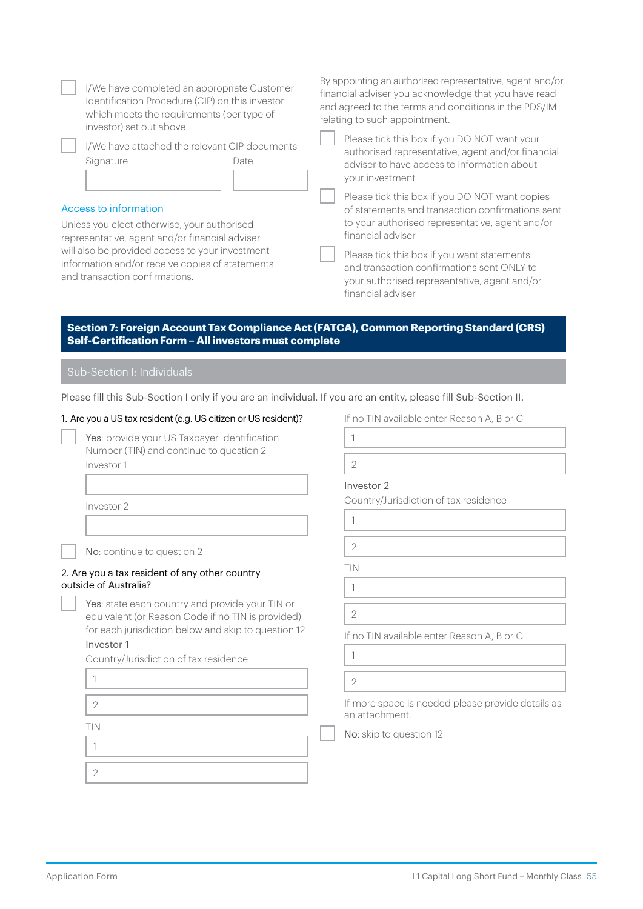| I/We have completed an appropriate Customer<br>Identification Procedure (CIP) on this investor<br>which meets the requirements (per type of<br>investor) set out above<br>I/We have attached the relevant CIP documents<br>Signature<br>Date<br>Access to information<br>Unless you elect otherwise, your authorised<br>representative, agent and/or financial adviser<br>will also be provided access to your investment<br>information and/or receive copies of statements<br>and transaction confirmations. | By appointing an authorised representative, agent and/or<br>financial adviser you acknowledge that you have read<br>and agreed to the terms and conditions in the PDS/IM<br>relating to such appointment.<br>Please tick this box if you DO NOT want your<br>authorised representative, agent and/or financial<br>adviser to have access to information about<br>your investment<br>Please tick this box if you DO NOT want copies<br>of statements and transaction confirmations sent<br>to your authorised representative, agent and/or<br>financial adviser<br>Please tick this box if you want statements<br>and transaction confirmations sent ONLY to<br>your authorised representative, agent and/or<br>financial adviser |
|----------------------------------------------------------------------------------------------------------------------------------------------------------------------------------------------------------------------------------------------------------------------------------------------------------------------------------------------------------------------------------------------------------------------------------------------------------------------------------------------------------------|----------------------------------------------------------------------------------------------------------------------------------------------------------------------------------------------------------------------------------------------------------------------------------------------------------------------------------------------------------------------------------------------------------------------------------------------------------------------------------------------------------------------------------------------------------------------------------------------------------------------------------------------------------------------------------------------------------------------------------|
| Section 7: Foreign Account Tax Compliance Act (FATCA), Common Reporting Standard (CRS)<br>Self-Certification Form - All investors must complete<br>Sub-Section I: Individuals                                                                                                                                                                                                                                                                                                                                  |                                                                                                                                                                                                                                                                                                                                                                                                                                                                                                                                                                                                                                                                                                                                  |
|                                                                                                                                                                                                                                                                                                                                                                                                                                                                                                                |                                                                                                                                                                                                                                                                                                                                                                                                                                                                                                                                                                                                                                                                                                                                  |
| Please fill this Sub-Section I only if you are an individual. If you are an entity, please fill Sub-Section II.                                                                                                                                                                                                                                                                                                                                                                                                |                                                                                                                                                                                                                                                                                                                                                                                                                                                                                                                                                                                                                                                                                                                                  |
| 1. Are you a US tax resident (e.g. US citizen or US resident)?                                                                                                                                                                                                                                                                                                                                                                                                                                                 | If no TIN available enter Reason A, B or C                                                                                                                                                                                                                                                                                                                                                                                                                                                                                                                                                                                                                                                                                       |
| Yes: provide your US Taxpayer Identification<br>Number (TIN) and continue to question 2                                                                                                                                                                                                                                                                                                                                                                                                                        | 1                                                                                                                                                                                                                                                                                                                                                                                                                                                                                                                                                                                                                                                                                                                                |
| Investor 1                                                                                                                                                                                                                                                                                                                                                                                                                                                                                                     | $\overline{2}$                                                                                                                                                                                                                                                                                                                                                                                                                                                                                                                                                                                                                                                                                                                   |
|                                                                                                                                                                                                                                                                                                                                                                                                                                                                                                                | Investor 2                                                                                                                                                                                                                                                                                                                                                                                                                                                                                                                                                                                                                                                                                                                       |
| Investor 2                                                                                                                                                                                                                                                                                                                                                                                                                                                                                                     | Country/Jurisdiction of tax residence                                                                                                                                                                                                                                                                                                                                                                                                                                                                                                                                                                                                                                                                                            |
|                                                                                                                                                                                                                                                                                                                                                                                                                                                                                                                | $\mathbf{1}$                                                                                                                                                                                                                                                                                                                                                                                                                                                                                                                                                                                                                                                                                                                     |
|                                                                                                                                                                                                                                                                                                                                                                                                                                                                                                                | $\mathbf{2}$                                                                                                                                                                                                                                                                                                                                                                                                                                                                                                                                                                                                                                                                                                                     |
| No: continue to question 2                                                                                                                                                                                                                                                                                                                                                                                                                                                                                     | TIN                                                                                                                                                                                                                                                                                                                                                                                                                                                                                                                                                                                                                                                                                                                              |
| 2. Are you a tax resident of any other country<br>outside of Australia?                                                                                                                                                                                                                                                                                                                                                                                                                                        | 1                                                                                                                                                                                                                                                                                                                                                                                                                                                                                                                                                                                                                                                                                                                                |
| Yes: state each country and provide your TIN or                                                                                                                                                                                                                                                                                                                                                                                                                                                                |                                                                                                                                                                                                                                                                                                                                                                                                                                                                                                                                                                                                                                                                                                                                  |
| equivalent (or Reason Code if no TIN is provided)<br>for each jurisdiction below and skip to question 12                                                                                                                                                                                                                                                                                                                                                                                                       | $\overline{2}$                                                                                                                                                                                                                                                                                                                                                                                                                                                                                                                                                                                                                                                                                                                   |
| Investor 1                                                                                                                                                                                                                                                                                                                                                                                                                                                                                                     | If no TIN available enter Reason A, B or C                                                                                                                                                                                                                                                                                                                                                                                                                                                                                                                                                                                                                                                                                       |
| Country/Jurisdiction of tax residence                                                                                                                                                                                                                                                                                                                                                                                                                                                                          | $\mathbf{1}$                                                                                                                                                                                                                                                                                                                                                                                                                                                                                                                                                                                                                                                                                                                     |
| 1                                                                                                                                                                                                                                                                                                                                                                                                                                                                                                              | $\overline{2}$                                                                                                                                                                                                                                                                                                                                                                                                                                                                                                                                                                                                                                                                                                                   |
| 2                                                                                                                                                                                                                                                                                                                                                                                                                                                                                                              | If more space is needed please provide details as<br>an attachment.                                                                                                                                                                                                                                                                                                                                                                                                                                                                                                                                                                                                                                                              |
| TIN                                                                                                                                                                                                                                                                                                                                                                                                                                                                                                            | No: skip to question 12                                                                                                                                                                                                                                                                                                                                                                                                                                                                                                                                                                                                                                                                                                          |
| 1                                                                                                                                                                                                                                                                                                                                                                                                                                                                                                              |                                                                                                                                                                                                                                                                                                                                                                                                                                                                                                                                                                                                                                                                                                                                  |
| $\overline{2}$                                                                                                                                                                                                                                                                                                                                                                                                                                                                                                 |                                                                                                                                                                                                                                                                                                                                                                                                                                                                                                                                                                                                                                                                                                                                  |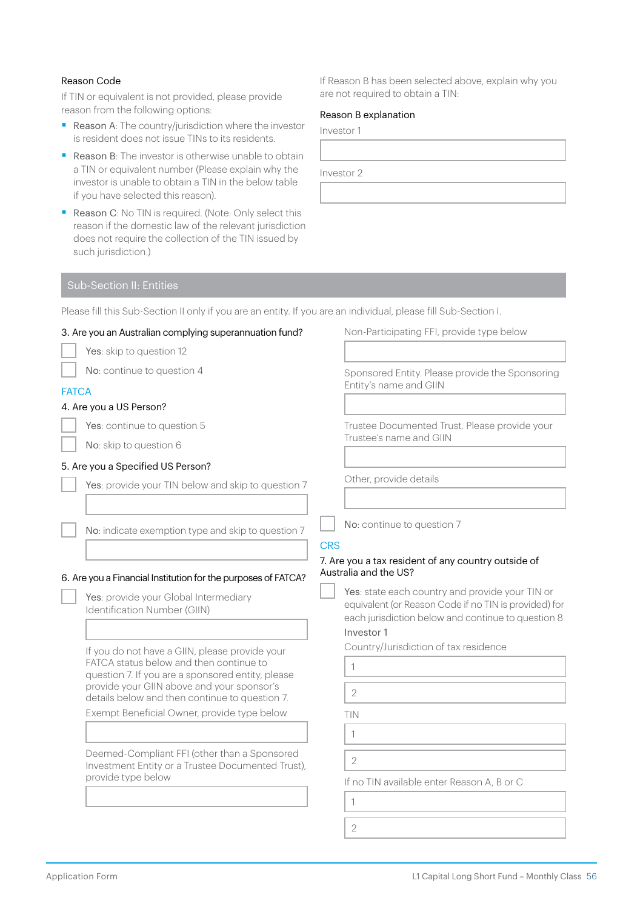#### Reason Code

If TIN or equivalent is not provided, please provide reason from the following options:

- Reason A: The country/jurisdiction where the investor is resident does not issue TINs to its residents.
- Reason B: The investor is otherwise unable to obtain a TIN or equivalent number (Please explain why the investor is unable to obtain a TIN in the below table if you have selected this reason).
- Reason C: No TIN is required. (Note: Only select this reason if the domestic law of the relevant jurisdiction does not require the collection of the TIN issued by such jurisdiction.)

If Reason B has been selected above, explain why you are not required to obtain a TIN:

#### Reason B explanation

Investor 1

Investor 2

### Sub-Section II: Entities

Please fill this Sub-Section II only if you are an entity. If you are an individual, please fill Sub-Section I.

| 3. Are you an Australian complying superannuation fund?                                                                                                                                                                                        | Non-Participating FFI, provide type below                                                                                                                                                |
|------------------------------------------------------------------------------------------------------------------------------------------------------------------------------------------------------------------------------------------------|------------------------------------------------------------------------------------------------------------------------------------------------------------------------------------------|
| Yes: skip to question 12                                                                                                                                                                                                                       |                                                                                                                                                                                          |
| No: continue to question 4                                                                                                                                                                                                                     | Sponsored Entity. Please provide the Sponsoring<br>Entity's name and GIIN                                                                                                                |
| <b>FATCA</b>                                                                                                                                                                                                                                   |                                                                                                                                                                                          |
| 4. Are you a US Person?                                                                                                                                                                                                                        |                                                                                                                                                                                          |
| Yes: continue to question 5                                                                                                                                                                                                                    | Trustee Documented Trust. Please provide your<br>Trustee's name and GIIN                                                                                                                 |
| No: skip to question 6                                                                                                                                                                                                                         |                                                                                                                                                                                          |
| 5. Are you a Specified US Person?                                                                                                                                                                                                              |                                                                                                                                                                                          |
| Yes: provide your TIN below and skip to question 7                                                                                                                                                                                             | Other, provide details                                                                                                                                                                   |
| No: indicate exemption type and skip to question 7                                                                                                                                                                                             | No: continue to question 7<br><b>CRS</b>                                                                                                                                                 |
| 6. Are you a Financial Institution for the purposes of FATCA?<br>Yes: provide your Global Intermediary<br>Identification Number (GIIN)                                                                                                         | 7. Are you a tax resident of any country outside of<br>Australia and the US?<br>Yes: state each country and provide your TIN or<br>equivalent (or Reason Code if no TIN is provided) for |
|                                                                                                                                                                                                                                                | each jurisdiction below and continue to question 8<br>Investor 1                                                                                                                         |
| If you do not have a GIIN, please provide your<br>FATCA status below and then continue to<br>question 7. If you are a sponsored entity, please<br>provide your GIIN above and your sponsor's<br>details below and then continue to question 7. | Country/Jurisdiction of tax residence<br>1<br>$\overline{2}$                                                                                                                             |
| Exempt Beneficial Owner, provide type below                                                                                                                                                                                                    | TIN<br>1                                                                                                                                                                                 |
| Deemed-Compliant FFI (other than a Sponsored<br>Investment Entity or a Trustee Documented Trust),<br>provide type below                                                                                                                        | $\overline{2}$<br>If no TIN available enter Reason A, B or C<br>1                                                                                                                        |
|                                                                                                                                                                                                                                                |                                                                                                                                                                                          |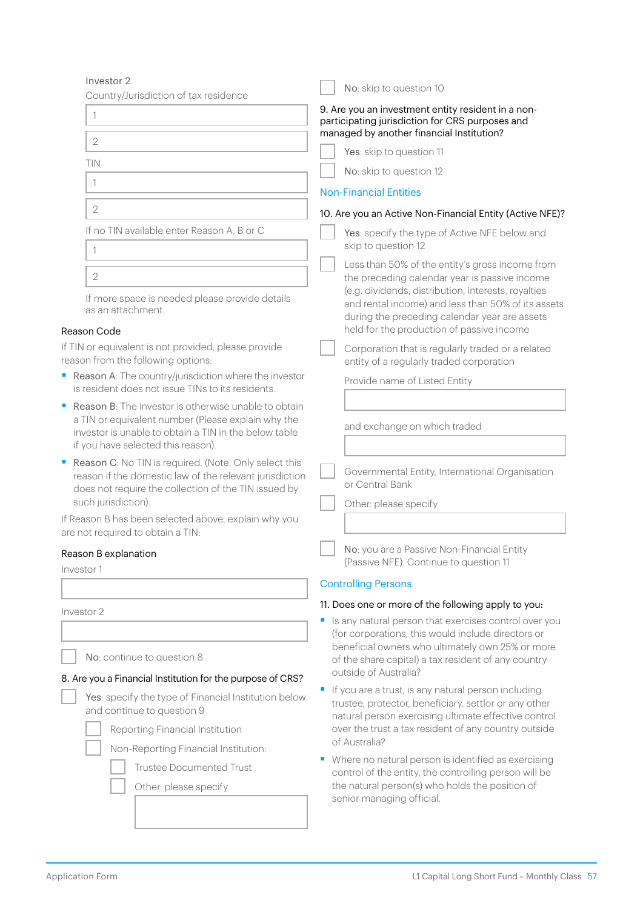| Investor 2                                                                                                                                                                                                       | No: skip to question 10                                                                                                                                                                                                                                                                                                                                       |  |  |
|------------------------------------------------------------------------------------------------------------------------------------------------------------------------------------------------------------------|---------------------------------------------------------------------------------------------------------------------------------------------------------------------------------------------------------------------------------------------------------------------------------------------------------------------------------------------------------------|--|--|
| Country/Jurisdiction of tax residence<br>1                                                                                                                                                                       | 9. Are you an investment entity resident in a non-<br>participating jurisdiction for CRS purposes and<br>managed by another financial Institution?                                                                                                                                                                                                            |  |  |
| $\overline{2}$                                                                                                                                                                                                   | Yes: skip to question 11                                                                                                                                                                                                                                                                                                                                      |  |  |
| TIN                                                                                                                                                                                                              | No: skip to question 12                                                                                                                                                                                                                                                                                                                                       |  |  |
| 1                                                                                                                                                                                                                | <b>Non-Financial Entities</b>                                                                                                                                                                                                                                                                                                                                 |  |  |
| $\overline{2}$                                                                                                                                                                                                   | 10. Are you an Active Non-Financial Entity (Active NFE)?                                                                                                                                                                                                                                                                                                      |  |  |
| If no TIN available enter Reason A, B or C<br>1                                                                                                                                                                  | Yes: specify the type of Active NFE below and<br>skip to question 12                                                                                                                                                                                                                                                                                          |  |  |
| $\overline{2}$                                                                                                                                                                                                   | Less than 50% of the entity's gross income from<br>the preceding calendar year is passive income<br>(e.g. dividends, distribution, interests, royalties                                                                                                                                                                                                       |  |  |
| If more space is needed please provide details<br>as an attachment.<br>Reason Code                                                                                                                               | and rental income) and less than 50% of its assets<br>during the preceding calendar year are assets<br>held for the production of passive income                                                                                                                                                                                                              |  |  |
| If TIN or equivalent is not provided, please provide<br>reason from the following options:                                                                                                                       | Corporation that is regularly traded or a related<br>entity of a regularly traded corporation                                                                                                                                                                                                                                                                 |  |  |
| Reason A: The country/jurisdiction where the investor<br>is resident does not issue TINs to its residents.                                                                                                       | Provide name of Listed Entity                                                                                                                                                                                                                                                                                                                                 |  |  |
| <b>Reason B:</b> The investor is otherwise unable to obtain<br>a TIN or equivalent number (Please explain why the<br>investor is unable to obtain a TIN in the below table<br>if you have selected this reason). | and exchange on which traded                                                                                                                                                                                                                                                                                                                                  |  |  |
| Reason C: No TIN is required. (Note. Only select this<br>reason if the domestic law of the relevant jurisdiction<br>does not require the collection of the TIN issued by<br>such jurisdiction).                  | Governmental Entity, International Organisation<br>or Central Bank<br>Other: please specify                                                                                                                                                                                                                                                                   |  |  |
| If Reason B has been selected above, explain why you<br>are not required to obtain a TIN:                                                                                                                        |                                                                                                                                                                                                                                                                                                                                                               |  |  |
| Reason B explanation<br>Investor 1                                                                                                                                                                               | No: you are a Passive Non-Financial Entity<br>(Passive NFE). Continue to question 11                                                                                                                                                                                                                                                                          |  |  |
|                                                                                                                                                                                                                  | <b>Controlling Persons</b>                                                                                                                                                                                                                                                                                                                                    |  |  |
| Investor 2                                                                                                                                                                                                       | 11. Does one or more of the following apply to you:                                                                                                                                                                                                                                                                                                           |  |  |
| No: continue to question 8<br>8. Are you a Financial Institution for the purpose of CRS?                                                                                                                         | Is any natural person that exercises control over you<br>(for corporations, this would include directors or<br>beneficial owners who ultimately own 25% or more<br>of the share capital) a tax resident of any country<br>outside of Australia?                                                                                                               |  |  |
| Yes: specify the type of Financial Institution below<br>and continue to question 9<br>Reporting Financial Institution<br>Non-Reporting Financial Institution:<br><b>Trustee Documented Trust</b>                 | If you are a trust, is any natural person including<br>trustee, protector, beneficiary, settlor or any other<br>natural person exercising ultimate effective control<br>over the trust a tax resident of any country outside<br>of Australia?<br>Where no natural person is identified as exercising<br>control of the entity, the controlling person will be |  |  |
| Other: please specify                                                                                                                                                                                            | the natural person(s) who holds the position of<br>senior managing official.                                                                                                                                                                                                                                                                                  |  |  |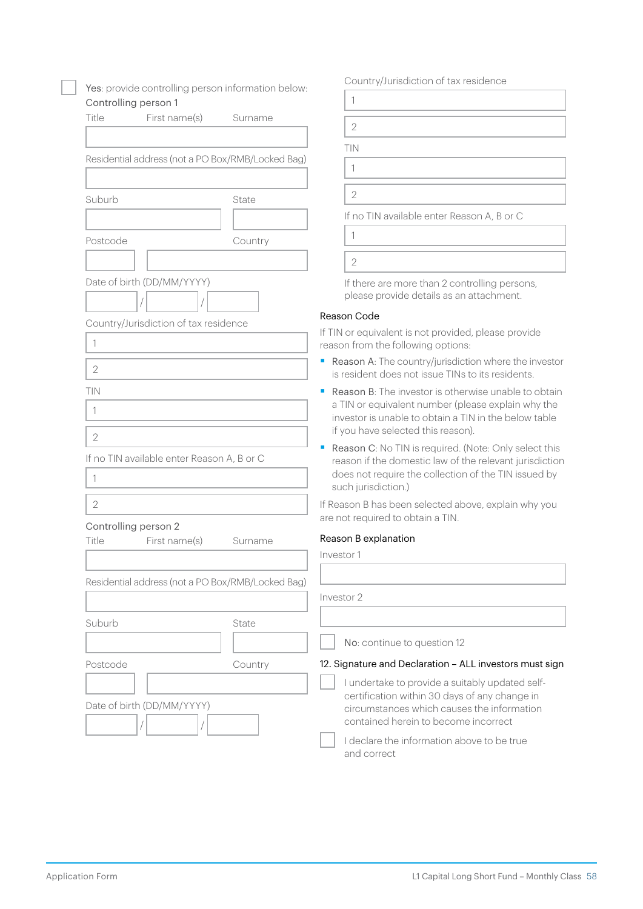| Yes: provide controlling person information below:                |         | Country/Jurisdiction of tax residence                                                                                                                                                                                 |  |  |  |
|-------------------------------------------------------------------|---------|-----------------------------------------------------------------------------------------------------------------------------------------------------------------------------------------------------------------------|--|--|--|
| Controlling person 1                                              |         | 1                                                                                                                                                                                                                     |  |  |  |
| Title<br>First name(s)                                            | Surname | $\overline{2}$                                                                                                                                                                                                        |  |  |  |
|                                                                   |         |                                                                                                                                                                                                                       |  |  |  |
| Residential address (not a PO Box/RMB/Locked Bag)                 |         | TIN                                                                                                                                                                                                                   |  |  |  |
|                                                                   |         | $\mathbf{1}$                                                                                                                                                                                                          |  |  |  |
| Suburb                                                            | State   | $\mathbf{2}$                                                                                                                                                                                                          |  |  |  |
|                                                                   |         | If no TIN available enter Reason A, B or C                                                                                                                                                                            |  |  |  |
| Postcode                                                          | Country | 1                                                                                                                                                                                                                     |  |  |  |
|                                                                   |         | $\overline{2}$                                                                                                                                                                                                        |  |  |  |
| Date of birth (DD/MM/YYYY)                                        |         | If there are more than 2 controlling persons,<br>please provide details as an attachment.                                                                                                                             |  |  |  |
| Country/Jurisdiction of tax residence                             |         | Reason Code                                                                                                                                                                                                           |  |  |  |
| 1                                                                 |         | If TIN or equivalent is not provided, please provide<br>reason from the following options:                                                                                                                            |  |  |  |
| $\overline{2}$                                                    |         | Reason A: The country/jurisdiction where the investor<br>is resident does not issue TINs to its residents.                                                                                                            |  |  |  |
| TIN<br>1                                                          |         | <b>Reason B:</b> The investor is otherwise unable to obtain<br>ш<br>a TIN or equivalent number (please explain why the<br>investor is unable to obtain a TIN in the below table<br>if you have selected this reason). |  |  |  |
| $\overline{2}$<br>If no TIN available enter Reason A, B or C<br>1 |         | Reason C: No TIN is required. (Note: Only select this<br>reason if the domestic law of the relevant jurisdiction<br>does not require the collection of the TIN issued by<br>such jurisdiction.)                       |  |  |  |
| $\overline{2}$                                                    |         | If Reason B has been selected above, explain why you<br>are not required to obtain a TIN.                                                                                                                             |  |  |  |
| Controlling person 2<br>First name(s)<br>Title                    | Surname | Reason B explanation                                                                                                                                                                                                  |  |  |  |
|                                                                   |         | Investor 1                                                                                                                                                                                                            |  |  |  |
| Residential address (not a PO Box/RMB/Locked Bag)                 |         |                                                                                                                                                                                                                       |  |  |  |
|                                                                   |         | Investor 2                                                                                                                                                                                                            |  |  |  |
| Suburb                                                            | State   |                                                                                                                                                                                                                       |  |  |  |
|                                                                   |         | No: continue to question 12                                                                                                                                                                                           |  |  |  |
| Postcode                                                          | Country | 12. Signature and Declaration - ALL investors must sign                                                                                                                                                               |  |  |  |
| Date of birth (DD/MM/YYYY)                                        |         | I undertake to provide a suitably updated self-<br>certification within 30 days of any change in<br>circumstances which causes the information<br>contained herein to become incorrect                                |  |  |  |
|                                                                   |         | I declare the information above to be true<br>and correct                                                                                                                                                             |  |  |  |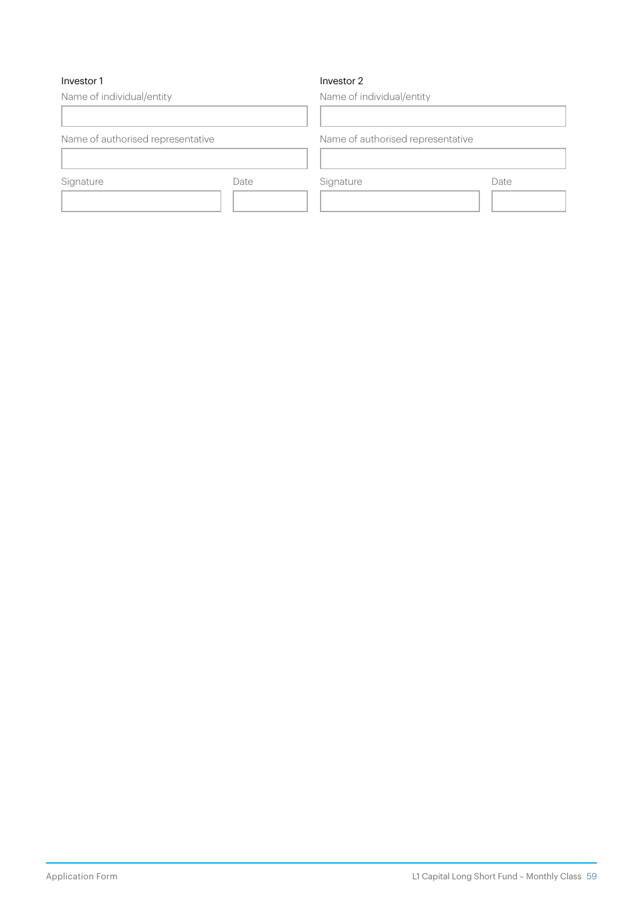#### Investor 1

#### Investor 2

Name of individual/entity Name of authorised representative Signature Date Name of individual/entity Name of authorised representative Signature Date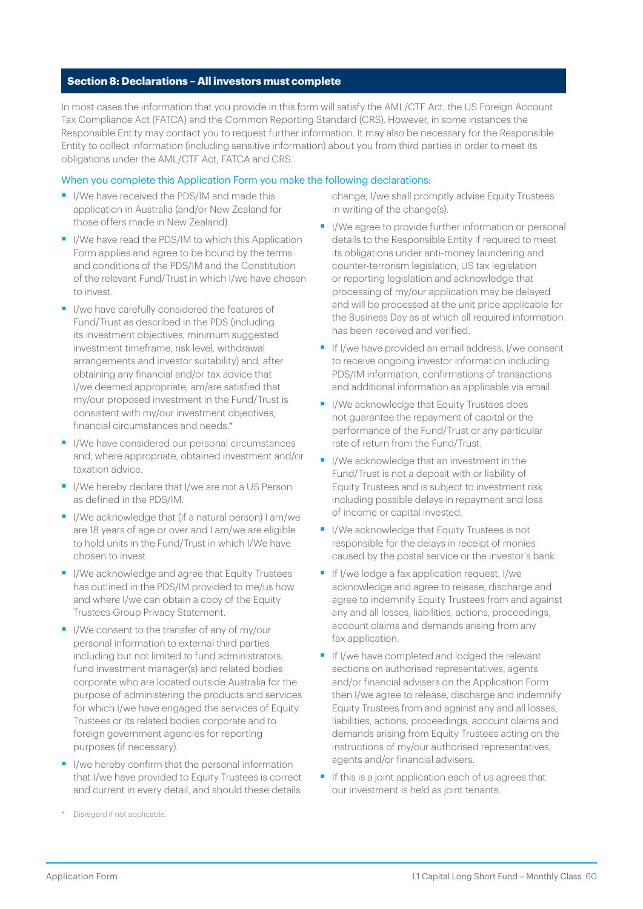#### **Section 8: Declarations – All investors must complete**

In most cases the information that you provide in this form will satisfy the AML/CTF Act, the US Foreign Account Tax Compliance Act (FATCA) and the Common Reporting Standard (CRS). However, in some instances the Responsible Entity may contact you to request further information. It may also be necessary for the Responsible Entity to collect information (including sensitive information) about you from third parties in order to meet its obligations under the AML/CTF Act, FATCA and CRS.

#### When you complete this Application Form you make the following declarations:

- I/We have received the PDS/IM and made this application in Australia (and/or New Zealand for those offers made in New Zealand).
- I/We have read the PDS/IM to which this Application Form applies and agree to be bound by the terms and conditions of the PDS/IM and the Constitution of the relevant Fund/Trust in which I/we have chosen to invest.
- I/we have carefully considered the features of Fund/Trust as described in the PDS (including its investment objectives, minimum suggested investment timeframe, risk level, withdrawal arrangements and investor suitability) and, after obtaining any financial and/or tax advice that I/we deemed appropriate, am/are satisfied that my/our proposed investment in the Fund/Trust is consistent with my/our investment objectives, financial circumstances and needs.\*
- I/We have considered our personal circumstances and, where appropriate, obtained investment and/or taxation advice.
- I/We hereby declare that I/we are not a US Person as defined in the PDS/IM.
- I/We acknowledge that (if a natural person) I am/we are 18 years of age or over and I am/we are eligible to hold units in the Fund/Trust in which I/We have chosen to invest.
- I/We acknowledge and agree that Equity Trustees has outlined in the PDS/IM provided to me/us how and where I/we can obtain a copy of the Equity Trustees Group Privacy Statement.
- I/We consent to the transfer of any of my/our personal information to external third parties including but not limited to fund administrators, fund investment manager(s) and related bodies corporate who are located outside Australia for the purpose of administering the products and services for which I/we have engaged the services of Equity Trustees or its related bodies corporate and to foreign government agencies for reporting purposes (if necessary).
- I/we hereby confirm that the personal information that I/we have provided to Equity Trustees is correct and current in every detail, and should these details

change, I/we shall promptly advise Equity Trustees in writing of the change(s).

- I/We agree to provide further information or personal details to the Responsible Entity if required to meet its obligations under anti-money laundering and counter-terrorism legislation, US tax legislation or reporting legislation and acknowledge that processing of my/our application may be delayed and will be processed at the unit price applicable for the Business Day as at which all required information has been received and verified.
- **•** If I/we have provided an email address, I/we consent to receive ongoing investor information including PDS/IM information, confirmations of transactions and additional information as applicable via email.
- I/We acknowledge that Equity Trustees does not guarantee the repayment of capital or the performance of the Fund/Trust or any particular rate of return from the Fund/Trust.
- I/We acknowledge that an investment in the Fund/Trust is not a deposit with or liability of Equity Trustees and is subject to investment risk including possible delays in repayment and loss of income or capital invested.
- I/We acknowledge that Equity Trustees is not responsible for the delays in receipt of monies caused by the postal service or the investor's bank.
- If I/we lodge a fax application request, I/we acknowledge and agree to release, discharge and agree to indemnify Equity Trustees from and against any and all losses, liabilities, actions, proceedings, account claims and demands arising from any fax application.
- **•** If I/we have completed and lodged the relevant sections on authorised representatives, agents and/or financial advisers on the Application Form then I/we agree to release, discharge and indemnify Equity Trustees from and against any and all losses, liabilities, actions, proceedings, account claims and demands arising from Equity Trustees acting on the instructions of my/our authorised representatives, agents and/or financial advisers.
- If this is a joint application each of us agrees that our investment is held as joint tenants.

Disregard if not applicable.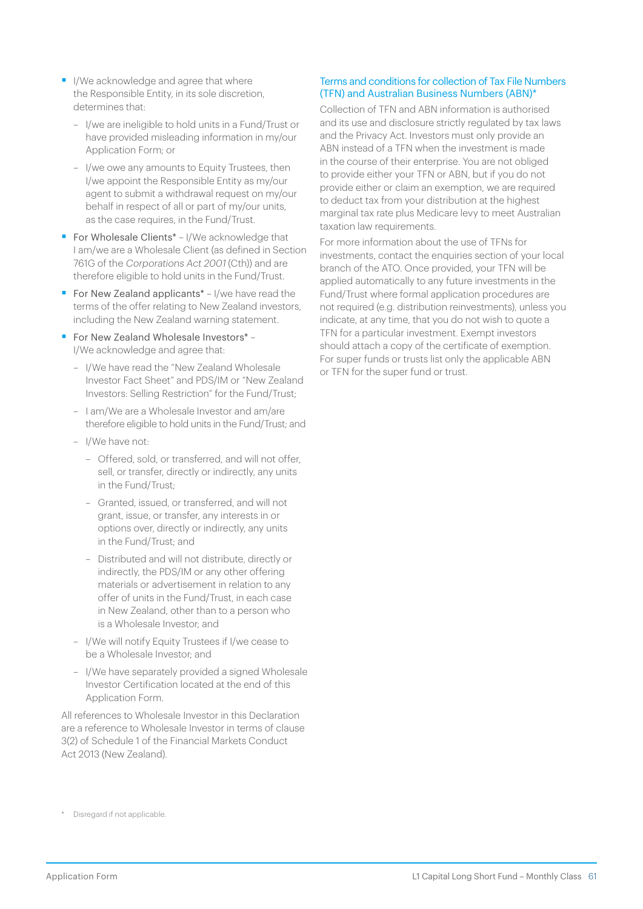- I/We acknowledge and agree that where the Responsible Entity, in its sole discretion, determines that:
	- I/we are ineligible to hold units in a Fund/Trust or have provided misleading information in my/our Application Form; or
	- I/we owe any amounts to Equity Trustees, then I/we appoint the Responsible Entity as my/our agent to submit a withdrawal request on my/our behalf in respect of all or part of my/our units, as the case requires, in the Fund/Trust.
- For Wholesale Clients<sup>\*</sup> I/We acknowledge that I am/we are a Wholesale Client (as defined in Section 761G of the Corporations Act 2001 (Cth)) and are therefore eligible to hold units in the Fund/Trust.
- For New Zealand applicants<sup>\*</sup> I/we have read the terms of the offer relating to New Zealand investors, including the New Zealand warning statement.
- For New Zealand Wholesale Investors\* -I/We acknowledge and agree that:
	- I/We have read the "New Zealand Wholesale Investor Fact Sheet" and PDS/IM or "New Zealand Investors: Selling Restriction" for the Fund/Trust;
	- I am/We are a Wholesale Investor and am/are therefore eligible to hold units in the Fund/Trust; and
	- I/We have not:
		- Offered, sold, or transferred, and will not offer, sell, or transfer, directly or indirectly, any units in the Fund/Trust;
		- Granted, issued, or transferred, and will not grant, issue, or transfer, any interests in or options over, directly or indirectly, any units in the Fund/Trust; and
		- Distributed and will not distribute, directly or indirectly, the PDS/IM or any other offering materials or advertisement in relation to any offer of units in the Fund/Trust, in each case in New Zealand, other than to a person who is a Wholesale Investor; and
	- I/We will notify Equity Trustees if I/we cease to be a Wholesale Investor; and
	- I/We have separately provided a signed Wholesale Investor Certification located at the end of this Application Form.

All references to Wholesale Investor in this Declaration are a reference to Wholesale Investor in terms of clause 3(2) of Schedule 1 of the Financial Markets Conduct Act 2013 (New Zealand).

#### Terms and conditions for collection of Tax File Numbers (TFN) and Australian Business Numbers (ABN)\*

Collection of TFN and ABN information is authorised and its use and disclosure strictly regulated by tax laws and the Privacy Act. Investors must only provide an ABN instead of a TFN when the investment is made in the course of their enterprise. You are not obliged to provide either your TFN or ABN, but if you do not provide either or claim an exemption, we are required to deduct tax from your distribution at the highest marginal tax rate plus Medicare levy to meet Australian taxation law requirements.

For more information about the use of TFNs for investments, contact the enquiries section of your local branch of the ATO. Once provided, your TFN will be applied automatically to any future investments in the Fund/Trust where formal application procedures are not required (e.g. distribution reinvestments), unless you indicate, at any time, that you do not wish to quote a TFN for a particular investment. Exempt investors should attach a copy of the certificate of exemption. For super funds or trusts list only the applicable ABN or TFN for the super fund or trust.

<sup>\*</sup> Disregard if not applicable.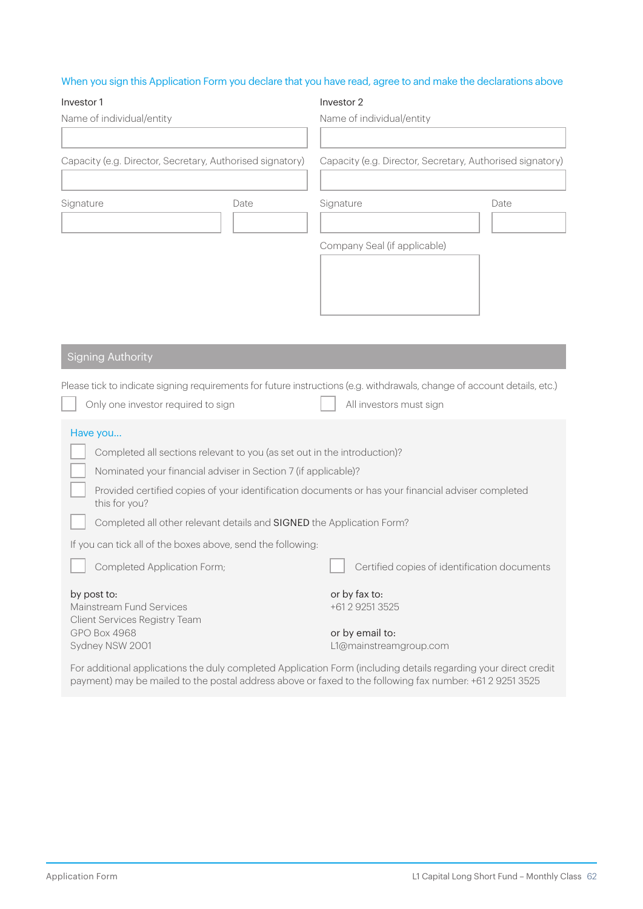#### When you sign this Application Form you declare that you have read, agree to and make the declarations above

| Investor 1                                                                                                          |                                                                          | Investor 2                                                                                                               |      |  |  |
|---------------------------------------------------------------------------------------------------------------------|--------------------------------------------------------------------------|--------------------------------------------------------------------------------------------------------------------------|------|--|--|
| Name of individual/entity                                                                                           |                                                                          | Name of individual/entity                                                                                                |      |  |  |
|                                                                                                                     |                                                                          |                                                                                                                          |      |  |  |
| Capacity (e.g. Director, Secretary, Authorised signatory)                                                           |                                                                          | Capacity (e.g. Director, Secretary, Authorised signatory)                                                                |      |  |  |
|                                                                                                                     |                                                                          |                                                                                                                          |      |  |  |
| Signature                                                                                                           | Date                                                                     |                                                                                                                          | Date |  |  |
|                                                                                                                     |                                                                          |                                                                                                                          |      |  |  |
|                                                                                                                     |                                                                          | Company Seal (if applicable)                                                                                             |      |  |  |
|                                                                                                                     |                                                                          |                                                                                                                          |      |  |  |
|                                                                                                                     |                                                                          |                                                                                                                          |      |  |  |
|                                                                                                                     |                                                                          |                                                                                                                          |      |  |  |
|                                                                                                                     |                                                                          |                                                                                                                          |      |  |  |
| <b>Signing Authority</b>                                                                                            |                                                                          |                                                                                                                          |      |  |  |
|                                                                                                                     |                                                                          | Please tick to indicate signing requirements for future instructions (e.g. withdrawals, change of account details, etc.) |      |  |  |
| Only one investor required to sign                                                                                  |                                                                          | All investors must sign                                                                                                  |      |  |  |
|                                                                                                                     |                                                                          |                                                                                                                          |      |  |  |
| Have you                                                                                                            |                                                                          |                                                                                                                          |      |  |  |
|                                                                                                                     | Completed all sections relevant to you (as set out in the introduction)? |                                                                                                                          |      |  |  |
| Nominated your financial adviser in Section 7 (if applicable)?                                                      |                                                                          |                                                                                                                          |      |  |  |
| Provided certified copies of your identification documents or has your financial adviser completed<br>this for you? |                                                                          |                                                                                                                          |      |  |  |
| Completed all other relevant details and SIGNED the Application Form?                                               |                                                                          |                                                                                                                          |      |  |  |
| If you can tick all of the boxes above, send the following:                                                         |                                                                          |                                                                                                                          |      |  |  |
| Completed Application Form;                                                                                         |                                                                          | Certified copies of identification documents                                                                             |      |  |  |
| by post to:                                                                                                         |                                                                          | or by fax to:                                                                                                            |      |  |  |
| Mainstream Fund Services<br>Client Services Registry Team                                                           |                                                                          | +61 2 9251 3525                                                                                                          |      |  |  |
| GPO Box 4968                                                                                                        |                                                                          | or by email to:                                                                                                          |      |  |  |
| Sydney NSW 2001                                                                                                     |                                                                          | L1@mainstreamgroup.com                                                                                                   |      |  |  |
|                                                                                                                     |                                                                          | For additional applications the duly completed Application Form (including details regarding your direct credit          |      |  |  |

For additional applications the duly completed Application Form (including details regarding your direct credit payment) may be mailed to the postal address above or faxed to the following fax number: +61 2 9251 3525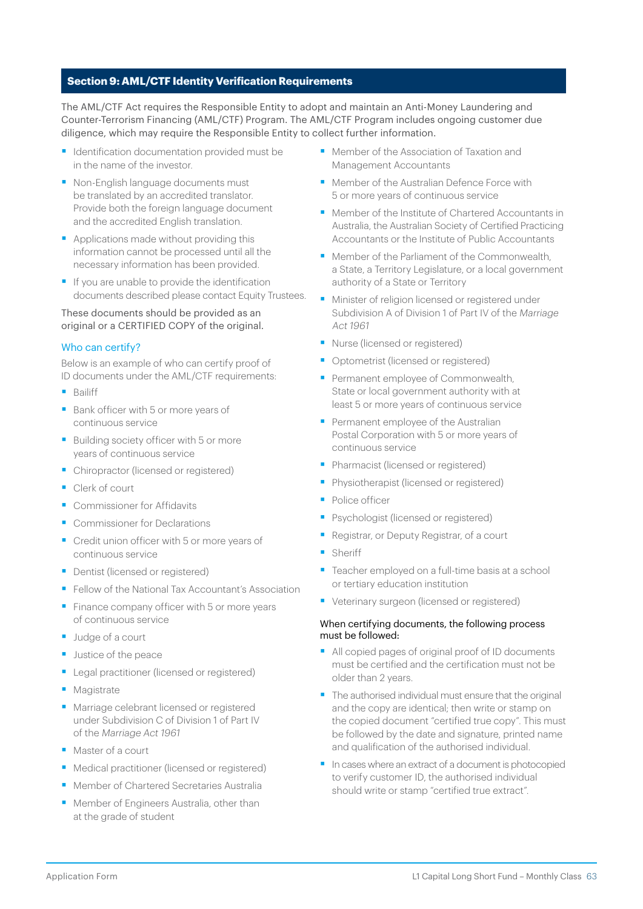#### **Section 9: AML/CTF Identity Verification Requirements**

The AML/CTF Act requires the Responsible Entity to adopt and maintain an Anti-Money Laundering and Counter-Terrorism Financing (AML/CTF) Program. The AML/CTF Program includes ongoing customer due diligence, which may require the Responsible Entity to collect further information.

- Identification documentation provided must be in the name of the investor.
- Non-English language documents must be translated by an accredited translator. Provide both the foreign language document and the accredited English translation.
- Applications made without providing this information cannot be processed until all the necessary information has been provided.
- If you are unable to provide the identification documents described please contact Equity Trustees.

#### These documents should be provided as an original or a CERTIFIED COPY of the original.

#### Who can certify?

Below is an example of who can certify proof of ID documents under the AML/CTF requirements:

- Bailiff
- Bank officer with 5 or more years of continuous service
- Building society officer with 5 or more years of continuous service
- Chiropractor (licensed or registered)
- Clerk of court
- Commissioner for Affidavits
- Commissioner for Declarations
- Credit union officer with 5 or more years of continuous service
- Dentist (licensed or registered)
- Fellow of the National Tax Accountant's Association
- Finance company officer with 5 or more years of continuous service
- Judge of a court
- **•** Justice of the peace
- Legal practitioner (licensed or registered)
- Magistrate
- Marriage celebrant licensed or registered under Subdivision C of Division 1 of Part IV of the Marriage Act 1961
- Master of a court
- Medical practitioner (licensed or registered)
- Member of Chartered Secretaries Australia
- Member of Engineers Australia, other than at the grade of student
- Member of the Association of Taxation and Management Accountants
- Member of the Australian Defence Force with 5 or more years of continuous service
- Member of the Institute of Chartered Accountants in Australia, the Australian Society of Certified Practicing Accountants or the Institute of Public Accountants
- Member of the Parliament of the Commonwealth a State, a Territory Legislature, or a local government authority of a State or Territory
- Minister of religion licensed or registered under Subdivision A of Division 1 of Part IV of the Marriage Act 1961
- Nurse (licensed or registered)
- Optometrist (licensed or registered)
- Permanent employee of Commonwealth, State or local government authority with at least 5 or more years of continuous service
- Permanent employee of the Australian Postal Corporation with 5 or more years of continuous service
- Pharmacist (licensed or registered)
- Physiotherapist (licensed or registered)
- Police officer
- Psychologist (licensed or registered)
- § Registrar, or Deputy Registrar, of a court
- Sheriff
- Teacher employed on a full-time basis at a school or tertiary education institution
- Veterinary surgeon (licensed or registered)

#### When certifying documents, the following process must be followed:

- All copied pages of original proof of ID documents must be certified and the certification must not be older than 2 years.
- The authorised individual must ensure that the original and the copy are identical; then write or stamp on the copied document "certified true copy". This must be followed by the date and signature, printed name and qualification of the authorised individual.
- In cases where an extract of a document is photocopied to verify customer ID, the authorised individual should write or stamp "certified true extract".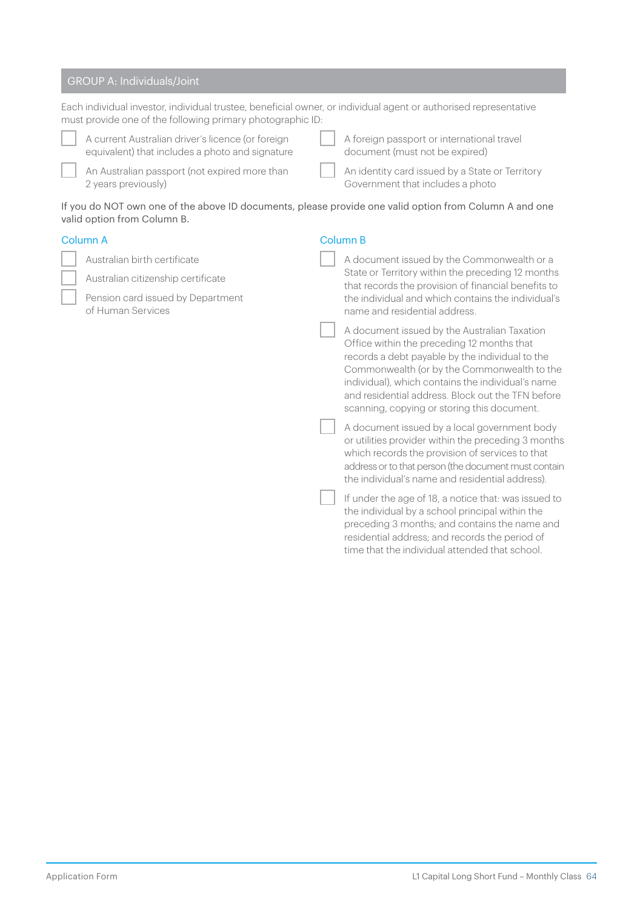### GROUP A: Individuals/Joint

|  | Each individual investor, individual trustee, beneficial owner, or individual agent or authorised representative<br>must provide one of the following primary photographic ID: |  |                                                                                                                                                                                                                                                                                                                                                       |
|--|--------------------------------------------------------------------------------------------------------------------------------------------------------------------------------|--|-------------------------------------------------------------------------------------------------------------------------------------------------------------------------------------------------------------------------------------------------------------------------------------------------------------------------------------------------------|
|  | A current Australian driver's licence (or foreign<br>equivalent) that includes a photo and signature                                                                           |  | A foreign passport or international travel<br>document (must not be expired)                                                                                                                                                                                                                                                                          |
|  | An Australian passport (not expired more than<br>2 years previously)                                                                                                           |  | An identity card issued by a State or Territory<br>Government that includes a photo                                                                                                                                                                                                                                                                   |
|  | If you do NOT own one of the above ID documents, please provide one valid option from Column A and one<br>valid option from Column B.                                          |  |                                                                                                                                                                                                                                                                                                                                                       |
|  | Column A                                                                                                                                                                       |  | <b>Column B</b>                                                                                                                                                                                                                                                                                                                                       |
|  | Australian birth certificate                                                                                                                                                   |  | A document issued by the Commonwealth or a                                                                                                                                                                                                                                                                                                            |
|  | Australian citizenship certificate                                                                                                                                             |  | State or Territory within the preceding 12 months<br>that records the provision of financial benefits to                                                                                                                                                                                                                                              |
|  | Pension card issued by Department<br>of Human Services                                                                                                                         |  | the individual and which contains the individual's<br>name and residential address.                                                                                                                                                                                                                                                                   |
|  |                                                                                                                                                                                |  | A document issued by the Australian Taxation<br>Office within the preceding 12 months that<br>records a debt payable by the individual to the<br>Commonwealth (or by the Commonwealth to the<br>individual), which contains the individual's name<br>and residential address. Block out the TFN before<br>scanning, copying or storing this document. |
|  |                                                                                                                                                                                |  | A document issued by a local government body<br>or utilities provider within the preceding 3 months<br>which records the provision of services to that<br>address or to that person (the document must contain<br>the individual's name and residential address).                                                                                     |
|  |                                                                                                                                                                                |  | If under the age of 18, a notice that: was issued to<br>the individual by a school principal within the<br>preceding 3 months; and contains the name and<br>residential address; and records the period of<br>time that the individual attended that school.                                                                                          |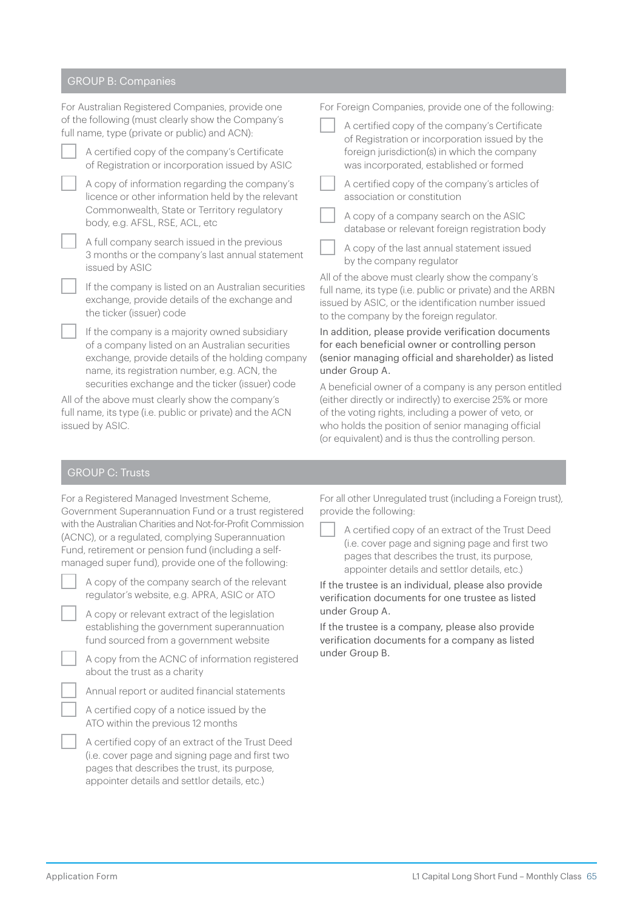#### GROUP B: Companies

| For Australian Registered Companies, provide one                                                                                |                                                                                                                                                                                                      | For Foreign Companies, provide one of the following:                                                                                                                                                                                                                                                                                                                                                |                                                                                                 |  |
|---------------------------------------------------------------------------------------------------------------------------------|------------------------------------------------------------------------------------------------------------------------------------------------------------------------------------------------------|-----------------------------------------------------------------------------------------------------------------------------------------------------------------------------------------------------------------------------------------------------------------------------------------------------------------------------------------------------------------------------------------------------|-------------------------------------------------------------------------------------------------|--|
| of the following (must clearly show the Company's<br>full name, type (private or public) and ACN):                              |                                                                                                                                                                                                      |                                                                                                                                                                                                                                                                                                                                                                                                     | A certified copy of the company's Certificate<br>of Registration or incorporation issued by the |  |
|                                                                                                                                 | A certified copy of the company's Certificate<br>of Registration or incorporation issued by ASIC                                                                                                     |                                                                                                                                                                                                                                                                                                                                                                                                     | foreign jurisdiction(s) in which the company<br>was incorporated, established or formed         |  |
|                                                                                                                                 | A copy of information regarding the company's<br>licence or other information held by the relevant<br>Commonwealth, State or Territory regulatory<br>body, e.g. AFSL, RSE, ACL, etc                  |                                                                                                                                                                                                                                                                                                                                                                                                     | A certified copy of the company's articles of<br>association or constitution                    |  |
|                                                                                                                                 |                                                                                                                                                                                                      |                                                                                                                                                                                                                                                                                                                                                                                                     | A copy of a company search on the ASIC<br>database or relevant foreign registration body        |  |
|                                                                                                                                 | A full company search issued in the previous<br>3 months or the company's last annual statement<br>issued by ASIC                                                                                    |                                                                                                                                                                                                                                                                                                                                                                                                     | A copy of the last annual statement issued<br>by the company regulator                          |  |
|                                                                                                                                 | If the company is listed on an Australian securities<br>exchange, provide details of the exchange and<br>the ticker (issuer) code                                                                    | All of the above must clearly show the company's<br>full name, its type (i.e. public or private) and the ARBN<br>issued by ASIC, or the identification number issued<br>to the company by the foreign regulator.<br>In addition, please provide verification documents<br>for each beneficial owner or controlling person<br>(senior managing official and shareholder) as listed<br>under Group A. |                                                                                                 |  |
|                                                                                                                                 | If the company is a majority owned subsidiary<br>of a company listed on an Australian securities<br>exchange, provide details of the holding company<br>name, its registration number, e.g. ACN, the |                                                                                                                                                                                                                                                                                                                                                                                                     |                                                                                                 |  |
| securities exchange and the ticker (issuer) code                                                                                |                                                                                                                                                                                                      | A beneficial owner of a company is any person entitled<br>(either directly or indirectly) to exercise 25% or more                                                                                                                                                                                                                                                                                   |                                                                                                 |  |
| All of the above must clearly show the company's<br>full name, its type (i.e. public or private) and the ACN<br>issued by ASIC. |                                                                                                                                                                                                      | of the voting rights, including a power of veto, or<br>who holds the position of senior managing official                                                                                                                                                                                                                                                                                           |                                                                                                 |  |

### GROUP C: Trusts

| For a Registered Managed Investment Scheme,                 |
|-------------------------------------------------------------|
| Government Superannuation Fund or a trust registered        |
| with the Australian Charities and Not-for-Profit Commission |
| (ACNC), or a regulated, complying Superannuation            |
| Fund, retirement or pension fund (including a self-         |
| managed super fund), provide one of the following:          |

| A copy of the company search of the relevant |  |
|----------------------------------------------|--|
| regulator's website, e.g. APRA, ASIC or ATO  |  |

A copy or relevant extract of the legislation establishing the government superannuation fund sourced from a government website

A copy from the ACNC of information registered about the trust as a charity

Annual report or audited financial statements

A certified copy of a notice issued by the ATO within the previous 12 months

A certified copy of an extract of the Trust Deed (i.e. cover page and signing page and first two pages that describes the trust, its purpose, appointer details and settlor details, etc.)

For all other Unregulated trust (including a Foreign trust), provide the following:

(or equivalent) and is thus the controlling person.

A certified copy of an extract of the Trust Deed (i.e. cover page and signing page and first two pages that describes the trust, its purpose, appointer details and settlor details, etc.)

If the trustee is an individual, please also provide verification documents for one trustee as listed under Group A.

If the trustee is a company, please also provide verification documents for a company as listed under Group B.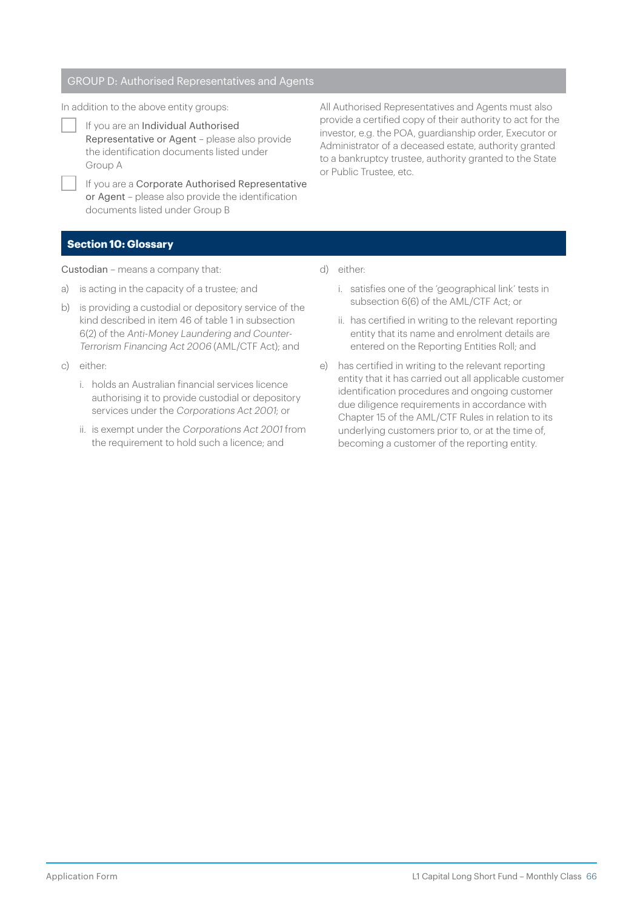#### GROUP D: Authorised Representatives and Agents

In addition to the above entity groups:

If you are an Individual Authorised Representative or Agent – please also provide the identification documents listed under Group A

If you are a Corporate Authorised Representative or Agent – please also provide the identification documents listed under Group B

All Authorised Representatives and Agents must also provide a certified copy of their authority to act for the investor, e.g. the POA, guardianship order, Executor or Administrator of a deceased estate, authority granted to a bankruptcy trustee, authority granted to the State or Public Trustee, etc.

#### **Section 10: Glossary**

Custodian – means a company that:

- a) is acting in the capacity of a trustee; and
- b) is providing a custodial or depository service of the kind described in item 46 of table 1 in subsection 6(2) of the Anti-Money Laundering and Counter-Terrorism Financing Act 2006 (AML/CTF Act); and
- c) either:
	- i. holds an Australian financial services licence authorising it to provide custodial or depository services under the Corporations Act 2001; or
	- ii. is exempt under the Corporations Act 2001 from the requirement to hold such a licence; and
- d) either:
	- i. satisfies one of the 'geographical link' tests in subsection 6(6) of the AML/CTF Act; or
	- ii. has certified in writing to the relevant reporting entity that its name and enrolment details are entered on the Reporting Entities Roll; and
- e) has certified in writing to the relevant reporting entity that it has carried out all applicable customer identification procedures and ongoing customer due diligence requirements in accordance with Chapter 15 of the AML/CTF Rules in relation to its underlying customers prior to, or at the time of, becoming a customer of the reporting entity.